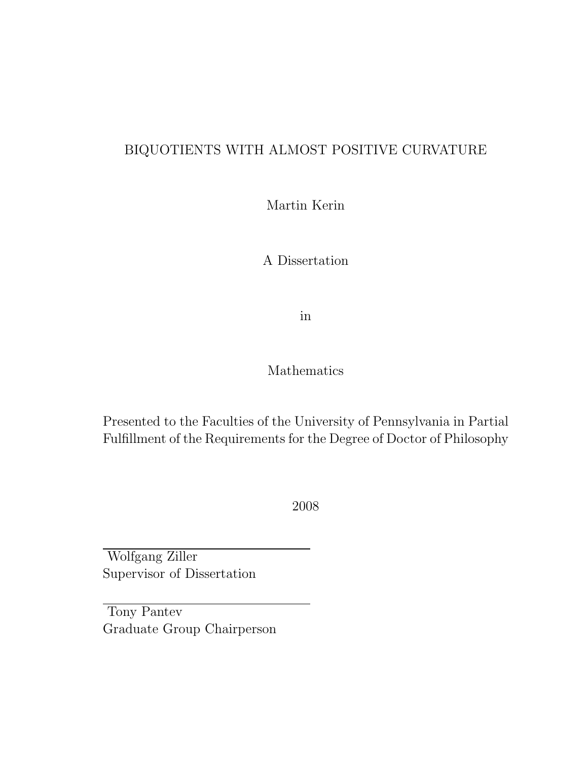### BIQUOTIENTS WITH ALMOST POSITIVE CURVATURE

Martin Kerin

A Dissertation

in

### Mathematics

Presented to the Faculties of the University of Pennsylvania in Partial Fulfillment of the Requirements for the Degree of Doctor of Philosophy

2008

Wolfgang Ziller Supervisor of Dissertation

Tony Pantev Graduate Group Chairperson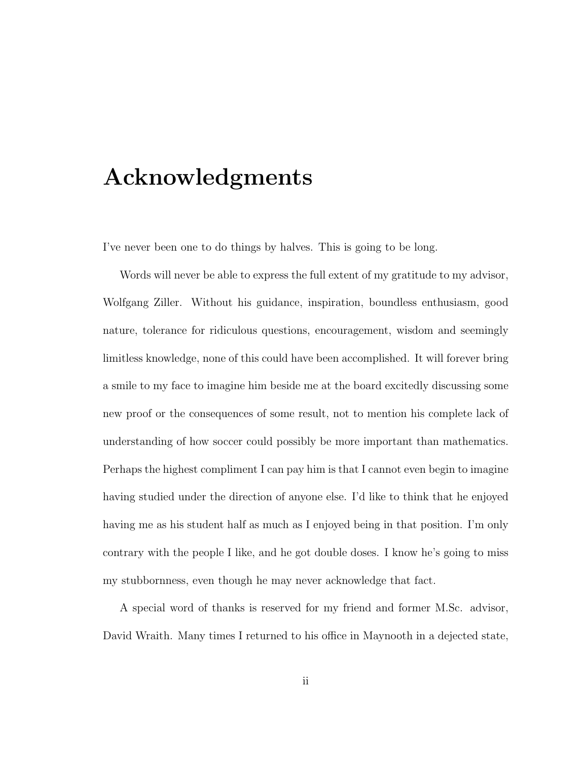## Acknowledgments

I've never been one to do things by halves. This is going to be long.

Words will never be able to express the full extent of my gratitude to my advisor, Wolfgang Ziller. Without his guidance, inspiration, boundless enthusiasm, good nature, tolerance for ridiculous questions, encouragement, wisdom and seemingly limitless knowledge, none of this could have been accomplished. It will forever bring a smile to my face to imagine him beside me at the board excitedly discussing some new proof or the consequences of some result, not to mention his complete lack of understanding of how soccer could possibly be more important than mathematics. Perhaps the highest compliment I can pay him is that I cannot even begin to imagine having studied under the direction of anyone else. I'd like to think that he enjoyed having me as his student half as much as I enjoyed being in that position. I'm only contrary with the people I like, and he got double doses. I know he's going to miss my stubbornness, even though he may never acknowledge that fact.

A special word of thanks is reserved for my friend and former M.Sc. advisor, David Wraith. Many times I returned to his office in Maynooth in a dejected state,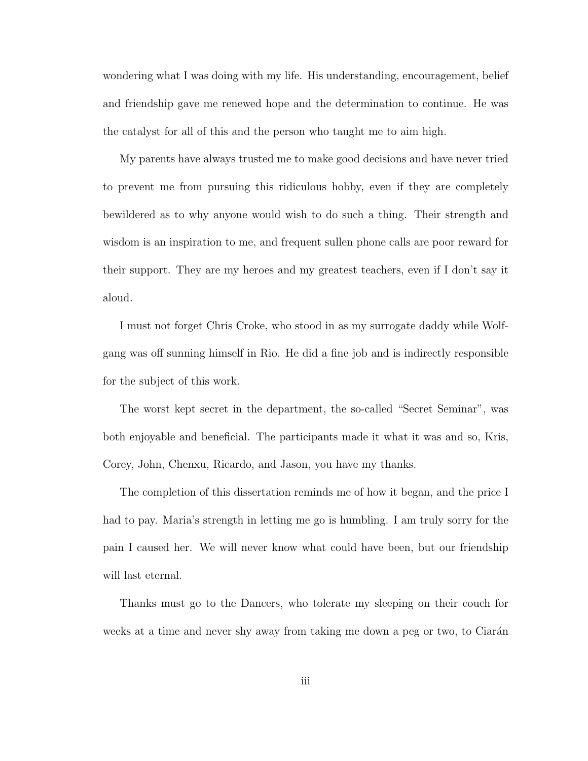wondering what I was doing with my life. His understanding, encouragement, belief and friendship gave me renewed hope and the determination to continue. He was the catalyst for all of this and the person who taught me to aim high.

My parents have always trusted me to make good decisions and have never tried to prevent me from pursuing this ridiculous hobby, even if they are completely bewildered as to why anyone would wish to do such a thing. Their strength and wisdom is an inspiration to me, and frequent sullen phone calls are poor reward for their support. They are my heroes and my greatest teachers, even if I don't say it aloud.

I must not forget Chris Croke, who stood in as my surrogate daddy while Wolfgang was off sunning himself in Rio. He did a fine job and is indirectly responsible for the subject of this work.

The worst kept secret in the department, the so-called "Secret Seminar", was both enjoyable and beneficial. The participants made it what it was and so, Kris, Corey, John, Chenxu, Ricardo, and Jason, you have my thanks.

The completion of this dissertation reminds me of how it began, and the price I had to pay. Maria's strength in letting me go is humbling. I am truly sorry for the pain I caused her. We will never know what could have been, but our friendship will last eternal.

Thanks must go to the Dancers, who tolerate my sleeping on their couch for weeks at a time and never shy away from taking me down a peg or two, to Ciarán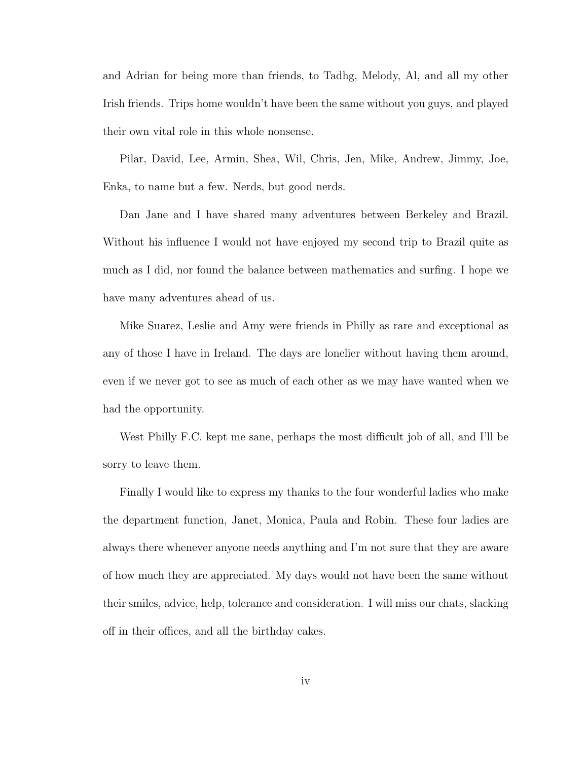and Adrian for being more than friends, to Tadhg, Melody, Al, and all my other Irish friends. Trips home wouldn't have been the same without you guys, and played their own vital role in this whole nonsense.

Pilar, David, Lee, Armin, Shea, Wil, Chris, Jen, Mike, Andrew, Jimmy, Joe, Enka, to name but a few. Nerds, but good nerds.

Dan Jane and I have shared many adventures between Berkeley and Brazil. Without his influence I would not have enjoyed my second trip to Brazil quite as much as I did, nor found the balance between mathematics and surfing. I hope we have many adventures ahead of us.

Mike Suarez, Leslie and Amy were friends in Philly as rare and exceptional as any of those I have in Ireland. The days are lonelier without having them around, even if we never got to see as much of each other as we may have wanted when we had the opportunity.

West Philly F.C. kept me sane, perhaps the most difficult job of all, and I'll be sorry to leave them.

Finally I would like to express my thanks to the four wonderful ladies who make the department function, Janet, Monica, Paula and Robin. These four ladies are always there whenever anyone needs anything and I'm not sure that they are aware of how much they are appreciated. My days would not have been the same without their smiles, advice, help, tolerance and consideration. I will miss our chats, slacking off in their offices, and all the birthday cakes.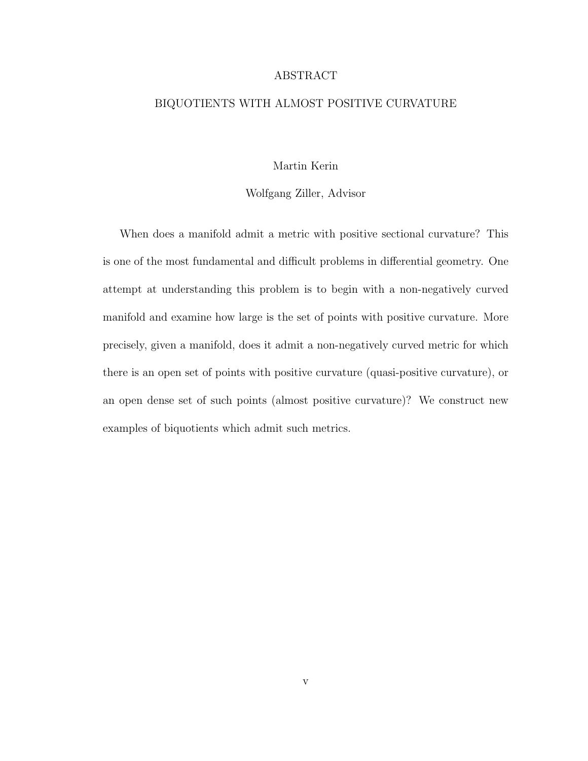#### ABSTRACT

#### BIQUOTIENTS WITH ALMOST POSITIVE CURVATURE

#### Martin Kerin

#### Wolfgang Ziller, Advisor

When does a manifold admit a metric with positive sectional curvature? This is one of the most fundamental and difficult problems in differential geometry. One attempt at understanding this problem is to begin with a non-negatively curved manifold and examine how large is the set of points with positive curvature. More precisely, given a manifold, does it admit a non-negatively curved metric for which there is an open set of points with positive curvature (quasi-positive curvature), or an open dense set of such points (almost positive curvature)? We construct new examples of biquotients which admit such metrics.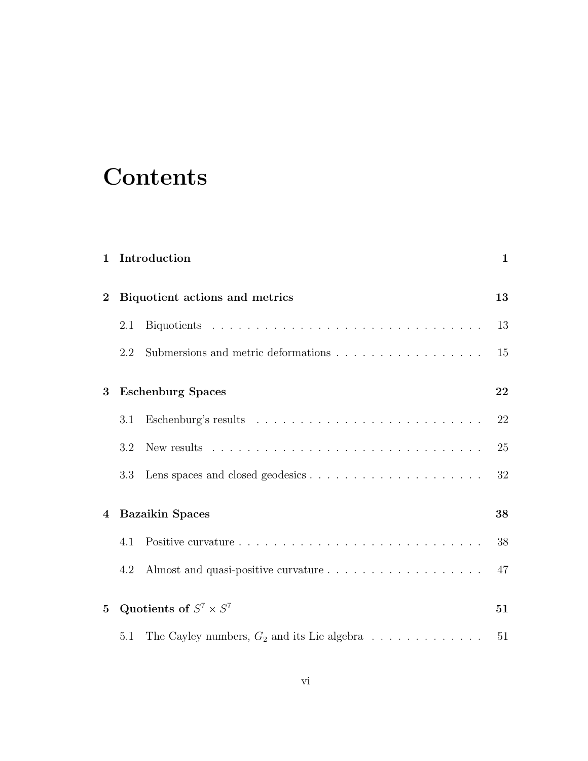# **Contents**

| 1            |                                | Introduction                                                                | 1  |
|--------------|--------------------------------|-----------------------------------------------------------------------------|----|
| $\bf{2}$     | Biquotient actions and metrics |                                                                             |    |
|              | 2.1                            |                                                                             | 13 |
|              | 2.2                            |                                                                             | 15 |
| 3            |                                | <b>Eschenburg Spaces</b>                                                    | 22 |
|              | 3.1                            |                                                                             | 22 |
|              | 3.2                            |                                                                             | 25 |
|              | 3.3                            |                                                                             | 32 |
| 4            |                                | <b>Bazaikin Spaces</b>                                                      | 38 |
|              | 4.1                            |                                                                             | 38 |
|              | 4.2                            |                                                                             | 47 |
| $\mathbf{5}$ |                                | Quotients of $S^7 \times S^7$                                               | 51 |
|              | 5.1                            | The Cayley numbers, $G_2$ and its Lie algebra $\ldots \ldots \ldots \ldots$ | 51 |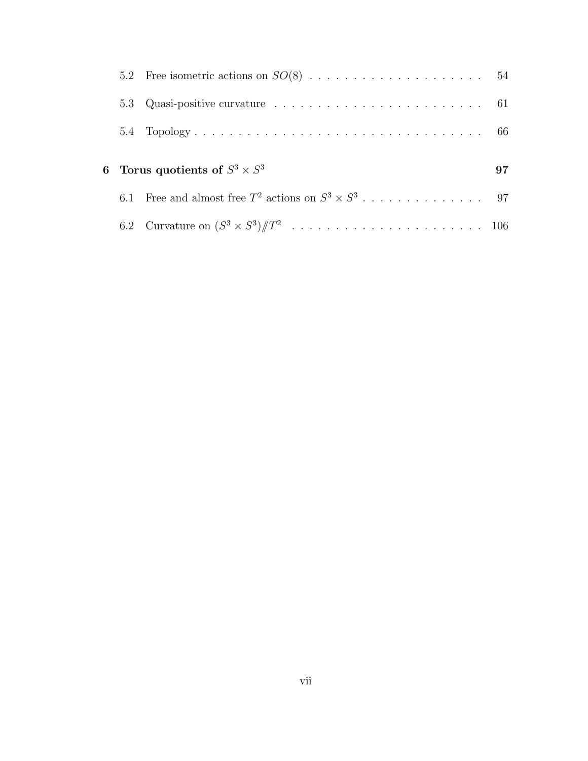| 5.3 | Quasi-positive curvature $\dots \dots \dots \dots \dots \dots \dots \dots \dots \dots$ 61 |    |
|-----|-------------------------------------------------------------------------------------------|----|
|     |                                                                                           |    |
|     | 6 Torus quotients of $S^3 \times S^3$                                                     | 97 |
|     |                                                                                           |    |
|     |                                                                                           |    |
|     |                                                                                           |    |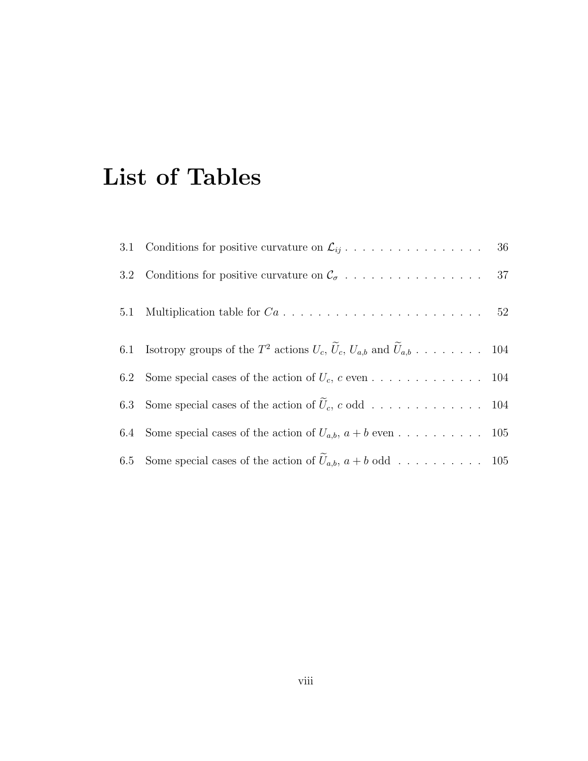# List of Tables

| 6.1 Isotropy groups of the $T^2$ actions $U_c$ , $\bar{U}_c$ , $U_{a,b}$ and $\bar{U}_{a,b}$ 104 |  |
|--------------------------------------------------------------------------------------------------|--|
| 6.2 Some special cases of the action of $U_c$ , c even 104                                       |  |
|                                                                                                  |  |
| 6.4 Some special cases of the action of $U_{a,b}$ , $a + b$ even 105                             |  |
| 6.5 Some special cases of the action of $U_{a,b}$ , $a + b$ odd 105                              |  |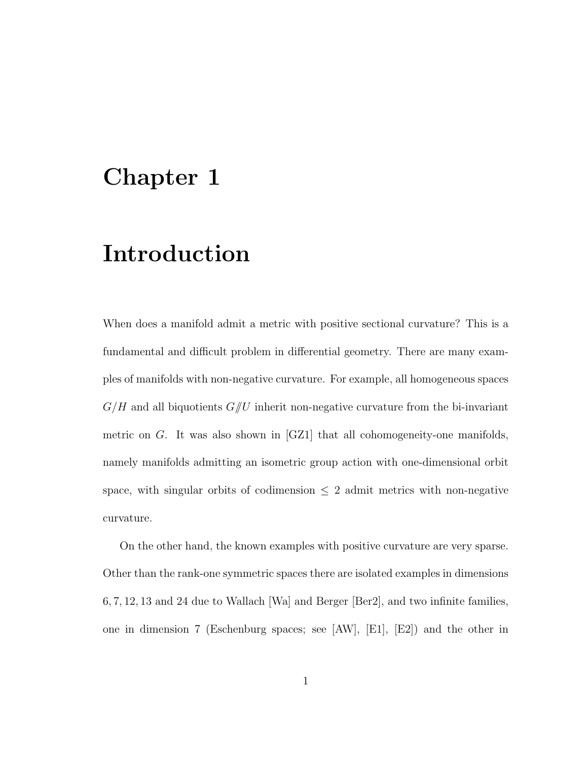## Chapter 1

## Introduction

When does a manifold admit a metric with positive sectional curvature? This is a fundamental and difficult problem in differential geometry. There are many examples of manifolds with non-negative curvature. For example, all homogeneous spaces  $G/H$  and all biquotients  $G/U$  inherit non-negative curvature from the bi-invariant metric on G. It was also shown in [GZ1] that all cohomogeneity-one manifolds, namely manifolds admitting an isometric group action with one-dimensional orbit space, with singular orbits of codimension  $\leq 2$  admit metrics with non-negative curvature.

On the other hand, the known examples with positive curvature are very sparse. Other than the rank-one symmetric spaces there are isolated examples in dimensions 6, 7, 12, 13 and 24 due to Wallach [Wa] and Berger [Ber2], and two infinite families, one in dimension 7 (Eschenburg spaces; see  $[AW]$ ,  $[E1]$ ,  $[E2]$ ) and the other in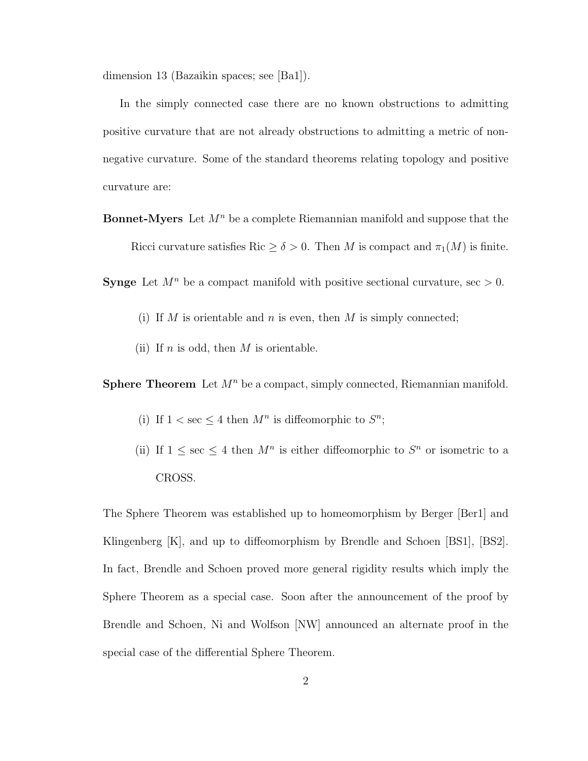dimension 13 (Bazaikin spaces; see [Ba1]).

In the simply connected case there are no known obstructions to admitting positive curvature that are not already obstructions to admitting a metric of nonnegative curvature. Some of the standard theorems relating topology and positive curvature are:

**Bonnet-Myers** Let  $M^n$  be a complete Riemannian manifold and suppose that the Ricci curvature satisfies Ric  $\geq \delta > 0$ . Then M is compact and  $\pi_1(M)$  is finite.

**Synge** Let  $M^n$  be a compact manifold with positive sectional curvature, sec  $> 0$ .

- (i) If M is orientable and n is even, then M is simply connected;
- (ii) If n is odd, then  $M$  is orientable.

**Sphere Theorem** Let  $M^n$  be a compact, simply connected, Riemannian manifold.

- (i) If  $1 < \sec \leq 4$  then  $M^n$  is diffeomorphic to  $S^n$ ;
- (ii) If  $1 \leq \sec \leq 4$  then  $M^n$  is either diffeomorphic to  $S^n$  or isometric to a CROSS.

The Sphere Theorem was established up to homeomorphism by Berger [Ber1] and Klingenberg [K], and up to diffeomorphism by Brendle and Schoen [BS1], [BS2]. In fact, Brendle and Schoen proved more general rigidity results which imply the Sphere Theorem as a special case. Soon after the announcement of the proof by Brendle and Schoen, Ni and Wolfson [NW] announced an alternate proof in the special case of the differential Sphere Theorem.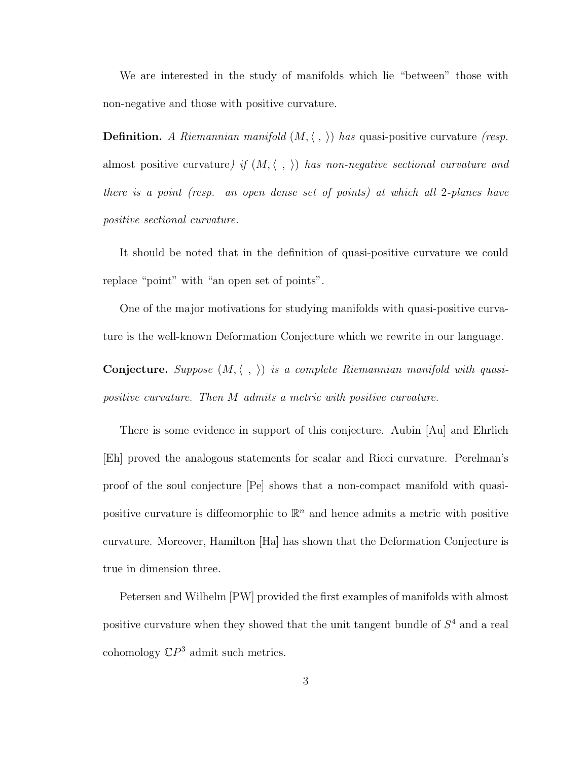We are interested in the study of manifolds which lie "between" those with non-negative and those with positive curvature.

**Definition.** A Riemannian manifold  $(M, \langle , \rangle)$  has quasi-positive curvature (resp. almost positive curvature) if  $(M, \langle , \rangle)$  has non-negative sectional curvature and there is a point (resp. an open dense set of points) at which all 2-planes have positive sectional curvature.

It should be noted that in the definition of quasi-positive curvature we could replace "point" with "an open set of points".

One of the major motivations for studying manifolds with quasi-positive curvature is the well-known Deformation Conjecture which we rewrite in our language.

**Conjecture.** Suppose  $(M, \langle , \rangle)$  is a complete Riemannian manifold with quasipositive curvature. Then M admits a metric with positive curvature.

There is some evidence in support of this conjecture. Aubin [Au] and Ehrlich [Eh] proved the analogous statements for scalar and Ricci curvature. Perelman's proof of the soul conjecture [Pe] shows that a non-compact manifold with quasipositive curvature is diffeomorphic to  $\mathbb{R}^n$  and hence admits a metric with positive curvature. Moreover, Hamilton [Ha] has shown that the Deformation Conjecture is true in dimension three.

Petersen and Wilhelm [PW] provided the first examples of manifolds with almost positive curvature when they showed that the unit tangent bundle of  $S<sup>4</sup>$  and a real cohomology  $\mathbb{C}P^3$  admit such metrics.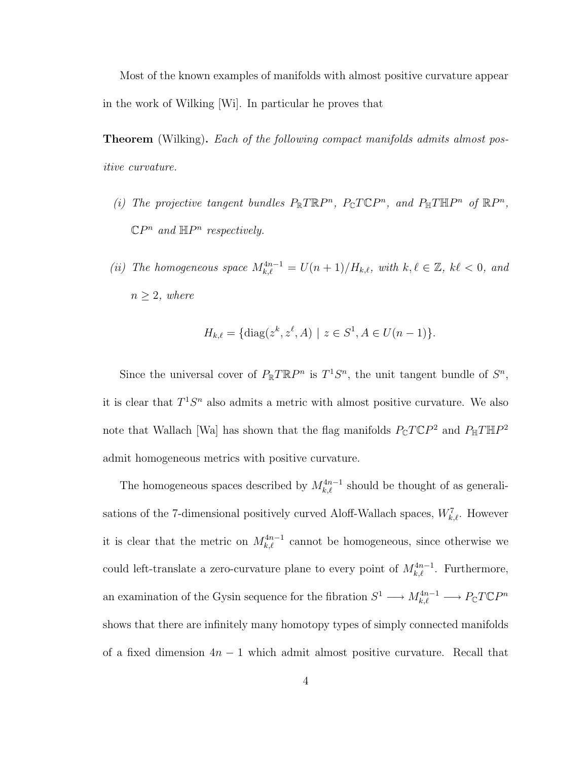Most of the known examples of manifolds with almost positive curvature appear in the work of Wilking [Wi]. In particular he proves that

**Theorem** (Wilking). Each of the following compact manifolds admits almost positive curvature.

- (i) The projective tangent bundles  $P_{\mathbb{R}} T \mathbb{R} P^n$ ,  $P_{\mathbb{C}} T \mathbb{C} P^n$ , and  $P_{\mathbb{H}} T \mathbb{H} P^n$  of  $\mathbb{R} P^n$ ,  $\mathbb{C}P^n$  and  $\mathbb{H}P^n$  respectively.
- (ii) The homogeneous space  $M_{k,\ell}^{4n-1} = U(n+1)/H_{k,\ell}$ , with  $k, \ell \in \mathbb{Z}$ ,  $k\ell < 0$ , and  $n \geq 2$ , where

$$
H_{k,\ell} = \{ \text{diag}(z^k, z^{\ell}, A) \mid z \in S^1, A \in U(n-1) \}.
$$

Since the universal cover of  $P_{\mathbb{R}} T \mathbb{R} P^n$  is  $T^1 S^n$ , the unit tangent bundle of  $S^n$ , it is clear that  $T^1S^n$  also admits a metric with almost positive curvature. We also note that Wallach [Wa] has shown that the flag manifolds  $P_{\mathbb{C}}T\mathbb{C}P^2$  and  $P_{\mathbb{H}}T\mathbb{H}P^2$ admit homogeneous metrics with positive curvature.

The homogeneous spaces described by  $M_{k,\ell}^{4n-1}$  should be thought of as generalisations of the 7-dimensional positively curved Aloff-Wallach spaces,  $W_{k,\ell}^7$ . However it is clear that the metric on  $M_{k,\ell}^{4n-1}$  cannot be homogeneous, since otherwise we could left-translate a zero-curvature plane to every point of  $M_{k,\ell}^{4n-1}$ . Furthermore, an examination of the Gysin sequence for the fibration  $S^1 \longrightarrow M_{k,\ell}^{4n-1} \longrightarrow P_{\mathbb{C}} T \mathbb{C} P^n$ shows that there are infinitely many homotopy types of simply connected manifolds of a fixed dimension  $4n - 1$  which admit almost positive curvature. Recall that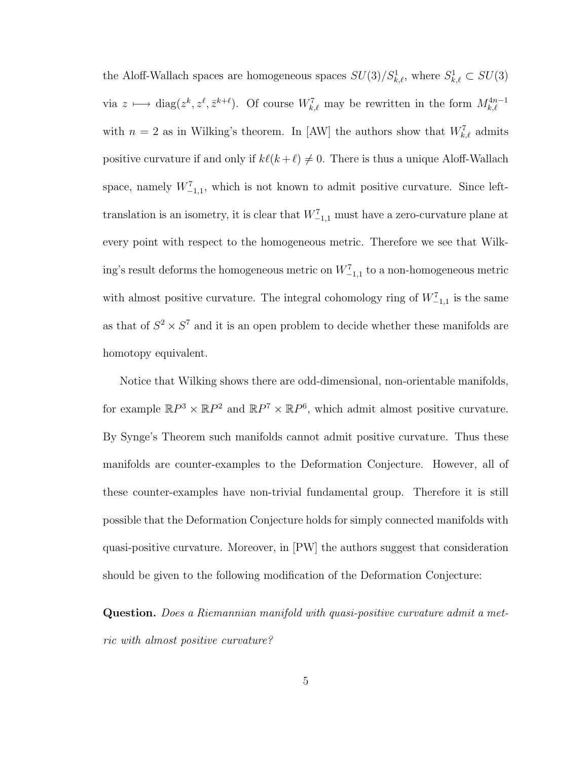the Aloff-Wallach spaces are homogeneous spaces  $SU(3)/S^1_{k,\ell}$ , where  $S^1_{k,\ell} \subset SU(3)$ via  $z \mapsto \text{diag}(z^k, z^{\ell}, \bar{z}^{k+\ell})$ . Of course  $W_{k,\ell}^7$  may be rewritten in the form  $M_{k,\ell}^{4n-1}$ with  $n = 2$  as in Wilking's theorem. In [AW] the authors show that  $W_{k,\ell}^7$  admits positive curvature if and only if  $k\ell(k + \ell) \neq 0$ . There is thus a unique Aloff-Wallach space, namely  $W^7_{-1,1}$ , which is not known to admit positive curvature. Since lefttranslation is an isometry, it is clear that  $W^7_{-1,1}$  must have a zero-curvature plane at every point with respect to the homogeneous metric. Therefore we see that Wilking's result deforms the homogeneous metric on  $W^7_{-1,1}$  to a non-homogeneous metric with almost positive curvature. The integral cohomology ring of  $W^7_{-1,1}$  is the same as that of  $S^2 \times S^7$  and it is an open problem to decide whether these manifolds are homotopy equivalent.

Notice that Wilking shows there are odd-dimensional, non-orientable manifolds, for example  $\mathbb{R}P^3 \times \mathbb{R}P^2$  and  $\mathbb{R}P^7 \times \mathbb{R}P^6$ , which admit almost positive curvature. By Synge's Theorem such manifolds cannot admit positive curvature. Thus these manifolds are counter-examples to the Deformation Conjecture. However, all of these counter-examples have non-trivial fundamental group. Therefore it is still possible that the Deformation Conjecture holds for simply connected manifolds with quasi-positive curvature. Moreover, in [PW] the authors suggest that consideration should be given to the following modification of the Deformation Conjecture:

Question. Does a Riemannian manifold with quasi-positive curvature admit a metric with almost positive curvature?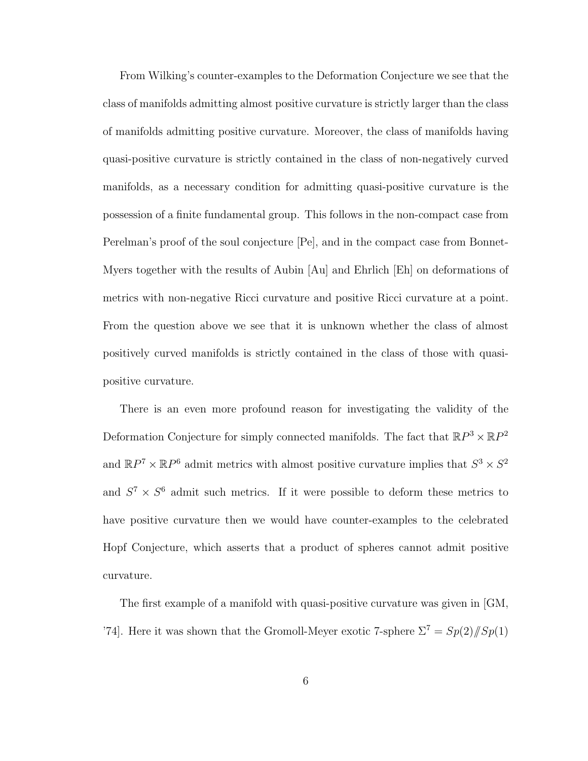From Wilking's counter-examples to the Deformation Conjecture we see that the class of manifolds admitting almost positive curvature is strictly larger than the class of manifolds admitting positive curvature. Moreover, the class of manifolds having quasi-positive curvature is strictly contained in the class of non-negatively curved manifolds, as a necessary condition for admitting quasi-positive curvature is the possession of a finite fundamental group. This follows in the non-compact case from Perelman's proof of the soul conjecture [Pe], and in the compact case from Bonnet-Myers together with the results of Aubin [Au] and Ehrlich [Eh] on deformations of metrics with non-negative Ricci curvature and positive Ricci curvature at a point. From the question above we see that it is unknown whether the class of almost positively curved manifolds is strictly contained in the class of those with quasipositive curvature.

There is an even more profound reason for investigating the validity of the Deformation Conjecture for simply connected manifolds. The fact that  $\mathbb{R}P^3 \times \mathbb{R}P^2$ and  $\mathbb{R}P^7 \times \mathbb{R}P^6$  admit metrics with almost positive curvature implies that  $S^3 \times S^2$ and  $S^7 \times S^6$  admit such metrics. If it were possible to deform these metrics to have positive curvature then we would have counter-examples to the celebrated Hopf Conjecture, which asserts that a product of spheres cannot admit positive curvature.

The first example of a manifold with quasi-positive curvature was given in [GM, '74]. Here it was shown that the Gromoll-Meyer exotic 7-sphere  $\Sigma^7 = Sp(2)/[Sp(1)]$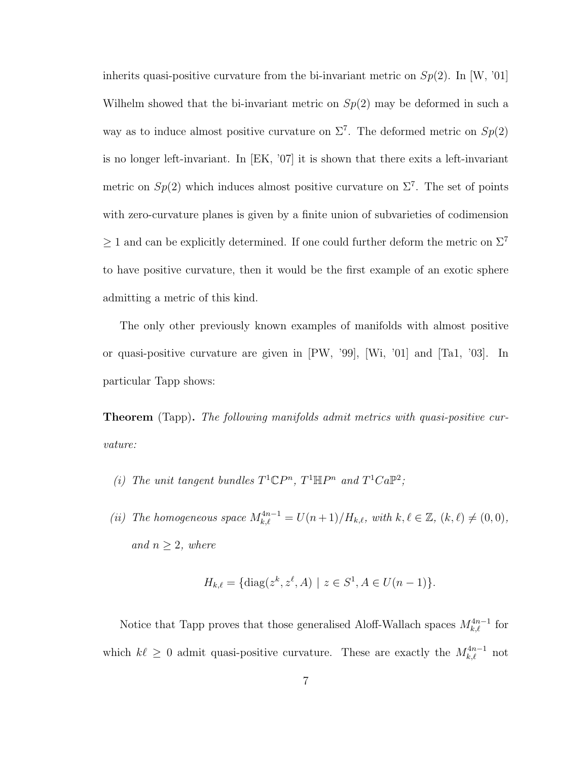inherits quasi-positive curvature from the bi-invariant metric on  $Sp(2)$ . In [W, '01] Wilhelm showed that the bi-invariant metric on  $Sp(2)$  may be deformed in such a way as to induce almost positive curvature on  $\Sigma^7$ . The deformed metric on  $Sp(2)$ is no longer left-invariant. In [EK, '07] it is shown that there exits a left-invariant metric on  $Sp(2)$  which induces almost positive curvature on  $\Sigma^7$ . The set of points with zero-curvature planes is given by a finite union of subvarieties of codimension  $\geq 1$  and can be explicitly determined. If one could further deform the metric on  $\Sigma^7$ to have positive curvature, then it would be the first example of an exotic sphere admitting a metric of this kind.

The only other previously known examples of manifolds with almost positive or quasi-positive curvature are given in [PW, '99], [Wi, '01] and [Ta1, '03]. In particular Tapp shows:

**Theorem** (Tapp). The following manifolds admit metrics with quasi-positive curvature:

(i) The unit tangent bundles  $T^1\mathbb{C}P^n$ ,  $T^1\mathbb{H}P^n$  and  $T^1Ca\mathbb{P}^2$ ;

(ii) The homogeneous space  $M_{k,\ell}^{4n-1} = U(n+1)/H_{k,\ell}$ , with  $k, \ell \in \mathbb{Z}$ ,  $(k, \ell) \neq (0, 0)$ , and  $n \geq 2$ , where

$$
H_{k,\ell} = \{ \text{diag}(z^k, z^\ell, A) \mid z \in S^1, A \in U(n-1) \}.
$$

Notice that Tapp proves that those generalised Aloff-Wallach spaces  $M_{k,\ell}^{4n-1}$  for which  $k\ell \geq 0$  admit quasi-positive curvature. These are exactly the  $M_{k,\ell}^{4n-1}$  not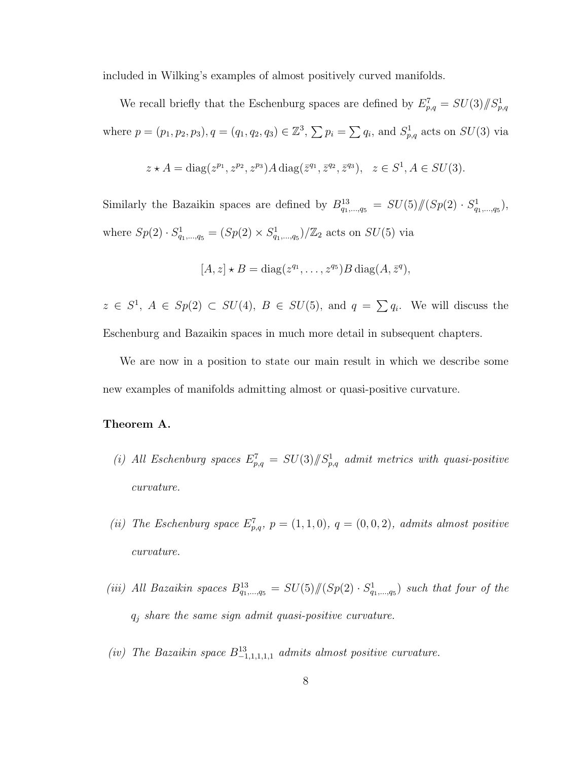included in Wilking's examples of almost positively curved manifolds.

We recall briefly that the Eschenburg spaces are defined by  $E_{p,q}^7 = SU(3)/\hspace{-3pt}/ S_{p,q}^1$ where  $p = (p_1, p_2, p_3), q = (q_1, q_2, q_3) \in \mathbb{Z}^3$ ,  $\sum p_i = \sum q_i$ , and  $S_{p,q}^1$  acts on  $SU(3)$  via

$$
z \star A = \text{diag}(z^{p_1}, z^{p_2}, z^{p_3}) A \text{ diag}(\bar{z}^{q_1}, \bar{z}^{q_2}, \bar{z}^{q_3}), \ z \in S^1, A \in SU(3).
$$

Similarly the Bazaikin spaces are defined by  $B_{q_1,...,q_5}^{13} = SU(5)/\!/(Sp(2) \cdot S_{q_1,...,q_5}^1)$ , where  $Sp(2) \cdot S^1_{q_1,...,q_5} = (Sp(2) \times S^1_{q_1,...,q_5})/\mathbb{Z}_2$  acts on  $SU(5)$  via

$$
[A, z] \star B = diag(z^{q_1}, \ldots, z^{q_5})B diag(A, \overline{z}^q),
$$

 $z \in S^1$ ,  $A \in Sp(2) \subset SU(4)$ ,  $B \in SU(5)$ , and  $q = \sum q_i$ . We will discuss the Eschenburg and Bazaikin spaces in much more detail in subsequent chapters.

We are now in a position to state our main result in which we describe some new examples of manifolds admitting almost or quasi-positive curvature.

#### Theorem A.

- (i) All Eschenburg spaces  $E_{p,q}^7 = SU(3)/\!\!/ S_{p,q}^1$  admit metrics with quasi-positive curvature.
- (ii) The Eschenburg space  $E_{p,q}^7$ ,  $p = (1,1,0)$ ,  $q = (0,0,2)$ , admits almost positive curvature.
- (iii) All Bazaikin spaces  $B_{q_1,...,q_5}^{13} = SU(5)/\hspace{-3pt}/(Sp(2) \cdot S_{q_1,...,q_5}^1)$  such that four of the  $q_j$  share the same sign admit quasi-positive curvature.
- (iv) The Bazaikin space  $B_{-1,1,1,1,1}^{13}$  admits almost positive curvature.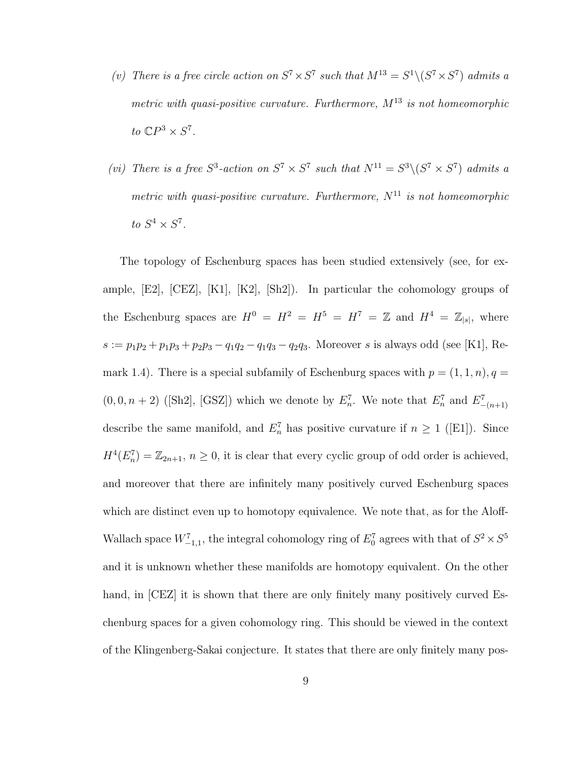- (v) There is a free circle action on  $S^7 \times S^7$  such that  $M^{13} = S^1 \setminus (S^7 \times S^7)$  admits a metric with quasi-positive curvature. Furthermore,  $M^{13}$  is not homeomorphic to  $\mathbb{C}P^3 \times S^7$ .
- (vi) There is a free  $S^3$ -action on  $S^7 \times S^7$  such that  $N^{11} = S^3 \setminus (S^7 \times S^7)$  admits a metric with quasi-positive curvature. Furthermore,  $N^{11}$  is not homeomorphic to  $S^4 \times S^7$ .

The topology of Eschenburg spaces has been studied extensively (see, for example, [E2], [CEZ], [K1], [K2], [Sh2]). In particular the cohomology groups of the Eschenburg spaces are  $H^0 = H^2 = H^5 = H^7 = \mathbb{Z}$  and  $H^4 = \mathbb{Z}_{|s|}$ , where  $s := p_1p_2 + p_1p_3 + p_2p_3 - q_1q_2 - q_1q_3 - q_2q_3$ . Moreover s is always odd (see [K1], Remark 1.4). There is a special subfamily of Eschenburg spaces with  $p = (1, 1, n), q =$  $(0, 0, n+2)$  ([Sh2], [GSZ]) which we denote by  $E_n^7$ . We note that  $E_n^7$  and  $E_{-(n+1)}^7$ describe the same manifold, and  $E_n^7$  has positive curvature if  $n \geq 1$  ([E1]). Since  $H^4(E_n^7) = \mathbb{Z}_{2n+1}, n \geq 0$ , it is clear that every cyclic group of odd order is achieved, and moreover that there are infinitely many positively curved Eschenburg spaces which are distinct even up to homotopy equivalence. We note that, as for the Aloff-Wallach space  $W^7_{-1,1}$ , the integral cohomology ring of  $E_0^7$  agrees with that of  $S^2 \times S^5$ and it is unknown whether these manifolds are homotopy equivalent. On the other hand, in [CEZ] it is shown that there are only finitely many positively curved Eschenburg spaces for a given cohomology ring. This should be viewed in the context of the Klingenberg-Sakai conjecture. It states that there are only finitely many pos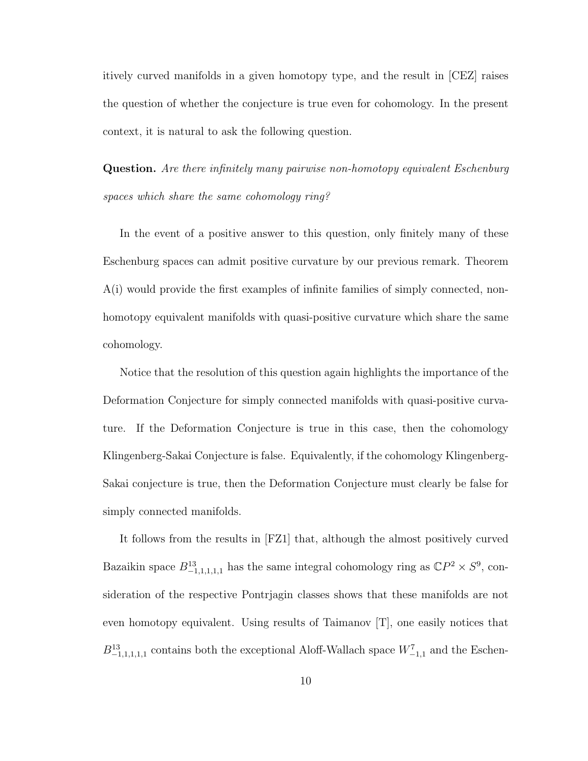itively curved manifolds in a given homotopy type, and the result in [CEZ] raises the question of whether the conjecture is true even for cohomology. In the present context, it is natural to ask the following question.

Question. Are there infinitely many pairwise non-homotopy equivalent Eschenburg spaces which share the same cohomology ring?

In the event of a positive answer to this question, only finitely many of these Eschenburg spaces can admit positive curvature by our previous remark. Theorem A(i) would provide the first examples of infinite families of simply connected, nonhomotopy equivalent manifolds with quasi-positive curvature which share the same cohomology.

Notice that the resolution of this question again highlights the importance of the Deformation Conjecture for simply connected manifolds with quasi-positive curvature. If the Deformation Conjecture is true in this case, then the cohomology Klingenberg-Sakai Conjecture is false. Equivalently, if the cohomology Klingenberg-Sakai conjecture is true, then the Deformation Conjecture must clearly be false for simply connected manifolds.

It follows from the results in [FZ1] that, although the almost positively curved Bazaikin space  $B_{-1,1,1,1,1}^{13}$  has the same integral cohomology ring as  $\mathbb{C}P^2 \times S^9$ , consideration of the respective Pontrjagin classes shows that these manifolds are not even homotopy equivalent. Using results of Taimanov [T], one easily notices that  $B^{13}_{-1,1,1,1,1}$  contains both the exceptional Aloff-Wallach space  $W^7_{-1,1}$  and the Eschen-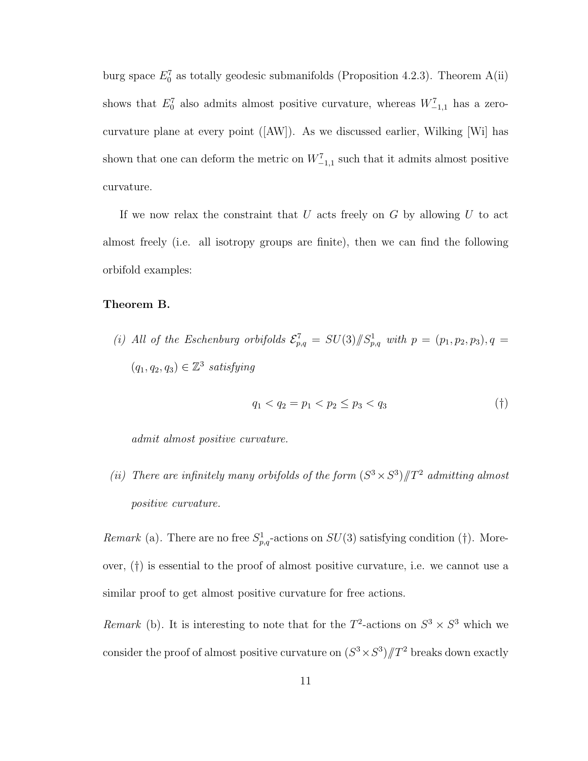burg space  $E_0^7$  as totally geodesic submanifolds (Proposition 4.2.3). Theorem A(ii) shows that  $E_0^7$  also admits almost positive curvature, whereas  $W_{-1,1}^7$  has a zerocurvature plane at every point ([AW]). As we discussed earlier, Wilking [Wi] has shown that one can deform the metric on  $W_{-1,1}^7$  such that it admits almost positive curvature.

If we now relax the constraint that  $U$  acts freely on  $G$  by allowing  $U$  to act almost freely (i.e. all isotropy groups are finite), then we can find the following orbifold examples:

#### Theorem B.

(i) All of the Eschenburg orbifolds  $\mathcal{E}_{p,q}^7 = SU(3)/\hspace{-3pt}/ S_{p,q}^1$  with  $p = (p_1, p_2, p_3), q =$  $(q_1, q_2, q_3) \in \mathbb{Z}^3$  satisfying

$$
q_1 < q_2 = p_1 < p_2 \le p_3 < q_3 \tag{\dagger}
$$

admit almost positive curvature.

(ii) There are infinitely many orbifolds of the form  $(S^3 \times S^3)/T^2$  admitting almost positive curvature.

Remark (a). There are no free  $S^1_{p,q}$ -actions on  $SU(3)$  satisfying condition (†). Moreover, (†) is essential to the proof of almost positive curvature, i.e. we cannot use a similar proof to get almost positive curvature for free actions.

Remark (b). It is interesting to note that for the  $T^2$ -actions on  $S^3 \times S^3$  which we consider the proof of almost positive curvature on  $(S^3 \times S^3)/T^2$  breaks down exactly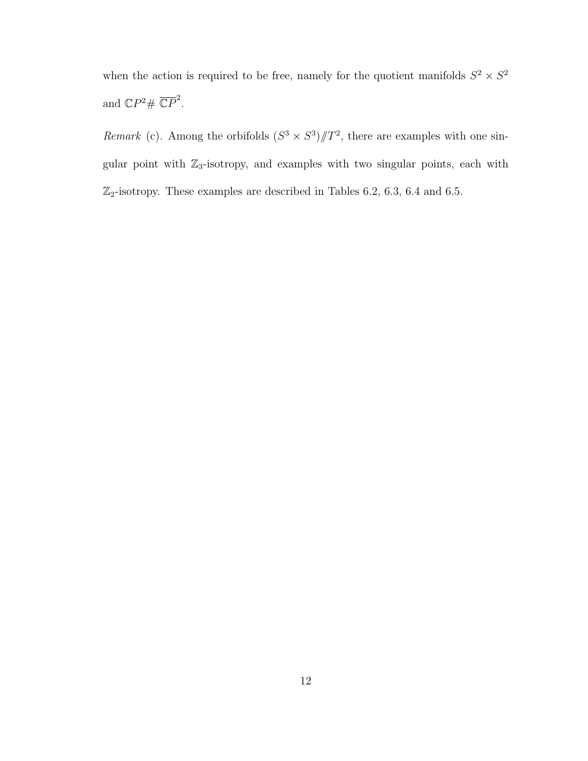when the action is required to be free, namely for the quotient manifolds  $S^2 \times S^2$ and  $\mathbb{C}P^2 \# \overline{\mathbb{C}P}^2$ .

*Remark* (c). Among the orbifolds  $(S^3 \times S^3)/T^2$ , there are examples with one singular point with  $\mathbb{Z}_3$ -isotropy, and examples with two singular points, each with  $\mathbb{Z}_2$ -isotropy. These examples are described in Tables 6.2, 6.3, 6.4 and 6.5.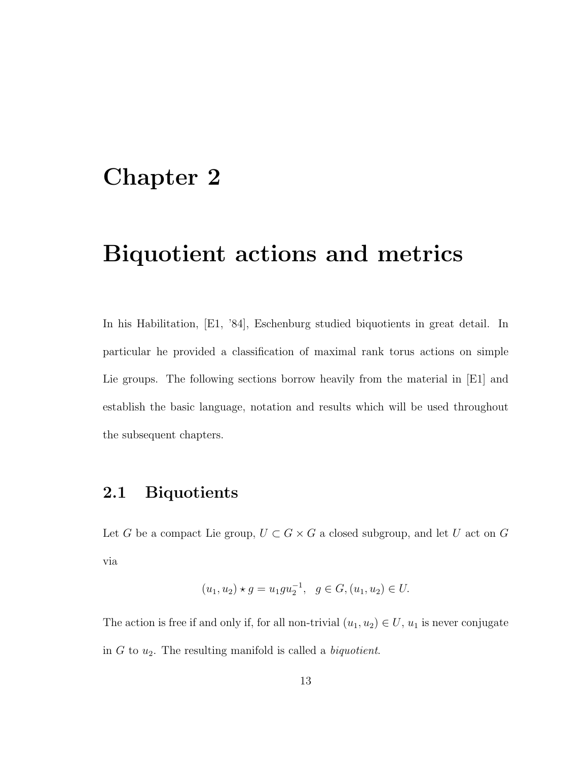## Chapter 2

## Biquotient actions and metrics

In his Habilitation, [E1, '84], Eschenburg studied biquotients in great detail. In particular he provided a classification of maximal rank torus actions on simple Lie groups. The following sections borrow heavily from the material in [E1] and establish the basic language, notation and results which will be used throughout the subsequent chapters.

### 2.1 Biquotients

Let G be a compact Lie group,  $U \subset G \times G$  a closed subgroup, and let U act on G via

$$
(u_1, u_2) \star g = u_1 g u_2^{-1}, \quad g \in G, (u_1, u_2) \in U.
$$

The action is free if and only if, for all non-trivial  $(u_1, u_2) \in U$ ,  $u_1$  is never conjugate in  $G$  to  $u_2$ . The resulting manifold is called a *biquotient*.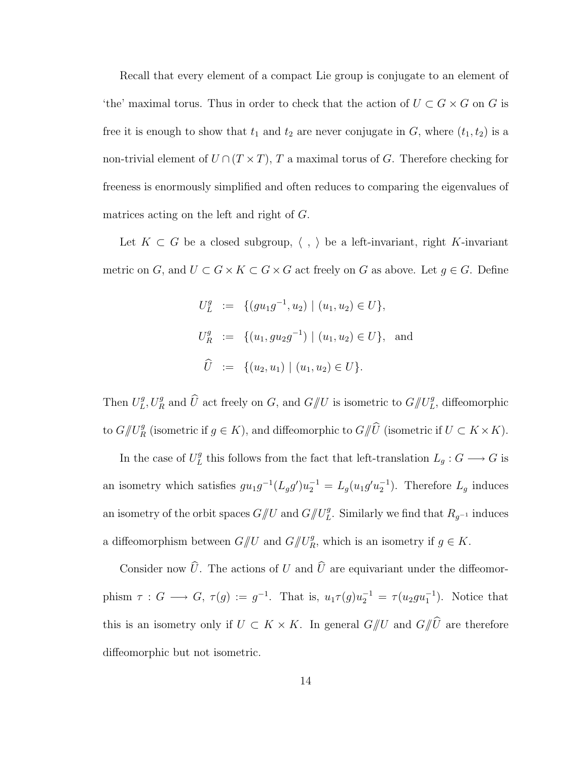Recall that every element of a compact Lie group is conjugate to an element of 'the' maximal torus. Thus in order to check that the action of  $U \subset G \times G$  on G is free it is enough to show that  $t_1$  and  $t_2$  are never conjugate in G, where  $(t_1, t_2)$  is a non-trivial element of  $U \cap (T \times T)$ , T a maximal torus of G. Therefore checking for freeness is enormously simplified and often reduces to comparing the eigenvalues of matrices acting on the left and right of G.

Let  $K \subset G$  be a closed subgroup,  $\langle , \rangle$  be a left-invariant, right K-invariant metric on G, and  $U \subset G \times K \subset G \times G$  act freely on G as above. Let  $g \in G$ . Define

$$
U_L^g := \{ (gu_1g^{-1}, u_2) \mid (u_1, u_2) \in U \},
$$
  
\n
$$
U_R^g := \{ (u_1, gu_2g^{-1}) \mid (u_1, u_2) \in U \},
$$
 and  
\n
$$
\widehat{U} := \{ (u_2, u_1) \mid (u_1, u_2) \in U \}.
$$

Then  $U^g_L$  $L^g, U_R^g$  and  $\widehat{U}$  act freely on G, and  $G/\!\!/ U$  is isometric to  $G/\!\!/ U_L^g$ , diffeomorphic to  $G/\!\!/ U_R^g$  (isometric if  $g \in K$ ), and diffeomorphic to  $G/\!\!/ \widehat{U}$  (isometric if  $U \subset K \times K$ ).

In the case of  $U_L^g$  $L<sup>g</sup>$  this follows from the fact that left-translation  $L<sub>g</sub>$ :  $G \longrightarrow G$  is an isometry which satisfies  $gu_1g^{-1}(L_g g')u_2^{-1} = L_g(u_1g'u_2^{-1})$ . Therefore  $L_g$  induces an isometry of the orbit spaces  $G/\!\!/ U$  and  $G/\!\!/ U_L^g$ . Similarly we find that  $R_{g^{-1}}$  induces a diffeomorphism between  $G/\!\!/ U$  and  $G/\!\!/ U_R^g$ , which is an isometry if  $g \in K$ .

Consider now  $\widehat{U}$ . The actions of U and  $\widehat{U}$  are equivariant under the diffeomorphism  $\tau: G \longrightarrow G$ ,  $\tau(g) := g^{-1}$ . That is,  $u_1 \tau(g) u_2^{-1} = \tau(u_2 gu_1^{-1})$ . Notice that this is an isometry only if  $U \subset K \times K$ . In general  $G/\!\!/ U$  and  $G/\!\!/ \widehat{U}$  are therefore diffeomorphic but not isometric.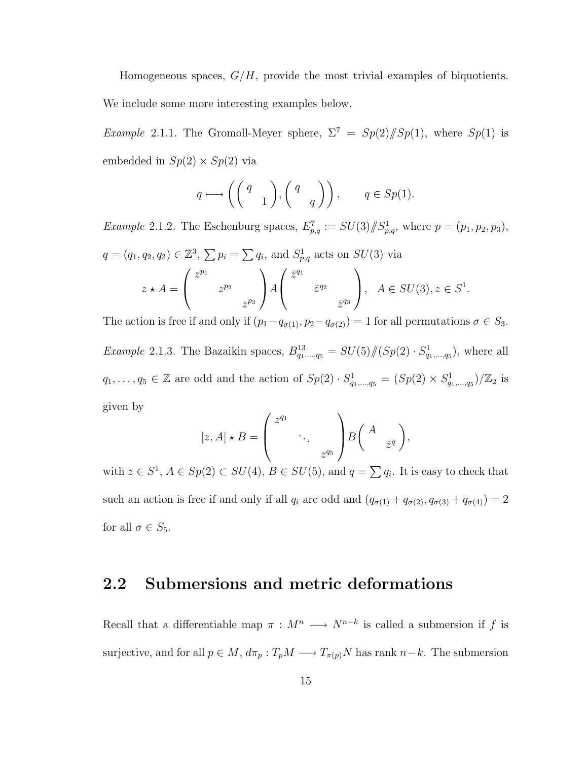Homogeneous spaces,  $G/H$ , provide the most trivial examples of biquotients.

We include some more interesting examples below.

Example 2.1.1. The Gromoll-Meyer sphere,  $\Sigma^7 = Sp(2)/[Sp(1)]$ , where  $Sp(1)$  is embedded in  $Sp(2) \times Sp(2)$  via

$$
q \longmapsto \left( \begin{pmatrix} q \\ & 1 \end{pmatrix}, \begin{pmatrix} q \\ & q \end{pmatrix} \right), \qquad q \in Sp(1).
$$

*Example 2.1.2.* The Eschenburg spaces,  $E_{p,q}^7 := SU(3)/\!\!/ S_{p,q}^1$ , where  $p = (p_1, p_2, p_3)$ ,  $q = (q_1, q_2, q_3) \in \mathbb{Z}^3$ ,  $\sum p_i = \sum q_i$ , and  $S^1_{p,q}$  acts on  $SU(3)$  via

$$
z \star A = \begin{pmatrix} z^{p_1} & & \cdots & z^{p_2} \\ & z^{p_2} & & \vdots \\ & & z^{p_3} \end{pmatrix} A \begin{pmatrix} \overline{z}^{q_1} & & \vdots \\ & \overline{z}^{q_2} & \vdots \\ & & \overline{z}^{q_3} \end{pmatrix}, \quad A \in SU(3), z \in S^1.
$$

The action is free if and only if  $(p_1-q_{\sigma(1)}, p_2-q_{\sigma(2)})=1$  for all permutations  $\sigma \in S_3$ . *Example* 2.1.3. The Bazaikin spaces,  $B_{q_1,...,q_5}^{13} = SU(5)/\!(Sp(2) \cdot S_{q_1,...,q_5}^1)$ , where all  $q_1,\ldots,q_5\in\mathbb{Z}$  are odd and the action of  $Sp(2)\cdot S^1_{q_1,\ldots,q_5}=(Sp(2)\times S^1_{q_1,\ldots,q_5})/\mathbb{Z}_2$  is given by  $\overline{a}$  $\mathbf{r}$ 

$$
[z, A] \star B = \begin{pmatrix} z^{q_1} & & \\ & \ddots & \\ & & z^{q_5} \end{pmatrix} B \begin{pmatrix} A & \\ & \overline{z}^q \end{pmatrix},
$$

with  $z \in S^1$ ,  $A \in Sp(2) \subset SU(4)$ ,  $B \in SU(5)$ , and  $q = \sum q_i$ . It is easy to check that such an action is free if and only if all  $q_i$  are odd and  $(q_{\sigma(1)} + q_{\sigma(2)}, q_{\sigma(3)} + q_{\sigma(4)}) = 2$ for all  $\sigma \in S_5$ .

### 2.2 Submersions and metric deformations

Recall that a differentiable map  $\pi : M^n \longrightarrow N^{n-k}$  is called a submersion if f is surjective, and for all  $p \in M$ ,  $d\pi_p : T_pM \longrightarrow T_{\pi(p)}N$  has rank  $n-k$ . The submersion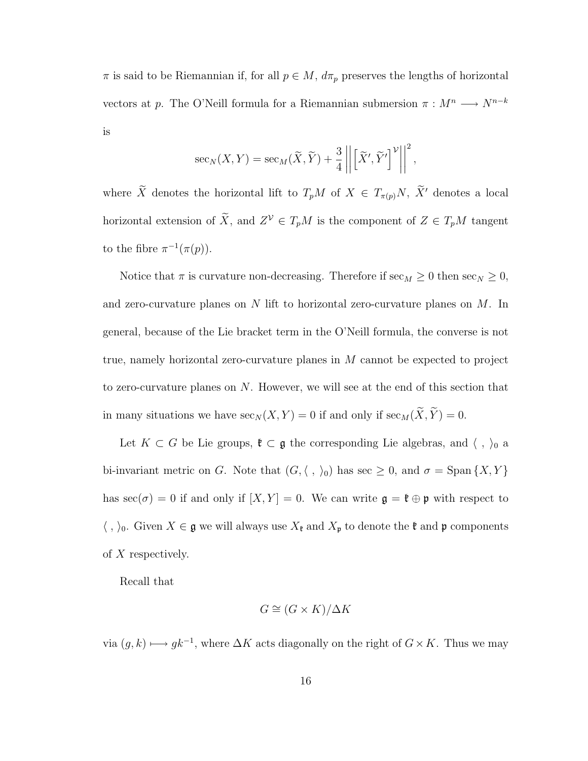$\pi$  is said to be Riemannian if, for all  $p \in M$ ,  $d\pi_p$  preserves the lengths of horizontal vectors at p. The O'Neill formula for a Riemannian submersion  $\pi : M^n \longrightarrow N^{n-k}$ is

$$
\sec_N(X, Y) = \sec_M(\widetilde{X}, \widetilde{Y}) + \frac{3}{4} \left\| \left[ \widetilde{X}', \widetilde{Y}' \right]^\mathcal{V} \right\|^2,
$$

where  $\widetilde{X}$  denotes the horizontal lift to  $T_pM$  of  $X \in T_{\pi(p)}N$ ,  $\widetilde{X}'$  denotes a local horizontal extension of  $\widetilde{X}$ , and  $Z^{\mathcal{V}} \in T_pM$  is the component of  $Z \in T_pM$  tangent to the fibre  $\pi^{-1}(\pi(p)).$ 

Notice that  $\pi$  is curvature non-decreasing. Therefore if  $\sec_M \geq 0$  then  $\sec_N \geq 0$ , and zero-curvature planes on N lift to horizontal zero-curvature planes on M. In general, because of the Lie bracket term in the O'Neill formula, the converse is not true, namely horizontal zero-curvature planes in M cannot be expected to project to zero-curvature planes on N. However, we will see at the end of this section that in many situations we have  $\sec_N (X, Y) = 0$  if and only if  $\sec_M(\widetilde{X}, \widetilde{Y}) = 0$ .

Let  $K \subset G$  be Lie groups,  $\mathfrak{k} \subset \mathfrak{g}$  the corresponding Lie algebras, and  $\langle , \rangle_0$  a bi-invariant metric on G. Note that  $(G, \langle , \rangle_0)$  has sec  $\geq 0$ , and  $\sigma = \text{Span }\{X, Y\}$ has  $\sec(\sigma) = 0$  if and only if  $[X, Y] = 0$ . We can write  $\mathfrak{g} = \mathfrak{k} \oplus \mathfrak{p}$  with respect to  $\langle , \rangle_0$ . Given  $X \in \mathfrak{g}$  we will always use  $X_{\mathfrak{k}}$  and  $X_{\mathfrak{p}}$  to denote the  $\mathfrak{k}$  and  $\mathfrak{p}$  components of X respectively.

Recall that

$$
G \cong (G \times K) / \Delta K
$$

via  $(g, k) \longmapsto gk^{-1}$ , where  $\Delta K$  acts diagonally on the right of  $G \times K$ . Thus we may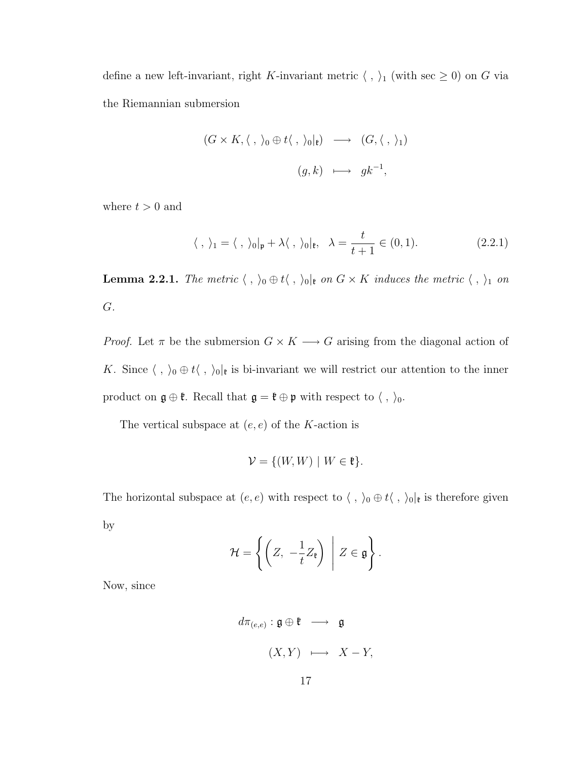define a new left-invariant, right K-invariant metric  $\langle , \rangle_1$  (with sec  $\geq 0$ ) on G via the Riemannian submersion

$$
(G \times K, \langle , \rangle_0 \oplus t \langle , \rangle_0 |_{\mathfrak{k}}) \longrightarrow (G, \langle , \rangle_1)
$$
  

$$
(g, k) \longmapsto gk^{-1},
$$

where  $t > 0$  and

$$
\langle , \rangle_1 = \langle , \rangle_0|_{\mathfrak{p}} + \lambda \langle , \rangle_0|_{\mathfrak{k}}, \quad \lambda = \frac{t}{t+1} \in (0,1). \tag{2.2.1}
$$

**Lemma 2.2.1.** The metric  $\langle , \rangle_0 \oplus t \langle , \rangle_0|_t$  on  $G \times K$  induces the metric  $\langle , \rangle_1$  on G.

*Proof.* Let  $\pi$  be the submersion  $G \times K \longrightarrow G$  arising from the diagonal action of K. Since  $\langle , \rangle_0 \oplus t \langle , \rangle_0|_t$  is bi-invariant we will restrict our attention to the inner product on  $\mathfrak{g}\oplus\mathfrak{k}.$  Recall that  $\mathfrak{g}=\mathfrak{k}\oplus\mathfrak{p}$  with respect to  $\langle\;,\;\rangle_0.$ 

The vertical subspace at  $(e, e)$  of the K-action is

$$
\mathcal{V} = \{ (W, W) \mid W \in \mathfrak{k} \}.
$$

The horizontal subspace at  $(e, e)$  with respect to  $\langle , \rangle_0 \oplus t \langle , \rangle_0|_{\mathfrak{k}}$  is therefore given by

$$
\mathcal{H} = \left\{ \left( Z, -\frac{1}{t} Z_{\mathfrak{k}} \right) \middle| Z \in \mathfrak{g} \right\}.
$$

Now, since

$$
d\pi_{(e,e)}: \mathfrak{g} \oplus \mathfrak{k} \longrightarrow \mathfrak{g}
$$

$$
(X,Y) \longmapsto X-Y,
$$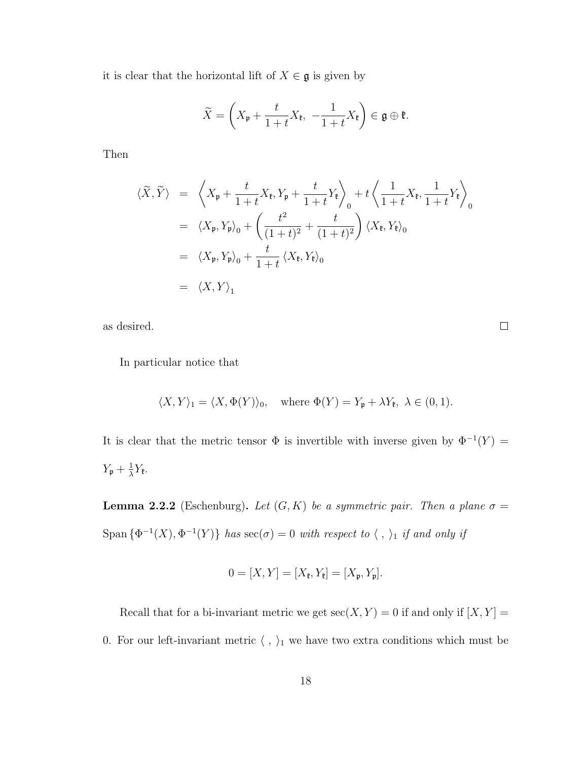it is clear that the horizontal lift of  $X \in \mathfrak{g}$  is given by

$$
\widetilde{X} = \left(X_{\mathfrak{p}} + \frac{t}{1+t}X_{\mathfrak{k}}, -\frac{1}{1+t}X_{\mathfrak{k}}\right) \in \mathfrak{g} \oplus \mathfrak{k}.
$$

Then

$$
\langle \widetilde{X}, \widetilde{Y} \rangle = \left\langle X_{\mathfrak{p}} + \frac{t}{1+t} X_{\mathfrak{k}}, Y_{\mathfrak{p}} + \frac{t}{1+t} Y_{\mathfrak{k}} \right\rangle_{0} + t \left\langle \frac{1}{1+t} X_{\mathfrak{k}}, \frac{1}{1+t} Y_{\mathfrak{k}} \right\rangle_{0}
$$
  
\n
$$
= \left\langle X_{\mathfrak{p}}, Y_{\mathfrak{p}} \right\rangle_{0} + \left( \frac{t^{2}}{(1+t)^{2}} + \frac{t}{(1+t)^{2}} \right) \left\langle X_{\mathfrak{k}}, Y_{\mathfrak{k}} \right\rangle_{0}
$$
  
\n
$$
= \left\langle X_{\mathfrak{p}}, Y_{\mathfrak{p}} \right\rangle_{0} + \frac{t}{1+t} \left\langle X_{\mathfrak{k}}, Y_{\mathfrak{k}} \right\rangle_{0}
$$
  
\n
$$
= \left\langle X, Y \right\rangle_{1}
$$

as desired.

 $\Box$ 

In particular notice that

$$
\langle X, Y \rangle_1 = \langle X, \Phi(Y) \rangle_0
$$
, where  $\Phi(Y) = Y_p + \lambda Y_{\mathfrak{k}}$ ,  $\lambda \in (0, 1)$ .

It is clear that the metric tensor  $\Phi$  is invertible with inverse given by  $\Phi^{-1}(Y) =$  $Y_{\mathfrak{p}} + \frac{1}{\lambda}$  $\frac{1}{\lambda}Y_{\mathfrak{k}}.$ 

**Lemma 2.2.2** (Eschenburg). Let  $(G, K)$  be a symmetric pair. Then a plane  $\sigma$  = Span  $\{\Phi^{-1}(X), \Phi^{-1}(Y)\}\$  has  $\sec(\sigma) = 0$  with respect to  $\langle , \rangle_1$  if and only if

$$
0 = [X, Y] = [X_{\mathfrak{k}}, Y_{\mathfrak{k}}] = [X_{\mathfrak{p}}, Y_{\mathfrak{p}}].
$$

Recall that for a bi-invariant metric we get  $\sec(X, Y) = 0$  if and only if  $[X, Y] =$ 0. For our left-invariant metric  $\langle \; , \; \rangle_1$  we have two extra conditions which must be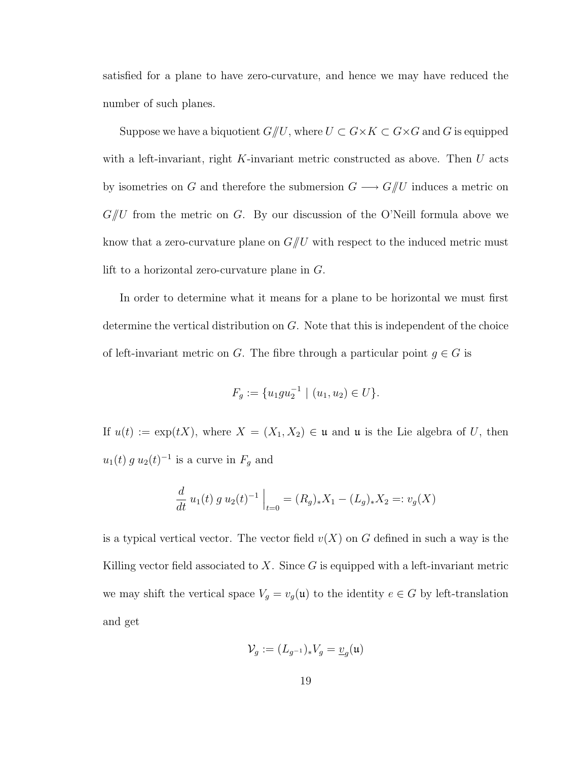satisfied for a plane to have zero-curvature, and hence we may have reduced the number of such planes.

Suppose we have a biquotient  $G/\!\!/ U$ , where  $U \subset G \times K \subset G \times G$  and G is equipped with a left-invariant, right  $K$ -invariant metric constructed as above. Then  $U$  acts by isometries on G and therefore the submersion  $G \longrightarrow G/\hspace{-3pt}/ U$  induces a metric on  $G/U$  from the metric on G. By our discussion of the O'Neill formula above we know that a zero-curvature plane on  $G/U$  with respect to the induced metric must lift to a horizontal zero-curvature plane in G.

In order to determine what it means for a plane to be horizontal we must first determine the vertical distribution on G. Note that this is independent of the choice of left-invariant metric on G. The fibre through a particular point  $g \in G$  is

$$
F_g := \{u_1gu_2^{-1} \mid (u_1, u_2) \in U\}.
$$

If  $u(t) := \exp(tX)$ , where  $X = (X_1, X_2) \in \mathfrak{u}$  and  $\mathfrak{u}$  is the Lie algebra of U, then  $u_1(t) g u_2(t)^{-1}$  is a curve in  $F_g$  and

$$
\frac{d}{dt} u_1(t) g u_2(t)^{-1} \Big|_{t=0} = (R_g)_* X_1 - (L_g)_* X_2 =: v_g(X)
$$

is a typical vertical vector. The vector field  $v(X)$  on G defined in such a way is the Killing vector field associated to  $X$ . Since  $G$  is equipped with a left-invariant metric we may shift the vertical space  $V_g = v_g(\mathfrak{u})$  to the identity  $e \in G$  by left-translation and get

$$
\mathcal{V}_g := (L_{g^{-1}})_* V_g = \underline{v}_g(\mathfrak{u})
$$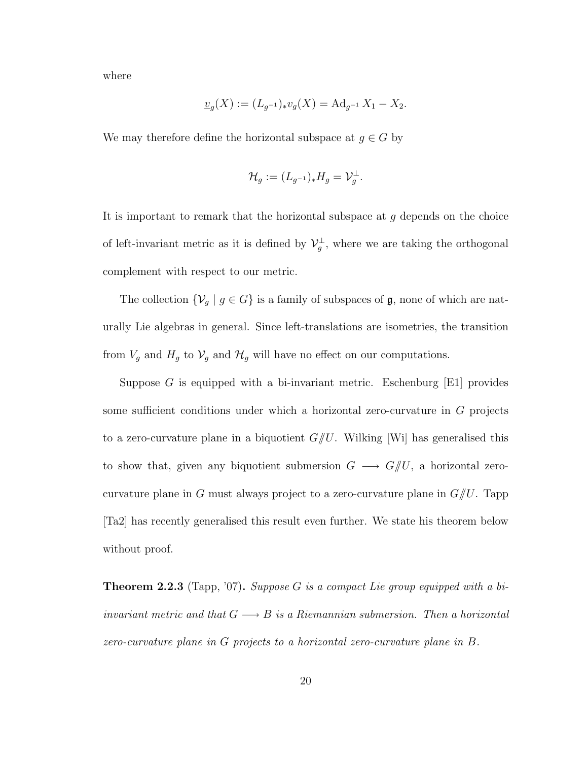where

$$
\underline{v}_g(X) := (L_{g^{-1}})_* v_g(X) = \mathrm{Ad}_{g^{-1}} X_1 - X_2.
$$

We may therefore define the horizontal subspace at  $g \in G$  by

$$
\mathcal{H}_g := (L_{g^{-1}})_* H_g = \mathcal{V}_g^{\perp}.
$$

It is important to remark that the horizontal subspace at  $g$  depends on the choice of left-invariant metric as it is defined by  $\mathcal{V}_g^{\perp}$ , where we are taking the orthogonal complement with respect to our metric.

The collection  $\{\mathcal{V}_g \mid g \in G\}$  is a family of subspaces of  $\mathfrak{g}$ , none of which are naturally Lie algebras in general. Since left-translations are isometries, the transition from  $V_g$  and  $H_g$  to  $V_g$  and  $H_g$  will have no effect on our computations.

Suppose G is equipped with a bi-invariant metric. Eschenburg  $[E1]$  provides some sufficient conditions under which a horizontal zero-curvature in G projects to a zero-curvature plane in a biquotient  $G/U$ . Wilking [Wi] has generalised this to show that, given any biquotient submersion  $G \longrightarrow G/\!\!/ U$ , a horizontal zerocurvature plane in G must always project to a zero-curvature plane in  $G/U$ . Tapp [Ta2] has recently generalised this result even further. We state his theorem below without proof.

**Theorem 2.2.3** (Tapp, '07). Suppose G is a compact Lie group equipped with a biinvariant metric and that  $G \longrightarrow B$  is a Riemannian submersion. Then a horizontal zero-curvature plane in G projects to a horizontal zero-curvature plane in B.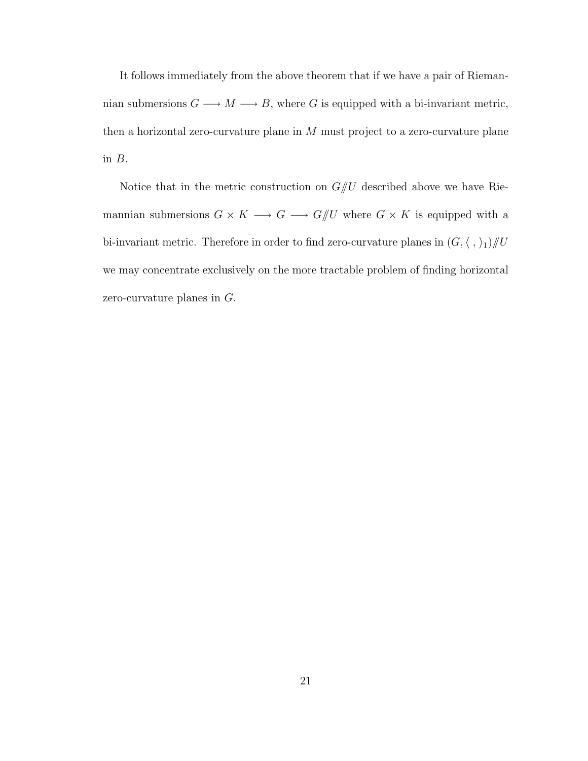It follows immediately from the above theorem that if we have a pair of Riemannian submersions  $G \longrightarrow M \longrightarrow B$ , where G is equipped with a bi-invariant metric, then a horizontal zero-curvature plane in  $M$  must project to a zero-curvature plane in B.

Notice that in the metric construction on  $G/U$  described above we have Riemannian submersions  $G\times K\longrightarrow G\longrightarrow G/\!\!/ U$  where  $G\times K$  is equipped with a bi-invariant metric. Therefore in order to find zero-curvature planes in  $(G,\langle\;,\rangle_1)/\!\!/ U$ we may concentrate exclusively on the more tractable problem of finding horizontal zero-curvature planes in G.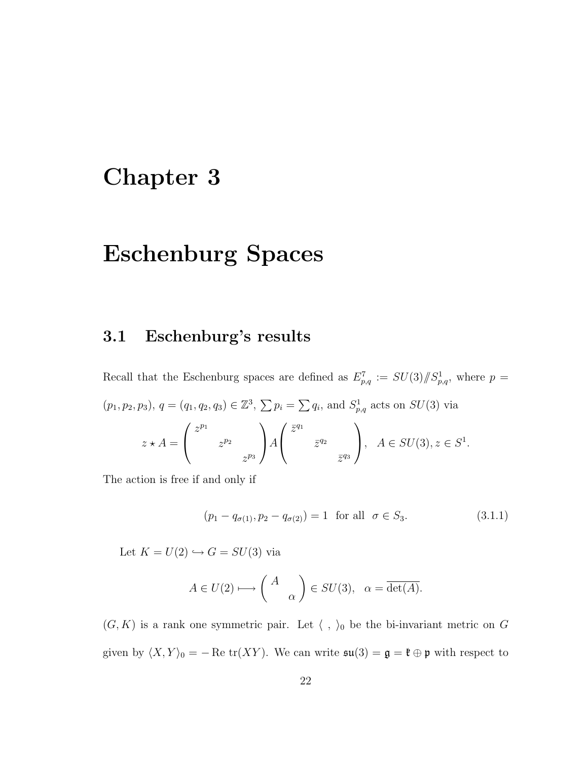## Chapter 3

## Eschenburg Spaces

### 3.1 Eschenburg's results

Recall that the Eschenburg spaces are defined as  $E_{p,q}^7 := SU(3)/\!\!/ S_{p,q}^1$ , where  $p =$  $(p_1, p_2, p_3), q = (q_1, q_2, q_3) \in \mathbb{Z}^3, \sum p_i = \sum q_i$ , and  $S^1_{p,q}$  acts on  $SU(3)$  via  $z \star A =$  $\overline{\phantom{a}}$  $\overline{1}$  $z^{p_1}$  $z^{p_2}$  $z^{p_3}$  $\mathbf{r}$  $\big|$   $\big|$  $\overline{a}$  $\overline{1}$  $\bar{z}^{q_1}$  $\bar{z}^{q_2}$  $\bar{z}^{q_3}$  $\mathbf{r}$  $\bigg\}, A \in SU(3), z \in S^1.$ 

The action is free if and only if

$$
(p_1 - q_{\sigma(1)}, p_2 - q_{\sigma(2)}) = 1 \text{ for all } \sigma \in S_3.
$$
 (3.1.1)

Let  $K = U(2) \hookrightarrow G = SU(3)$  via

$$
A \in U(2) \longmapsto \begin{pmatrix} A \\ & \alpha \end{pmatrix} \in SU(3), \quad \alpha = \overline{\det(A)}.
$$

 $(G, K)$  is a rank one symmetric pair. Let  $\langle , \rangle_0$  be the bi-invariant metric on G given by  $\langle X, Y \rangle_0 = - \text{Re tr}(XY)$ . We can write  $\mathfrak{su}(3) = \mathfrak{g} = \mathfrak{k} \oplus \mathfrak{p}$  with respect to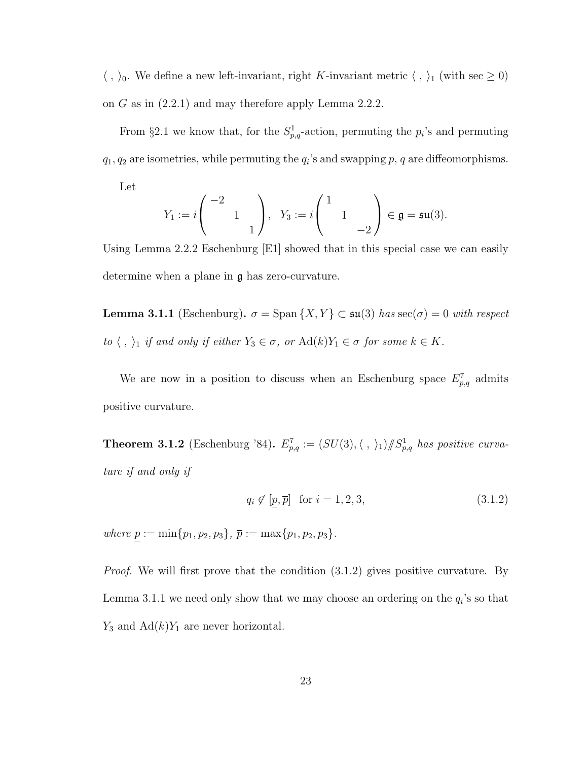$\langle , \rangle_0$ . We define a new left-invariant, right K-invariant metric  $\langle , \rangle_1$  (with sec  $\geq 0$ ) on G as in (2.2.1) and may therefore apply Lemma 2.2.2.

From §2.1 we know that, for the  $S^1_{p,q}$ -action, permuting the  $p_i$ 's and permuting  $q_1, q_2$  are isometries, while permuting the  $q_i$ 's and swapping p, q are diffeomorphisms.

Let

$$
Y_1 := i \begin{pmatrix} -2 \\ 1 \\ 1 \end{pmatrix}, Y_3 := i \begin{pmatrix} 1 \\ 1 \\ -2 \end{pmatrix} \in \mathfrak{g} = \mathfrak{su}(3).
$$

Using Lemma 2.2.2 Eschenburg [E1] showed that in this special case we can easily determine when a plane in g has zero-curvature.

**Lemma 3.1.1** (Eschenburg).  $\sigma = \text{Span}\{X, Y\} \subset \mathfrak{su}(3)$  has  $\sec(\sigma) = 0$  with respect to  $\langle , \rangle_1$  if and only if either  $Y_3 \in \sigma$ , or  $\text{Ad}(k)Y_1 \in \sigma$  for some  $k \in K$ .

We are now in a position to discuss when an Eschenburg space  $E_{p,q}^7$  admits positive curvature.

**Theorem 3.1.2** (Eschenburg '84).  $E_{p,q}^7 := (SU(3), \langle , \rangle_1)/\!\!/ S_{p,q}^1$  has positive curvature if and only if

$$
q_i \notin [p, \overline{p}] \quad \text{for } i = 1, 2, 3,
$$
\n
$$
(3.1.2)
$$

where  $p := \min\{p_1, p_2, p_3\}, \overline{p} := \max\{p_1, p_2, p_3\}.$ 

*Proof.* We will first prove that the condition  $(3.1.2)$  gives positive curvature. By Lemma 3.1.1 we need only show that we may choose an ordering on the  $q_i$ 's so that  $Y_3$  and  $\text{Ad}(k)Y_1$  are never horizontal.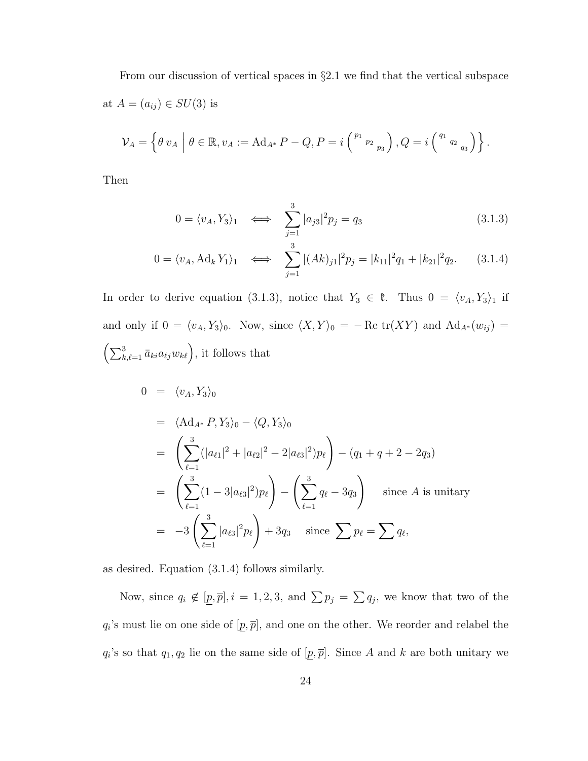From our discussion of vertical spaces in §2.1 we find that the vertical subspace at  $A = (a_{ij}) \in SU(3)$  is

$$
\mathcal{V}_A = \left\{ \theta \, v_A \, \Big| \, \theta \in \mathbb{R}, v_A := \mathrm{Ad}_{A^*} \, P - Q, P = i \left( \begin{smallmatrix} p_1 & & \\ & p_2 & \\ & & p_3 \end{smallmatrix} \right), Q = i \left( \begin{smallmatrix} q_1 & & \\ & q_2 & \\ & & q_3 \end{smallmatrix} \right) \right\}.
$$

Then

$$
0 = \langle v_A, Y_3 \rangle_1 \iff \sum_{j=1}^3 |a_{j3}|^2 p_j = q_3 \tag{3.1.3}
$$

$$
0 = \langle v_A, \text{Ad}_k Y_1 \rangle_1 \iff \sum_{j=1}^3 |(Ak)_{j1}|^2 p_j = |k_{11}|^2 q_1 + |k_{21}|^2 q_2. \tag{3.1.4}
$$

In order to derive equation (3.1.3), notice that  $Y_3 \in \mathfrak{k}$ . Thus  $0 = \langle v_A, Y_3 \rangle_1$  if and only if  $0 = \langle v_A, Y_3 \rangle_0$ . Now, since  $\langle X, Y \rangle_0 = - \text{Re }\text{tr}(XY)$  and  $\text{Ad}_{A^*}(w_{ij}) =$  $\left(\sum_{k,\ell=1}^3 \bar{a}_{ki} a_{\ell j} w_{k\ell}\right)$ , it follows that

$$
0 = \langle v_A, Y_3 \rangle_0
$$
  
\n
$$
= \langle \mathrm{Ad}_{A^*} P, Y_3 \rangle_0 - \langle Q, Y_3 \rangle_0
$$
  
\n
$$
= \left( \sum_{\ell=1}^3 (|a_{\ell 1}|^2 + |a_{\ell 2}|^2 - 2|a_{\ell 3}|^2) p_{\ell} \right) - (q_1 + q + 2 - 2q_3)
$$
  
\n
$$
= \left( \sum_{\ell=1}^3 (1 - 3|a_{\ell 3}|^2) p_{\ell} \right) - \left( \sum_{\ell=1}^3 q_{\ell} - 3q_3 \right) \text{ since } A \text{ is unitary}
$$
  
\n
$$
= -3 \left( \sum_{\ell=1}^3 |a_{\ell 3}|^2 p_{\ell} \right) + 3q_3 \text{ since } \sum p_{\ell} = \sum q_{\ell},
$$

as desired. Equation (3.1.4) follows similarly.

Now, since  $q_i \notin [p, \overline{p}], i = 1, 2, 3$ , and  $\sum p_j = \sum q_j$ , we know that two of the  $q_i$ 's must lie on one side of  $[p, \overline{p}]$ , and one on the other. We reorder and relabel the  $q_i$ 's so that  $q_1, q_2$  lie on the same side of  $[p, \overline{p}]$ . Since A and k are both unitary we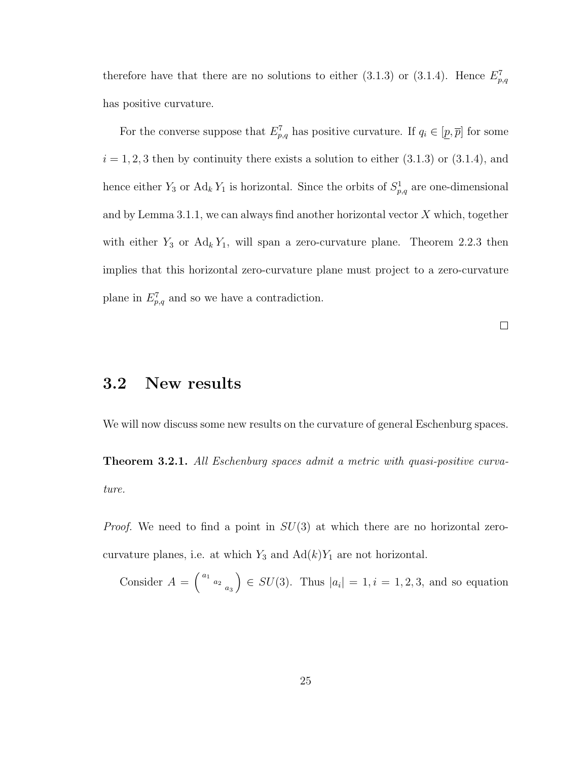therefore have that there are no solutions to either (3.1.3) or (3.1.4). Hence  $E_{p,q}^7$ has positive curvature.

For the converse suppose that  $E_{p,q}^7$  has positive curvature. If  $q_i \in [p, \bar{p}]$  for some  $i = 1, 2, 3$  then by continuity there exists a solution to either  $(3.1.3)$  or  $(3.1.4)$ , and hence either  $Y_3$  or  $\text{Ad}_k Y_1$  is horizontal. Since the orbits of  $S^1_{p,q}$  are one-dimensional and by Lemma 3.1.1, we can always find another horizontal vector  $X$  which, together with either  $Y_3$  or  $Ad_k Y_1$ , will span a zero-curvature plane. Theorem 2.2.3 then implies that this horizontal zero-curvature plane must project to a zero-curvature plane in  $E_{p,q}^7$  and so we have a contradiction.

 $\Box$ 

### 3.2 New results

We will now discuss some new results on the curvature of general Eschenburg spaces.

Theorem 3.2.1. All Eschenburg spaces admit a metric with quasi-positive curvature.

*Proof.* We need to find a point in  $SU(3)$  at which there are no horizontal zerocurvature planes, i.e. at which  $Y_3$  and  $Ad(k)Y_1$  are not horizontal.

Consider  $A =$  $\Bigg( \begin{array}{cc} a_1 & \\ & a_2 & \\ & & a_3 \end{array}$ ´  $\in SU(3)$ . Thus  $|a_i|=1, i=1, 2, 3$ , and so equation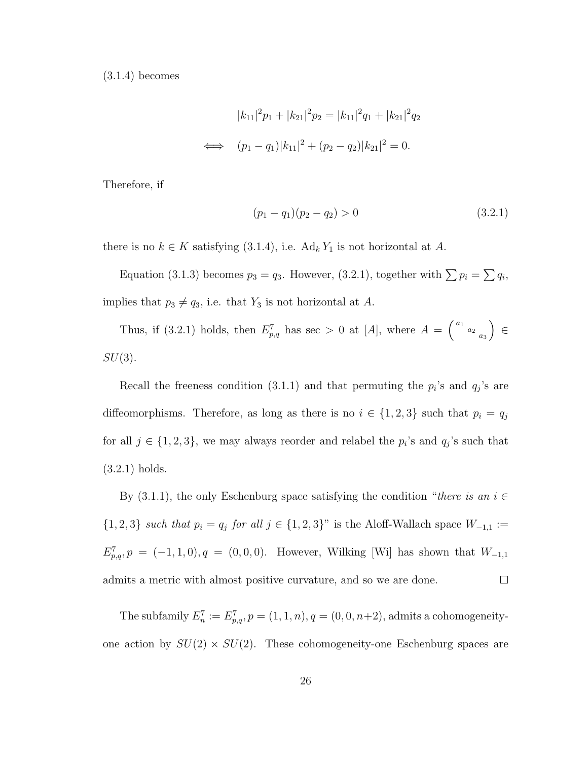$(3.1.4)$  becomes

$$
|k_{11}|^2 p_1 + |k_{21}|^2 p_2 = |k_{11}|^2 q_1 + |k_{21}|^2 q_2
$$
  

$$
\iff (p_1 - q_1)|k_{11}|^2 + (p_2 - q_2)|k_{21}|^2 = 0.
$$

Therefore, if

$$
(p_1 - q_1)(p_2 - q_2) > 0 \t\t(3.2.1)
$$

there is no  $k \in K$  satisfying (3.1.4), i.e.  $\text{Ad}_k Y_1$  is not horizontal at A.

Equation (3.1.3) becomes  $p_3 = q_3$ . However, (3.2.1), together with  $\sum p_i = \sum q_i$ , implies that  $p_3 \neq q_3$ , i.e. that  $Y_3$  is not horizontal at A.

Thus, if (3.2.1) holds, then  $E_{p,q}^7$  has sec > 0 at [A], where  $A =$  $\Bigg( \begin{array}{cc} a_1 & \\ & a_2 & \\ & & a_3 \end{array}$ ´ ∈  $SU(3)$ .

Recall the freeness condition (3.1.1) and that permuting the  $p_i$ 's and  $q_j$ 's are diffeomorphisms. Therefore, as long as there is no  $i \in \{1,2,3\}$  such that  $p_i = q_j$ for all  $j \in \{1,2,3\}$ , we may always reorder and relabel the  $p_i$ 's and  $q_j$ 's such that (3.2.1) holds.

By (3.1.1), the only Eschenburg space satisfying the condition "there is an  $i \in$ {1, 2, 3} such that  $p_i = q_j$  for all  $j \in \{1, 2, 3\}$ " is the Aloff-Wallach space  $W_{-1,1} :=$  $E_{p,q}^7, p = (-1, 1, 0), q = (0, 0, 0).$  However, Wilking [Wi] has shown that  $W_{-1,1}$ admits a metric with almost positive curvature, and so we are done.  $\Box$ 

The subfamily  $E_n^7 := E_{p,q}^7$ ,  $p = (1, 1, n)$ ,  $q = (0, 0, n+2)$ , admits a cohomogeneityone action by  $SU(2) \times SU(2)$ . These cohomogeneity-one Eschenburg spaces are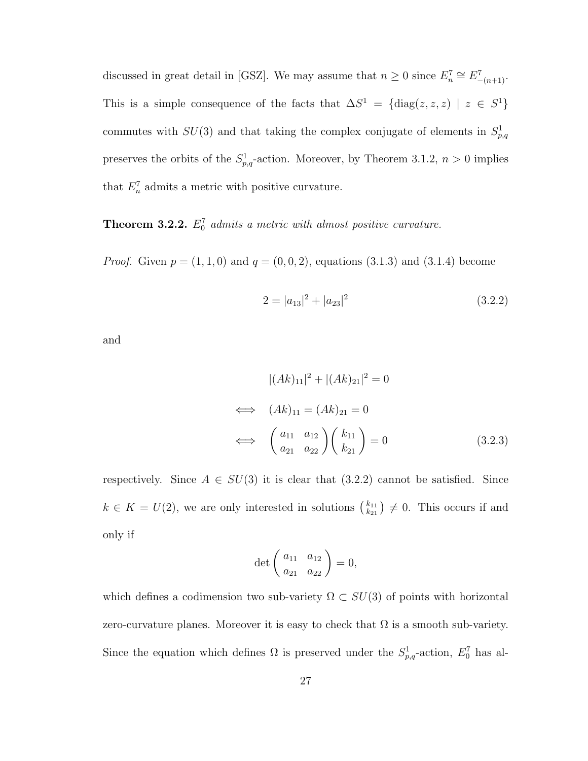discussed in great detail in [GSZ]. We may assume that  $n \geq 0$  since  $E_n^7 \cong E_{-(n+1)}^7$ . This is a simple consequence of the facts that  $\Delta S^1 = {\text{diag}}(z, z, z) \mid z \in S^1$ commutes with  $SU(3)$  and that taking the complex conjugate of elements in  $S_{p,q}^1$ preserves the orbits of the  $S^1_{p,q}$ -action. Moreover, by Theorem 3.1.2,  $n > 0$  implies that  $E_n^7$  admits a metric with positive curvature.

**Theorem 3.2.2.**  $E_0^7$  admits a metric with almost positive curvature.

*Proof.* Given  $p = (1, 1, 0)$  and  $q = (0, 0, 2)$ , equations  $(3.1.3)$  and  $(3.1.4)$  become

$$
2 = |a_{13}|^2 + |a_{23}|^2 \tag{3.2.2}
$$

and

$$
|(Ak)_{11}|^2 + |(Ak)_{21}|^2 = 0
$$
  
\n
$$
\iff (Ak)_{11} = (Ak)_{21} = 0
$$
  
\n
$$
\iff \left(\frac{a_{11}}{a_{21}} \frac{a_{12}}{a_{22}}\right) \left(\frac{k_{11}}{k_{21}}\right) = 0
$$
 (3.2.3)

respectively. Since  $A \in SU(3)$  it is clear that  $(3.2.2)$  cannot be satisfied. Since  $k \in K = U(2)$ , we are only interested in solutions  $\binom{k_{11}}{k_{21}}$  $k_{21}$ ¢  $\neq 0$ . This occurs if and only if

$$
\det \begin{pmatrix} a_{11} & a_{12} \\ a_{21} & a_{22} \end{pmatrix} = 0,
$$

which defines a codimension two sub-variety  $\Omega \subset SU(3)$  of points with horizontal zero-curvature planes. Moreover it is easy to check that  $\Omega$  is a smooth sub-variety. Since the equation which defines  $\Omega$  is preserved under the  $S^1_{p,q}$ -action,  $E_0^7$  has al-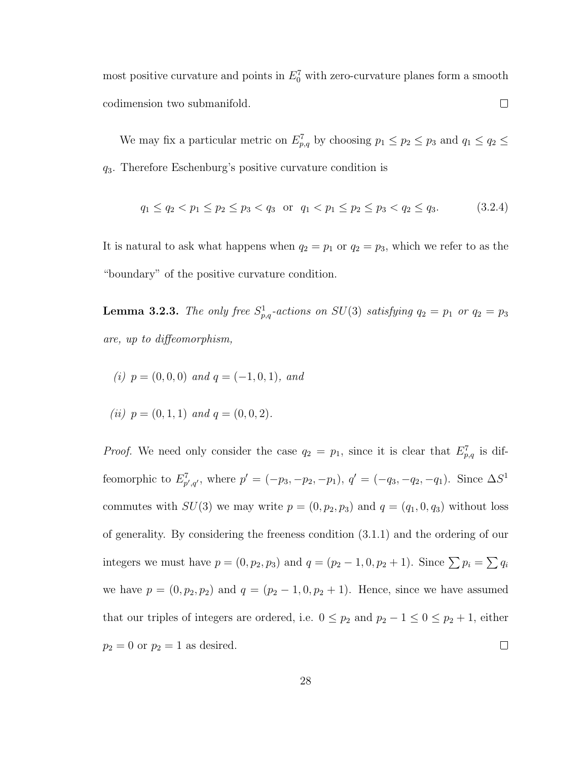most positive curvature and points in  $E_0^7$  with zero-curvature planes form a smooth codimension two submanifold.  $\Box$ 

We may fix a particular metric on  $E_{p,q}^7$  by choosing  $p_1 \leq p_2 \leq p_3$  and  $q_1 \leq q_2 \leq$ q3. Therefore Eschenburg's positive curvature condition is

$$
q_1 \le q_2 < p_1 \le p_2 \le p_3 < q_3 \quad \text{or} \quad q_1 < p_1 \le p_2 \le p_3 < q_2 \le q_3. \tag{3.2.4}
$$

It is natural to ask what happens when  $q_2 = p_1$  or  $q_2 = p_3$ , which we refer to as the "boundary" of the positive curvature condition.

**Lemma 3.2.3.** The only free  $S^1_{p,q}$ -actions on  $SU(3)$  satisfying  $q_2 = p_1$  or  $q_2 = p_3$ are, up to diffeomorphism,

(i) 
$$
p = (0,0,0)
$$
 and  $q = (-1,0,1)$ , and

(ii) 
$$
p = (0, 1, 1)
$$
 and  $q = (0, 0, 2)$ .

*Proof.* We need only consider the case  $q_2 = p_1$ , since it is clear that  $E_{p,q}^7$  is diffeomorphic to  $E_{p',q'}^7$ , where  $p' = (-p_3, -p_2, -p_1), q' = (-q_3, -q_2, -q_1)$ . Since  $\Delta S^1$ commutes with  $SU(3)$  we may write  $p = (0, p_2, p_3)$  and  $q = (q_1, 0, q_3)$  without loss of generality. By considering the freeness condition (3.1.1) and the ordering of our integers we must have  $p = (0, p_2, p_3)$  and  $q = (p_2 - 1, 0, p_2 + 1)$ . Since  $\sum p_i = \sum q_i$ we have  $p = (0, p_2, p_2)$  and  $q = (p_2 - 1, 0, p_2 + 1)$ . Hence, since we have assumed that our triples of integers are ordered, i.e.  $0 \leq p_2$  and  $p_2 - 1 \leq 0 \leq p_2 + 1$ , either  $p_2 = 0$  or  $p_2 = 1$  as desired.  $\Box$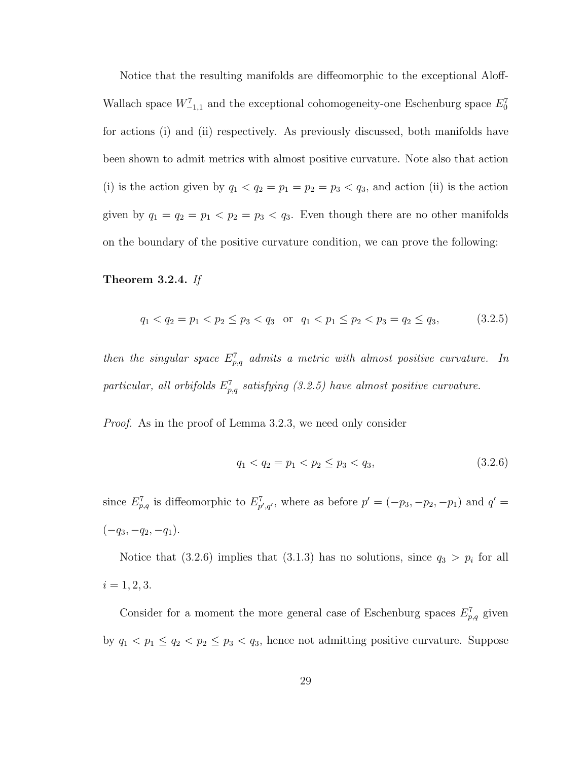Notice that the resulting manifolds are diffeomorphic to the exceptional Aloff-Wallach space  $W^7_{-1,1}$  and the exceptional cohomogeneity-one Eschenburg space  $E_0^7$ for actions (i) and (ii) respectively. As previously discussed, both manifolds have been shown to admit metrics with almost positive curvature. Note also that action (i) is the action given by  $q_1 < q_2 = p_1 = p_2 = p_3 < q_3$ , and action (ii) is the action given by  $q_1 = q_2 = p_1 < p_2 = p_3 < q_3$ . Even though there are no other manifolds on the boundary of the positive curvature condition, we can prove the following:

#### Theorem 3.2.4. If

$$
q_1 < q_2 = p_1 < p_2 \le p_3 < q_3 \quad \text{or} \quad q_1 < p_1 \le p_2 < p_3 = q_2 \le q_3,\tag{3.2.5}
$$

then the singular space  $E_{p,q}^7$  admits a metric with almost positive curvature. In particular, all orbifolds  $E_{p,q}^7$  satisfying (3.2.5) have almost positive curvature.

Proof. As in the proof of Lemma 3.2.3, we need only consider

$$
q_1 < q_2 = p_1 < p_2 \le p_3 < q_3,\tag{3.2.6}
$$

since  $E_{p,q}^7$  is diffeomorphic to  $E_{p',q'}^7$ , where as before  $p' = (-p_3, -p_2, -p_1)$  and  $q' =$  $(-q_3, -q_2, -q_1).$ 

Notice that (3.2.6) implies that (3.1.3) has no solutions, since  $q_3 > p_i$  for all  $i = 1, 2, 3.$ 

Consider for a moment the more general case of Eschenburg spaces  $E_{p,q}^7$  given by  $q_1 < p_1 \le q_2 < p_2 \le p_3 < q_3$ , hence not admitting positive curvature. Suppose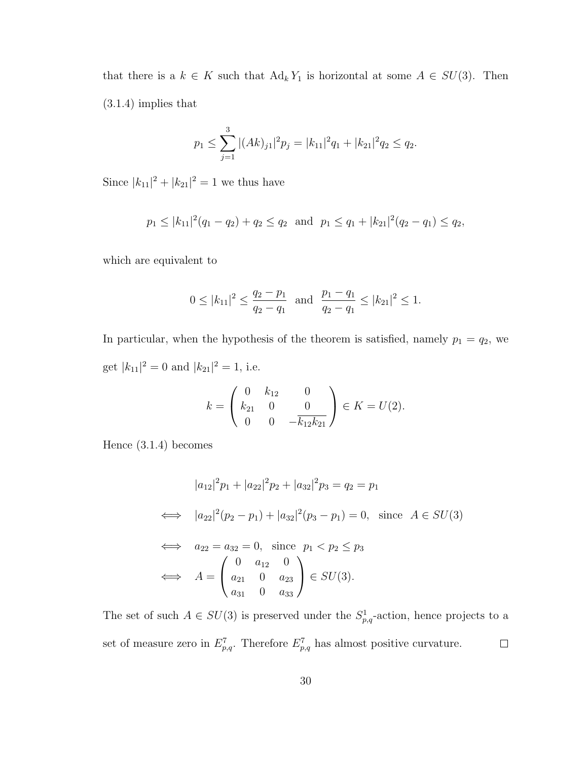that there is a  $k \in K$  such that  $\text{Ad}_k Y_1$  is horizontal at some  $A \in SU(3)$ . Then (3.1.4) implies that

$$
p_1 \le \sum_{j=1}^3 |(Ak)_{j1}|^2 p_j = |k_{11}|^2 q_1 + |k_{21}|^2 q_2 \le q_2.
$$

Since  $|k_{11}|^2 + |k_{21}|^2 = 1$  we thus have

$$
p_1 \le |k_{11}|^2 (q_1 - q_2) + q_2 \le q_2
$$
 and  $p_1 \le q_1 + |k_{21}|^2 (q_2 - q_1) \le q_2$ ,

which are equivalent to

$$
0 \le |k_{11}|^2 \le \frac{q_2 - p_1}{q_2 - q_1}
$$
 and  $\frac{p_1 - q_1}{q_2 - q_1} \le |k_{21}|^2 \le 1$ .

In particular, when the hypothesis of the theorem is satisfied, namely  $p_1 = q_2$ , we get  $|k_{11}|^2 = 0$  and  $|k_{21}|^2 = 1$ , i.e.

$$
k = \begin{pmatrix} 0 & k_{12} & 0 \\ k_{21} & 0 & 0 \\ 0 & 0 & -k_{12}k_{21} \end{pmatrix} \in K = U(2).
$$

Hence (3.1.4) becomes

$$
|a_{12}|^{2}p_{1} + |a_{22}|^{2}p_{2} + |a_{32}|^{2}p_{3} = q_{2} = p_{1}
$$
  
\n
$$
\iff |a_{22}|^{2}(p_{2} - p_{1}) + |a_{32}|^{2}(p_{3} - p_{1}) = 0, \text{ since } A \in SU(3)
$$
  
\n
$$
\iff a_{22} = a_{32} = 0, \text{ since } p_{1} < p_{2} \leq p_{3}
$$
  
\n
$$
\iff A = \begin{pmatrix} 0 & a_{12} & 0 \\ a_{21} & 0 & a_{23} \\ a_{31} & 0 & a_{33} \end{pmatrix} \in SU(3).
$$

The set of such  $A \in SU(3)$  is preserved under the  $S^1_{p,q}$ -action, hence projects to a set of measure zero in  $E_{p,q}^7$ . Therefore  $E_{p,q}^7$  has almost positive curvature.  $\Box$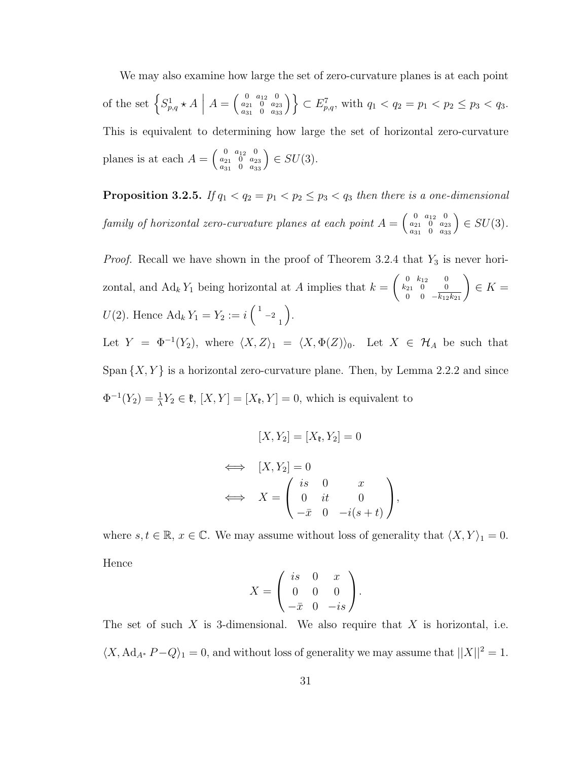We may also examine how large the set of zero-curvature planes is at each point of the set  $\left\{S_{p,q}^1 \star A\right\}$  $\left| A\right| =$  $\left( \begin{smallmatrix} 0 & a_{12} & 0 \\ a_{21} & 0 & a_{23} \\ a_{31} & 0 & a_{33} \end{smallmatrix} \right)$ ´o  $\subset E_{p,q}^7$ , with  $q_1 < q_2 = p_1 < p_2 \leq p_3 < q_3$ . This is equivalent to determining how large the set of horizontal zero-curvature planes is at each  $A =$  $\left( \begin{smallmatrix} 0 & a_{12} & 0 \\ a_{21} & 0 & a_{23} \\ a_{31} & 0 & a_{33} \end{smallmatrix} \right)$ ´  $\in SU(3)$ .

**Proposition 3.2.5.** If  $q_1 < q_2 = p_1 < p_2 \leq p_3 < q_3$  then there is a one-dimensional family of horizontal zero-curvature planes at each point  $A =$  $\left(\begin{smallmatrix} 0 & a_{12} & 0 \\ a_{21} & 0 & a_{23} \\ a_{31} & 0 & a_{33} \end{smallmatrix}\right)$ ´  $\in SU(3)$ .

*Proof.* Recall we have shown in the proof of Theorem 3.2.4 that  $Y_3$  is never horizontal, and  $\text{Ad}_k Y_1$  being horizontal at A implies that  $k =$  $\begin{pmatrix} 0 & k_{12} & 0 \end{pmatrix}$  $k_{21}$  0 0  $\begin{pmatrix} 0 & k_{12} & 0 \ 21 & 0 & 0 \ 0 & 0 & -k_{12}k_{21} \end{pmatrix}$  $\in K =$  $U(2)$ . Hence  $\text{Ad}_k Y_1 = Y_2 := i$  $\begin{pmatrix} 1 & & \\ & -2 & \\ & 1 & \end{pmatrix}$ ´ . Let  $Y = \Phi^{-1}(Y_2)$ , where  $\langle X, Z \rangle_1 = \langle X, \Phi(Z) \rangle_0$ . Let  $X \in \mathcal{H}_A$  be such that Span  $\{X, Y\}$  is a horizontal zero-curvature plane. Then, by Lemma 2.2.2 and since

 $\Phi^{-1}(Y_2) = \frac{1}{\lambda} Y_2 \in \mathfrak{k}, [X, Y] = [X_{\mathfrak{k}}, Y] = 0$ , which is equivalent to

$$
[X, Y_2] = [X_{\mathfrak{k}}, Y_2] = 0
$$
  
\n
$$
\iff [X, Y_2] = 0
$$
  
\n
$$
\iff X = \begin{pmatrix} is & 0 & x \\ 0 & it & 0 \\ -\bar{x} & 0 & -i(s+t) \end{pmatrix},
$$

where  $s, t \in \mathbb{R}, x \in \mathbb{C}$ . We may assume without loss of generality that  $\langle X, Y \rangle_1 = 0$ . Hence  $\overline{a}$  $\mathbf{r}$ 

$$
X = \begin{pmatrix} is & 0 & x \\ 0 & 0 & 0 \\ -\bar{x} & 0 & -is \end{pmatrix}.
$$

The set of such X is 3-dimensional. We also require that X is horizontal, i.e.  $\langle X, \operatorname{Ad}_{A^*} P - Q \rangle_1 = 0$ , and without loss of generality we may assume that  $||X||^2 = 1$ .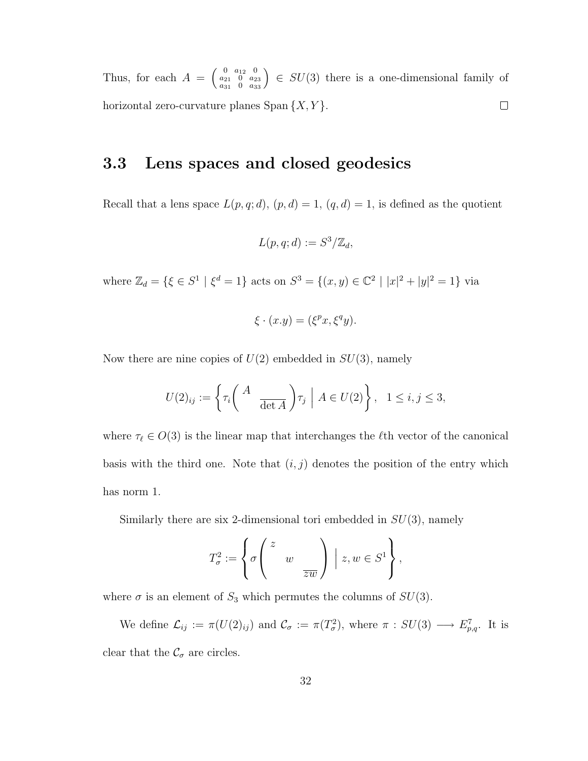$\left( \begin{smallmatrix} 0 & a_{12} & 0 \ a_{21} & 0 & a_{23} \ a_{31} & 0 & a_{33} \end{smallmatrix} \right)$ ´ Thus, for each  $A =$  $\in SU(3)$  there is a one-dimensional family of horizontal zero-curvature planes  $Span\{X, Y\}$ .  $\Box$ 

### 3.3 Lens spaces and closed geodesics

Recall that a lens space  $L(p, q; d)$ ,  $(p, d) = 1$ ,  $(q, d) = 1$ , is defined as the quotient

$$
L(p,q;d) := S^3/\mathbb{Z}_d,
$$

where  $\mathbb{Z}_d = \{ \xi \in S^1 \mid \xi^d = 1 \}$  acts on  $S^3 = \{ (x, y) \in \mathbb{C}^2 \mid |x|^2 + |y|^2 = 1 \}$  via

$$
\xi \cdot (x.y) = (\xi^p x, \xi^q y).
$$

Now there are nine copies of  $U(2)$  embedded in  $SU(3)$ , namely

$$
U(2)_{ij} := \left\{ \tau_i \left( \begin{array}{c} A \\ & \overline{\det A} \end{array} \right) \tau_j \middle| A \in U(2) \right\}, \quad 1 \le i, j \le 3,
$$

where  $\tau_{\ell} \in O(3)$  is the linear map that interchanges the  $\ell$ th vector of the canonical basis with the third one. Note that  $(i, j)$  denotes the position of the entry which has norm 1.

Similarly there are six 2-dimensional tori embedded in  $SU(3)$ , namely

$$
T_{\sigma}^2:=\left\{\sigma\left(\begin{array}{ccc}z&\\&w&\\&&\overline{zw}\end{array}\right)\ \Big|\ z,w\in S^1\right\},
$$

where  $\sigma$  is an element of  $S_3$  which permutes the columns of  $SU(3)$ .

We define  $\mathcal{L}_{ij} := \pi(U(2)_{ij})$  and  $\mathcal{C}_{\sigma} := \pi(T_{\sigma}^2)$ , where  $\pi : SU(3) \longrightarrow E_{p,q}^7$ . It is clear that the  $\mathcal{C}_{\sigma}$  are circles.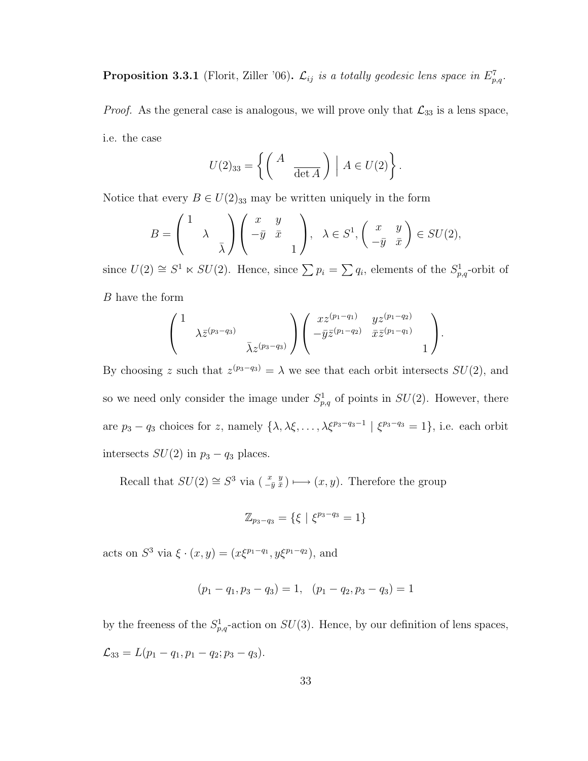**Proposition 3.3.1** (Florit, Ziller '06).  $\mathcal{L}_{ij}$  is a totally geodesic lens space in  $E_{p,q}^7$ .

*Proof.* As the general case is analogous, we will prove only that  $\mathcal{L}_{33}$  is a lens space, i.e. the case

$$
U(2)_{33} = \left\{ \left( \begin{array}{cc} A & \ \\ \frac{}{\det A} \end{array} \right) \middle| A \in U(2) \right\}.
$$

Notice that every  $B \in U(2)_{33}$  may be written uniquely in the form

$$
B = \begin{pmatrix} 1 & & \\ & \lambda & \\ & & \bar{\lambda} \end{pmatrix} \begin{pmatrix} x & y \\ -\bar{y} & \bar{x} \\ & & 1 \end{pmatrix}, \ \ \lambda \in S^1, \begin{pmatrix} x & y \\ -\bar{y} & \bar{x} \end{pmatrix} \in SU(2),
$$

since  $U(2) \cong S^1 \ltimes SU(2)$ . Hence, since  $\sum p_i = \sum q_i$ , elements of the  $S^1_{p,q}$ -orbit of B have the form

$$
\begin{pmatrix} 1 & & & \\ & \lambda \bar{z}^{(p_3-q_3)} & \\ & & \bar{\lambda} z^{(p_3-q_3)} \end{pmatrix} \begin{pmatrix} x z^{(p_1-q_1)} & y z^{(p_1-q_2)} \\ -\bar{y} \bar{z}^{(p_1-q_2)} & \bar{x} \bar{z}^{(p_1-q_1)} & \\ & & 1 \end{pmatrix}.
$$

By choosing z such that  $z^{(p_3-q_3)} = \lambda$  we see that each orbit intersects  $SU(2)$ , and so we need only consider the image under  $S_{p,q}^1$  of points in  $SU(2)$ . However, there are  $p_3 - q_3$  choices for z, namely  $\{\lambda, \lambda\xi, \dots, \lambda\xi^{p_3-q_3-1} \mid \xi^{p_3-q_3} = 1\}$ , i.e. each orbit intersects  $SU(2)$  in  $p_3 - q_3$  places.

Recall that  $SU(2) \cong S^3$  via  $\left(\begin{smallmatrix} x&y\ -\bar{y}&\bar{x} \end{smallmatrix}\right) \longmapsto (x, y)$ . Therefore the group

$$
\mathbb{Z}_{p_3-q_3} = \{ \xi \mid \xi^{p_3-q_3} = 1 \}
$$

acts on  $S^3$  via  $\xi \cdot (x, y) = (x\xi^{p_1-q_1}, y\xi^{p_1-q_2})$ , and

$$
(p_1 - q_1, p_3 - q_3) = 1, (p_1 - q_2, p_3 - q_3) = 1
$$

by the freeness of the  $S^1_{p,q}$ -action on  $SU(3)$ . Hence, by our definition of lens spaces,  $\mathcal{L}_{33} = L(p_1 - q_1, p_1 - q_2; p_3 - q_3).$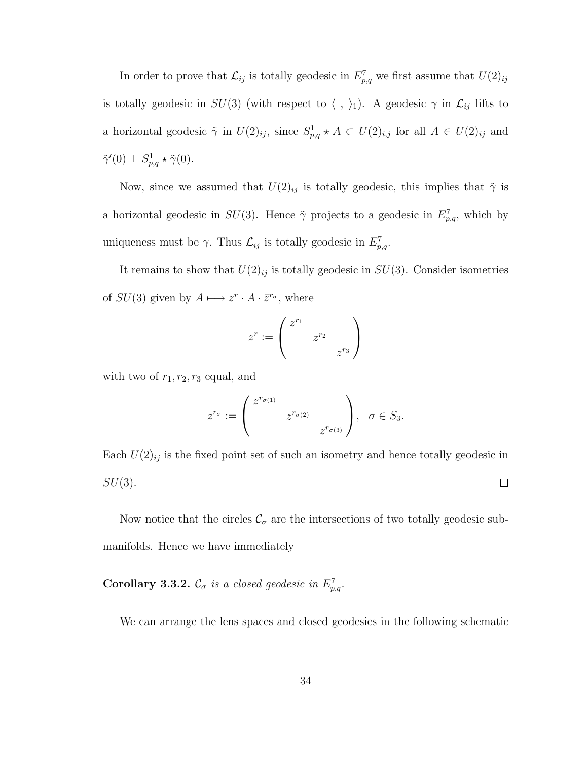In order to prove that  $\mathcal{L}_{ij}$  is totally geodesic in  $E_{p,q}^7$  we first assume that  $U(2)_{ij}$ is totally geodesic in  $SU(3)$  (with respect to  $\langle , \rangle_1$ ). A geodesic  $\gamma$  in  $\mathcal{L}_{ij}$  lifts to a horizontal geodesic  $\tilde{\gamma}$  in  $U(2)_{ij}$ , since  $S^1_{p,q} \star A \subset U(2)_{i,j}$  for all  $A \in U(2)_{ij}$  and  $\tilde{\gamma}'(0) \perp S^1_{p,q} \star \tilde{\gamma}(0).$ 

Now, since we assumed that  $U(2)_{ij}$  is totally geodesic, this implies that  $\tilde{\gamma}$  is a horizontal geodesic in  $SU(3)$ . Hence  $\tilde{\gamma}$  projects to a geodesic in  $E_{p,q}^7$ , which by uniqueness must be  $\gamma$ . Thus  $\mathcal{L}_{ij}$  is totally geodesic in  $E_{p,q}^7$ .

It remains to show that  $U(2)_{ij}$  is totally geodesic in  $SU(3)$ . Consider isometries of  $SU(3)$  given by  $A \longmapsto z^r \cdot A \cdot \overline{z}^{r_{\sigma}},$  where

$$
z^r := \begin{pmatrix} z^{r_1} & & \\ & z^{r_2} & \\ & & z^{r_3} \end{pmatrix}
$$

with two of  $r_1, r_2, r_3$  equal, and

$$
z^{r_{\sigma}} := \begin{pmatrix} z^{r_{\sigma(1)}} & & \\ & z^{r_{\sigma(2)}} & \\ & & z^{r_{\sigma(3)}} \end{pmatrix}, \ \sigma \in S_3.
$$

Each  $U(2)_{ij}$  is the fixed point set of such an isometry and hence totally geodesic in  $SU(3)$ .  $\Box$ 

Now notice that the circles  $\mathcal{C}_{\sigma}$  are the intersections of two totally geodesic submanifolds. Hence we have immediately

#### **Corollary 3.3.2.**  $\mathcal{C}_{\sigma}$  is a closed geodesic in  $E_{p,q}^7$ .

We can arrange the lens spaces and closed geodesics in the following schematic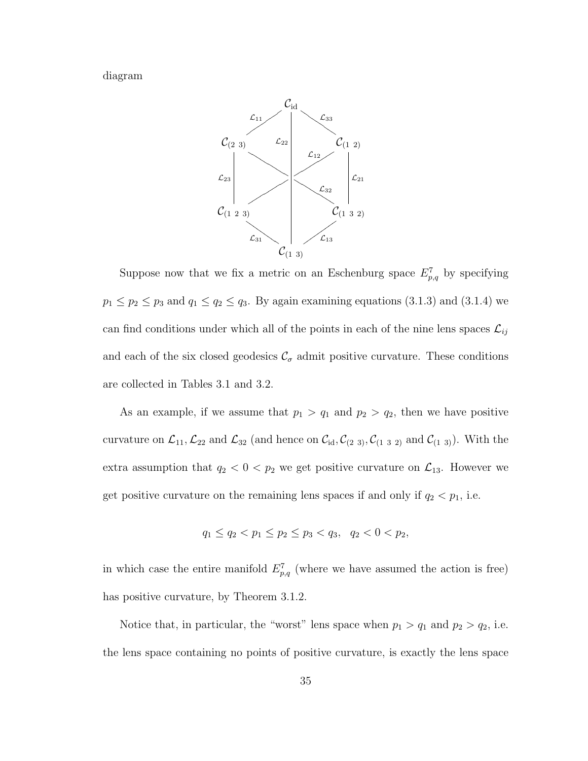diagram



Suppose now that we fix a metric on an Eschenburg space  $E_{p,q}^7$  by specifying  $p_1 \leq p_2 \leq p_3$  and  $q_1 \leq q_2 \leq q_3$ . By again examining equations (3.1.3) and (3.1.4) we can find conditions under which all of the points in each of the nine lens spaces  $\mathcal{L}_{ij}$ and each of the six closed geodesics  $\mathcal{C}_{\sigma}$  admit positive curvature. These conditions are collected in Tables 3.1 and 3.2.

As an example, if we assume that  $p_1 > q_1$  and  $p_2 > q_2$ , then we have positive curvature on  $\mathcal{L}_{11}$ ,  $\mathcal{L}_{22}$  and  $\mathcal{L}_{32}$  (and hence on  $\mathcal{C}_{id}$ ,  $\mathcal{C}_{(2\ 3)}$ ,  $\mathcal{C}_{(1\ 3\ 2)}$  and  $\mathcal{C}_{(1\ 3)}$ ). With the extra assumption that  $q_2 < 0 < p_2$  we get positive curvature on  $\mathcal{L}_{13}$ . However we get positive curvature on the remaining lens spaces if and only if  $q_2 < p_1$ , i.e.

$$
q_1 \le q_2 < p_1 \le p_2 \le p_3 < q_3, \quad q_2 < 0 < p_2,
$$

in which case the entire manifold  $E_{p,q}^7$  (where we have assumed the action is free) has positive curvature, by Theorem 3.1.2.

Notice that, in particular, the "worst" lens space when  $p_1 > q_1$  and  $p_2 > q_2$ , i.e. the lens space containing no points of positive curvature, is exactly the lens space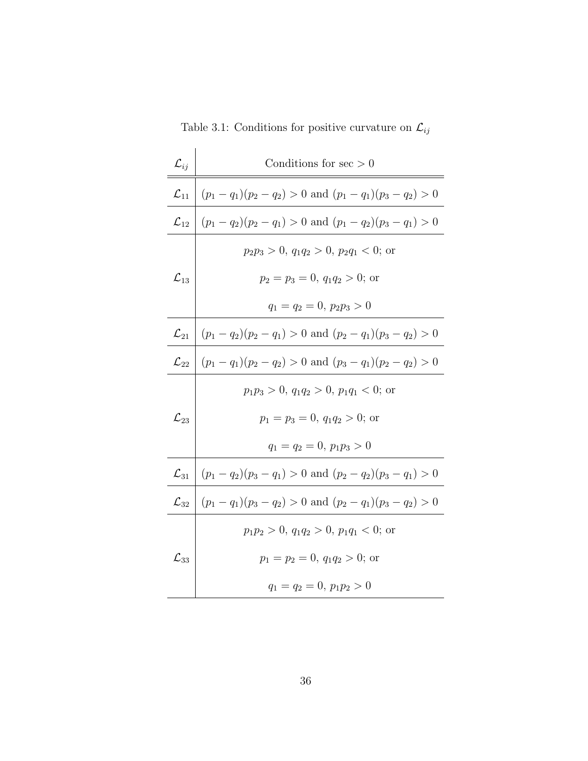Table 3.1: Conditions for positive curvature on  $\mathcal{L}_{ij}$ 

| $\mathcal{L}_{ij}$ | Conditions for $\sec$ > 0                                     |  |  |  |  |  |  |
|--------------------|---------------------------------------------------------------|--|--|--|--|--|--|
| $\mathcal{L}_{11}$ | $(p_1 - q_1)(p_2 - q_2) > 0$ and $(p_1 - q_1)(p_3 - q_2) > 0$ |  |  |  |  |  |  |
| $\mathcal{L}_{12}$ | $(p_1 - q_2)(p_2 - q_1) > 0$ and $(p_1 - q_2)(p_3 - q_1) > 0$ |  |  |  |  |  |  |
|                    | $p_2p_3 > 0, q_1q_2 > 0, p_2q_1 < 0;$ or                      |  |  |  |  |  |  |
| $\mathcal{L}_{13}$ | $p_2 = p_3 = 0, q_1 q_2 > 0;$ or                              |  |  |  |  |  |  |
|                    | $q_1 = q_2 = 0, p_2 p_3 > 0$                                  |  |  |  |  |  |  |
| $\mathcal{L}_{21}$ | $(p_1 - q_2)(p_2 - q_1) > 0$ and $(p_2 - q_1)(p_3 - q_2) > 0$ |  |  |  |  |  |  |
| $\mathcal{L}_{22}$ | $(p_1 - q_1)(p_2 - q_2) > 0$ and $(p_3 - q_1)(p_2 - q_2) > 0$ |  |  |  |  |  |  |
|                    | $p_1p_3 > 0, q_1q_2 > 0, p_1q_1 < 0;$ or                      |  |  |  |  |  |  |
| $\mathcal{L}_{23}$ | $p_1 = p_3 = 0, q_1 q_2 > 0;$ or                              |  |  |  |  |  |  |
|                    | $q_1 = q_2 = 0, p_1 p_3 > 0$                                  |  |  |  |  |  |  |
| $\mathcal{L}_{31}$ | $(p_1 - q_2)(p_3 - q_1) > 0$ and $(p_2 - q_2)(p_3 - q_1) > 0$ |  |  |  |  |  |  |
| $\mathcal{L}_{32}$ | $(p_1 - q_1)(p_3 - q_2) > 0$ and $(p_2 - q_1)(p_3 - q_2) > 0$ |  |  |  |  |  |  |
|                    | $p_1p_2 > 0, q_1q_2 > 0, p_1q_1 < 0;$ or                      |  |  |  |  |  |  |
| $\mathcal{L}_{33}$ | $p_1 = p_2 = 0, q_1 q_2 > 0;$ or                              |  |  |  |  |  |  |
|                    | $q_1 = q_2 = 0, p_1 p_2 > 0$                                  |  |  |  |  |  |  |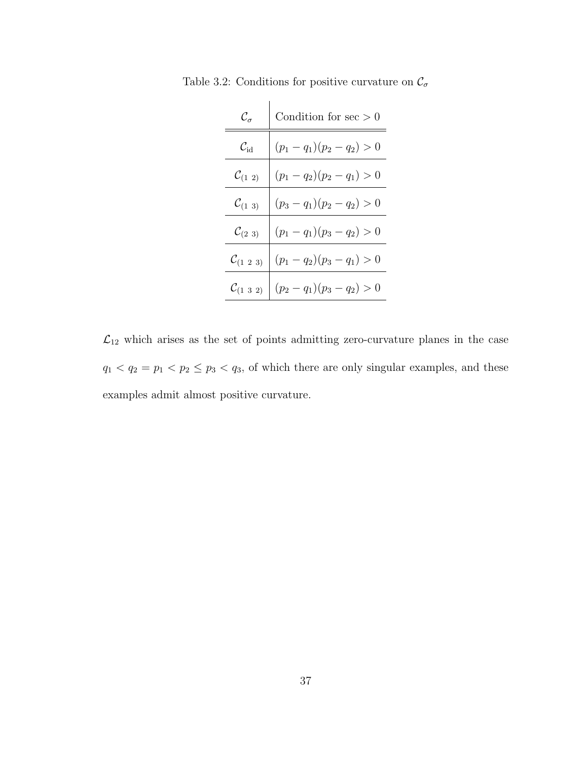| $\mathcal{C}_\sigma$        | Condition for $\sec$ > 0     |
|-----------------------------|------------------------------|
| $\mathcal{C}_{\mathrm{id}}$ | $(p_1 - q_1)(p_2 - q_2) > 0$ |
| $\mathcal{C}_{(1\,\; 2)}$   | $(p_1 - q_2)(p_2 - q_1) > 0$ |
| $\mathcal{C}_{(1\;\;3)}$    | $(p_3 - q_1)(p_2 - q_2) > 0$ |
| $\mathcal{C}_{(2\;3)}$      | $(p_1 - q_1)(p_3 - q_2) > 0$ |
| $\mathcal{C}_{(1\;2\;3)}$   | $(p_1 - q_2)(p_3 - q_1) > 0$ |
| $\mathcal{C}_{(1\;3\;2)}$   | $(p_2 - q_1)(p_3 - q_2) > 0$ |

Table 3.2: Conditions for positive curvature on  $\mathcal{C}_{\sigma}$ 

 $\mathcal{L}_{12}$  which arises as the set of points admitting zero-curvature planes in the case  $q_1 < q_2 = p_1 < p_2 \leq p_3 < q_3$ , of which there are only singular examples, and these examples admit almost positive curvature.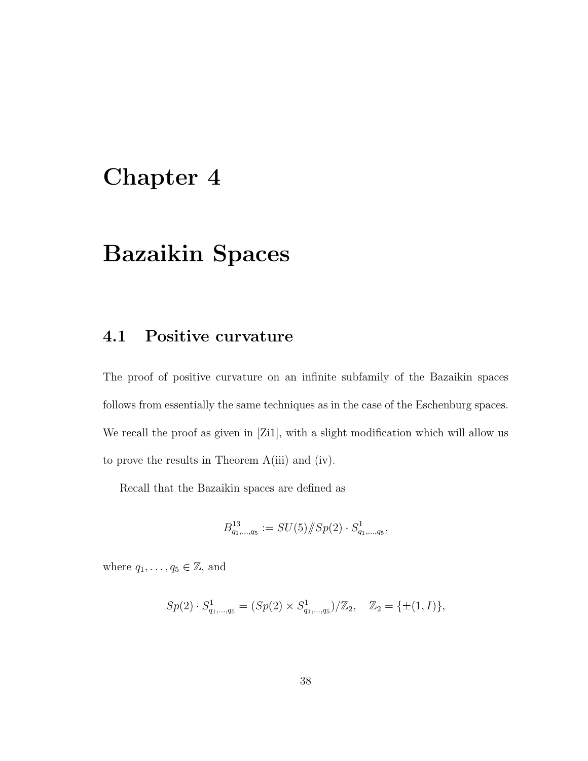# Chapter 4

# Bazaikin Spaces

# 4.1 Positive curvature

The proof of positive curvature on an infinite subfamily of the Bazaikin spaces follows from essentially the same techniques as in the case of the Eschenburg spaces. We recall the proof as given in [Zi1], with a slight modification which will allow us to prove the results in Theorem A(iii) and (iv).

Recall that the Bazaikin spaces are defined as

$$
B_{q_1,\ldots,q_5}^{13}:=SU(5)/\!\!/ Sp(2)\cdot S_{q_1,\ldots,q_5}^1,
$$

where  $q_1, \ldots, q_5 \in \mathbb{Z}$ , and

$$
Sp(2) \cdot S_{q_1,\dots,q_5}^1 = (Sp(2) \times S_{q_1,\dots,q_5}^1)/\mathbb{Z}_2, \quad \mathbb{Z}_2 = \{\pm (1,I)\},\
$$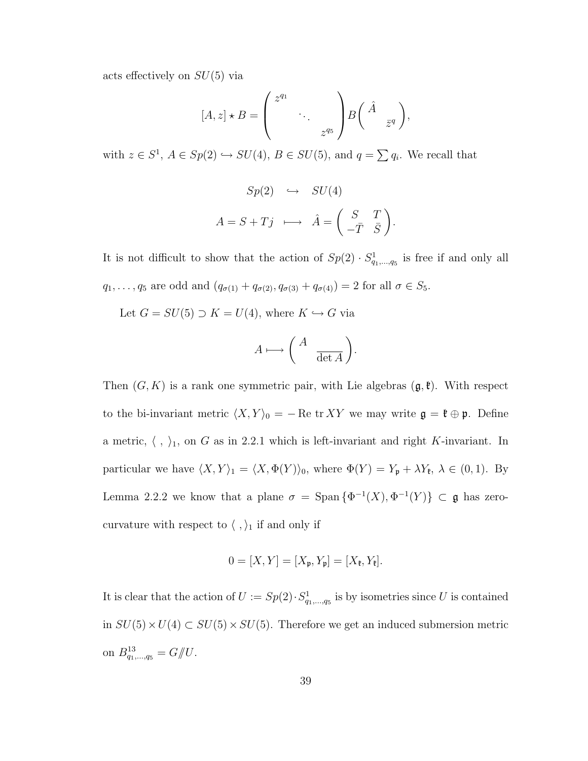acts effectively on  $SU(5)$  via

$$
[A, z] \star B = \begin{pmatrix} z^{q_1} & & \\ & \ddots & \\ & & z^{q_5} \end{pmatrix} B \begin{pmatrix} \hat{A} & \\ & \overline{z}^q \end{pmatrix},
$$

with  $z \in S^1$ ,  $A \in Sp(2) \hookrightarrow SU(4)$ ,  $B \in SU(5)$ , and  $q = \sum q_i$ . We recall that

$$
Sp(2) \hookrightarrow SU(4)
$$

$$
A = S + Tj \longmapsto \hat{A} = \begin{pmatrix} S & T \\ -\bar{T} & \bar{S} \end{pmatrix}
$$

.

It is not difficult to show that the action of  $Sp(2) \cdot S^1_{q_1,\dots,q_5}$  is free if and only all  $q_1, ..., q_5$  are odd and  $(q_{\sigma(1)} + q_{\sigma(2)}, q_{\sigma(3)} + q_{\sigma(4)}) = 2$  for all  $\sigma \in S_5$ .

Let  $G = SU(5) \supset K = U(4)$ , where  $K \hookrightarrow G$  via

$$
A \longmapsto \left(\begin{array}{cc} A & \\ & \overline{\det A} \end{array}\right).
$$

Then  $(G, K)$  is a rank one symmetric pair, with Lie algebras  $(\mathfrak{g}, \mathfrak{k})$ . With respect to the bi-invariant metric  $\langle X, Y \rangle_0 = - \text{Re tr } XY$  we may write  $\mathfrak{g} = \mathfrak{k} \oplus \mathfrak{p}$ . Define a metric,  $\langle , \rangle_1$ , on G as in 2.2.1 which is left-invariant and right K-invariant. In particular we have  $\langle X, Y \rangle_1 = \langle X, \Phi(Y) \rangle_0$ , where  $\Phi(Y) = Y_p + \lambda Y_k, \lambda \in (0, 1)$ . By Lemma 2.2.2 we know that a plane  $\sigma = \text{Span} \{ \Phi^{-1}(X), \Phi^{-1}(Y) \} \subset \mathfrak{g}$  has zerocurvature with respect to  $\langle\ ,\rangle_1$  if and only if

$$
0 = [X, Y] = [X_{\mathfrak{p}}, Y_{\mathfrak{p}}] = [X_{\mathfrak{k}}, Y_{\mathfrak{k}}].
$$

It is clear that the action of  $U := Sp(2) \cdot S^1_{q_1,\dots,q_5}$  is by isometries since U is contained in  $SU(5) \times U(4) \subset SU(5) \times SU(5)$ . Therefore we get an induced submersion metric on  $B_{q_1,...,q_5}^{13} = G/\!\!/ U$ .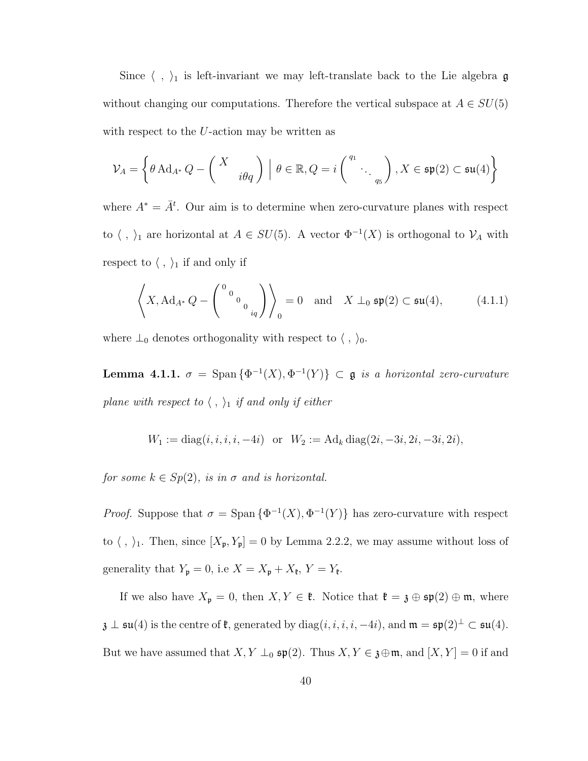Since  $\langle , \rangle_1$  is left-invariant we may left-translate back to the Lie algebra g without changing our computations. Therefore the vertical subspace at  $A \in SU(5)$ with respect to the U-action may be written as

$$
\mathcal{V}_A = \left\{\theta\operatorname{Ad}_{A^*} Q - \left(\begin{array}{c} X \\ & i\theta q \end{array}\right) \ \Big|\ \theta\in\mathbb{R}, Q = i\left(\begin{array}{c} q_1 \\ & \ddots \\ & q_5 \end{array}\right), X\in\mathfrak{sp}(2)\subset\mathfrak{su}(4)\right\}
$$

where  $A^* = \overline{A}^t$ . Our aim is to determine when zero-curvature planes with respect to  $\langle , \rangle_1$  are horizontal at  $A \in SU(5)$ . A vector  $\Phi^{-1}(X)$  is orthogonal to  $\mathcal{V}_A$  with respect to  $\langle , \rangle_1$  if and only if

$$
\left\langle X, \mathrm{Ad}_{A^*} Q - \begin{pmatrix} 0 & 0 \\ 0 & 0 \\ 0 & iq \end{pmatrix} \right\rangle_0 = 0 \quad \text{and} \quad X \perp_0 \mathfrak{sp}(2) \subset \mathfrak{su}(4), \tag{4.1.1}
$$

where  $\perp_0$  denotes orthogonality with respect to  $\langle , \rangle_0$ .

**Lemma 4.1.1.**  $\sigma = \text{Span} \{ \Phi^{-1}(X), \Phi^{-1}(Y) \} \subset \mathfrak{g}$  is a horizontal zero-curvature plane with respect to  $\langle , \rangle_1$  if and only if either

$$
W_1 := diag(i, i, i, i, -4i) \text{ or } W_2 := \text{Ad}_k diag(2i, -3i, 2i, -3i, 2i),
$$

for some  $k \in Sp(2)$ , is in  $\sigma$  and is horizontal.

*Proof.* Suppose that  $\sigma = \text{Span} \{ \Phi^{-1}(X), \Phi^{-1}(Y) \}$  has zero-curvature with respect to  $\langle , \rangle_1$ . Then, since  $[X_{\mathfrak{p}}, Y_{\mathfrak{p}}] = 0$  by Lemma 2.2.2, we may assume without loss of generality that  $Y_{\mathfrak{p}} = 0$ , i.e  $X = X_{\mathfrak{p}} + X_{\mathfrak{k}}$ ,  $Y = Y_{\mathfrak{k}}$ .

If we also have  $X_{\mathfrak{p}} = 0$ , then  $X, Y \in \mathfrak{k}$ . Notice that  $\mathfrak{k} = \mathfrak{z} \oplus \mathfrak{sp}(2) \oplus \mathfrak{m}$ , where  $\mathfrak{z} \perp \mathfrak{su}(4)$  is the centre of  $\mathfrak{k}$ , generated by  $diag(i, i, i, i, -4i)$ , and  $\mathfrak{m} = \mathfrak{sp}(2)^{\perp} \subset \mathfrak{su}(4)$ . But we have assumed that  $X, Y \perp_0 \mathfrak{sp}(2)$ . Thus  $X, Y \in \mathfrak{z} \oplus \mathfrak{m}$ , and  $[X, Y] = 0$  if and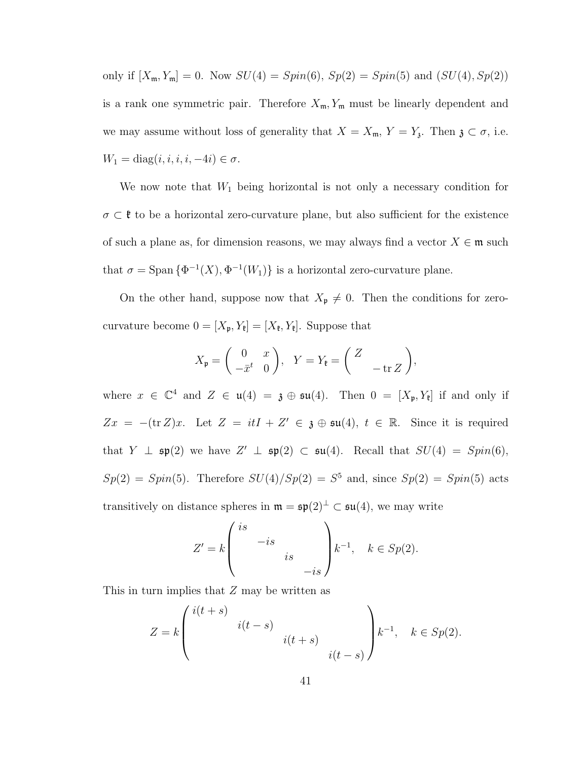only if  $[X_{\mathfrak{m}}, Y_{\mathfrak{m}}] = 0$ . Now  $SU(4) = Spin(6)$ ,  $Sp(2) = Spin(5)$  and  $(SU(4), Sp(2))$ is a rank one symmetric pair. Therefore  $X_{\mathfrak{m}}$ ,  $Y_{\mathfrak{m}}$  must be linearly dependent and we may assume without loss of generality that  $X = X_{\mathfrak{m}}$ ,  $Y = Y_{\mathfrak{z}}$ . Then  $\mathfrak{z} \subset \sigma$ , i.e.  $W_1 = \text{diag}(i, i, i, i, -4i) \in \sigma.$ 

We now note that  $W_1$  being horizontal is not only a necessary condition for  $\sigma \subset \mathfrak{k}$  to be a horizontal zero-curvature plane, but also sufficient for the existence of such a plane as, for dimension reasons, we may always find a vector  $X \in \mathfrak{m}$  such that  $\sigma = \text{Span} \{ \Phi^{-1}(X), \Phi^{-1}(W_1) \}$  is a horizontal zero-curvature plane.

On the other hand, suppose now that  $X_{\mathfrak{p}} \neq 0$ . Then the conditions for zerocurvature become  $0 = [X_{\mathfrak{p}}, Y_{\mathfrak{k}}] = [X_{\mathfrak{k}}, Y_{\mathfrak{k}}]$ . Suppose that

$$
X_{\mathfrak{p}} = \begin{pmatrix} 0 & x \\ -\bar{x}^t & 0 \end{pmatrix}, \quad Y = Y_{\mathfrak{k}} = \begin{pmatrix} Z \\ -\operatorname{tr} Z \end{pmatrix},
$$

where  $x \in \mathbb{C}^4$  and  $Z \in \mathfrak{u}(4) = \mathfrak{z} \oplus \mathfrak{su}(4)$ . Then  $0 = [X_{\mathfrak{p}}, Y_{\mathfrak{k}}]$  if and only if  $Zx = -(\text{tr }Z)x$ . Let  $Z = itI + Z' \in \mathfrak{z} \oplus \mathfrak{su}(4)$ ,  $t \in \mathbb{R}$ . Since it is required that  $Y \perp \mathfrak{sp}(2)$  we have  $Z' \perp \mathfrak{sp}(2) \subset \mathfrak{su}(4)$ . Recall that  $SU(4) = Spin(6)$ ,  $Sp(2) = Spin(5)$ . Therefore  $SU(4)/Sp(2) = S^5$  and, since  $Sp(2) = Spin(5)$  acts transitively on distance spheres in  $\mathfrak{m} = \mathfrak{sp}(2)^{\perp} \subset \mathfrak{su}(4)$ , we may write

$$
Z' = k \begin{pmatrix} is \\ & -is \\ & & is \\ & & -is \end{pmatrix} k^{-1}, \quad k \in Sp(2).
$$

This in turn implies that Z may be written as

$$
Z = k \begin{pmatrix} i(t+s) & & \\ & i(t-s) & \\ & & i(t+s) & \\ & & i(t-s) \end{pmatrix} k^{-1}, \quad k \in Sp(2).
$$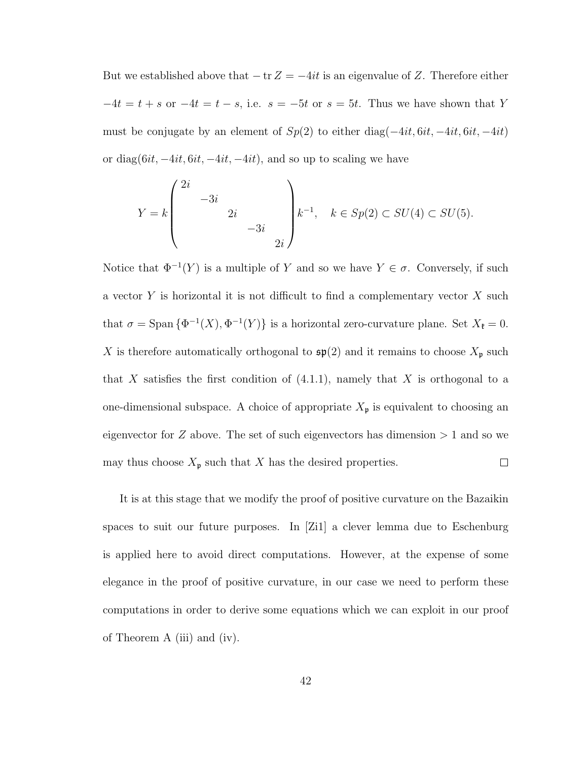But we established above that  $-\text{tr }Z = -4it$  is an eigenvalue of Z. Therefore either  $-4t = t + s$  or  $-4t = t - s$ , i.e.  $s = -5t$  or  $s = 5t$ . Thus we have shown that Y must be conjugate by an element of  $Sp(2)$  to either diag( $-4it, 6it, -4it, 6it, -4it$ ) or diag $(6it, -4it, 6it, -4it, -4it)$ , and so up to scaling we have

$$
Y = k \begin{pmatrix} 2i & & & \\ & -3i & & \\ & & 2i & \\ & & & -3i & \\ & & & 2i \end{pmatrix} k^{-1}, \quad k \in Sp(2) \subset SU(4) \subset SU(5).
$$

Notice that  $\Phi^{-1}(Y)$  is a multiple of Y and so we have  $Y \in \sigma$ . Conversely, if such a vector  $Y$  is horizontal it is not difficult to find a complementary vector  $X$  such that  $\sigma = \text{Span} \{ \Phi^{-1}(X), \Phi^{-1}(Y) \}$  is a horizontal zero-curvature plane. Set  $X_{\mathfrak{k}} = 0$ . X is therefore automatically orthogonal to  $\mathfrak{sp}(2)$  and it remains to choose  $X_{\mathfrak{p}}$  such that X satisfies the first condition of  $(4.1.1)$ , namely that X is orthogonal to a one-dimensional subspace. A choice of appropriate  $X_{\mathfrak{p}}$  is equivalent to choosing an eigenvector for  $Z$  above. The set of such eigenvectors has dimension  $> 1$  and so we may thus choose  $X_{\mathfrak{p}}$  such that X has the desired properties.  $\Box$ 

It is at this stage that we modify the proof of positive curvature on the Bazaikin spaces to suit our future purposes. In [Zi1] a clever lemma due to Eschenburg is applied here to avoid direct computations. However, at the expense of some elegance in the proof of positive curvature, in our case we need to perform these computations in order to derive some equations which we can exploit in our proof of Theorem A (iii) and (iv).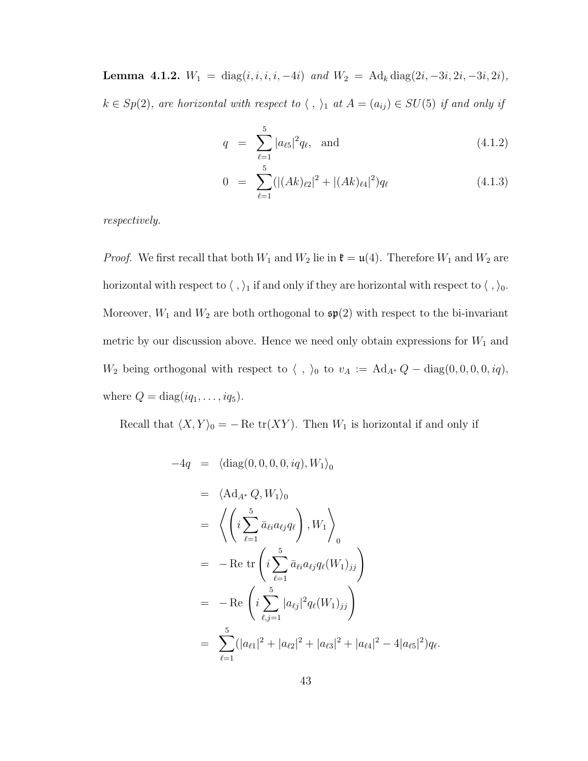Lemma 4.1.2.  $W_1 = \text{diag}(i, i, i, i, -4i)$  and  $W_2 = \text{Ad}_k \text{diag}(2i, -3i, 2i, -3i, 2i)$ ,  $k \in Sp(2)$ , are horizontal with respect to  $\langle , \rangle_1$  at  $A = (a_{ij}) \in SU(5)$  if and only if

$$
q = \sum_{\ell=1}^{5} |a_{\ell 5}|^2 q_{\ell}, \text{ and } (4.1.2)
$$

$$
0 = \sum_{\ell=1}^{5} (|(Ak)_{\ell 2}|^2 + |(Ak)_{\ell 4}|^2) q_{\ell}
$$
 (4.1.3)

respectively.

*Proof.* We first recall that both  $W_1$  and  $W_2$  lie in  $\mathfrak{k} = \mathfrak{u}(4)$ . Therefore  $W_1$  and  $W_2$  are horizontal with respect to  $\langle\ ,\rangle_1$  if and only if they are horizontal with respect to  $\langle\ ,\rangle_0.$ Moreover,  $W_1$  and  $W_2$  are both orthogonal to  $\mathfrak{sp}(2)$  with respect to the bi-invariant metric by our discussion above. Hence we need only obtain expressions for  $W_1$  and  $W_2$  being orthogonal with respect to  $\langle , \rangle_0$  to  $v_A := \text{Ad}_{A*} Q - \text{diag}(0, 0, 0, 0, iq),$ where  $Q = \text{diag}(iq_1, \ldots, iq_5)$ .

Recall that  $\langle X, Y \rangle_0 = -$  Re tr $(XY)$ . Then  $W_1$  is horizontal if and only if

$$
-4q = \langle \text{diag}(0, 0, 0, 0, iq), W_1 \rangle_0
$$
  
\n
$$
= \langle \text{Ad}_{A^*} Q, W_1 \rangle_0
$$
  
\n
$$
= \langle \left( i \sum_{\ell=1}^5 \bar{a}_{\ell i} a_{\ell j} q_{\ell} \right), W_1 \rangle_0
$$
  
\n
$$
= -\text{Re tr} \left( i \sum_{\ell=1}^5 \bar{a}_{\ell i} a_{\ell j} q_{\ell} (W_1)_{jj} \right)
$$
  
\n
$$
= -\text{Re } \left( i \sum_{\ell, j=1}^5 |a_{\ell j}|^2 q_{\ell} (W_1)_{jj} \right)
$$
  
\n
$$
= \sum_{\ell=1}^5 (|a_{\ell 1}|^2 + |a_{\ell 2}|^2 + |a_{\ell 3}|^2 + |a_{\ell 4}|^2 - 4|a_{\ell 5}|^2) q_{\ell}.
$$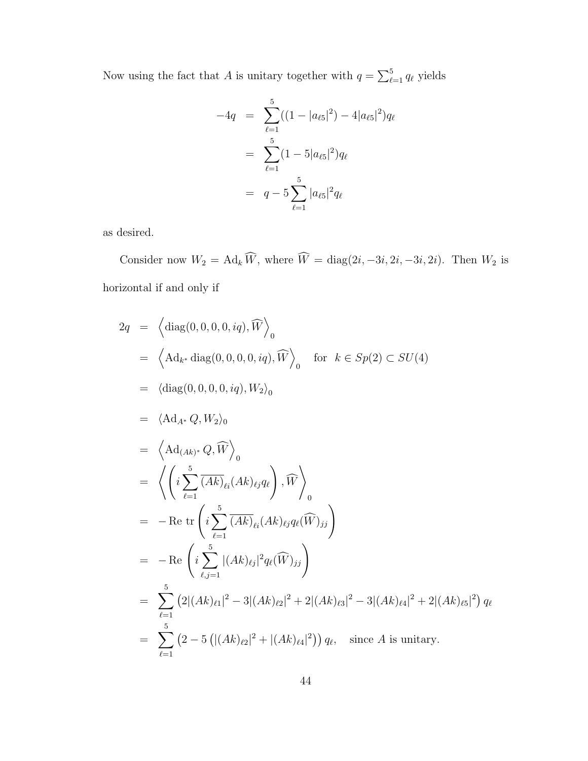Now using the fact that A is unitary together with  $q = \sum_{\ell}^5$  $\int_{\ell=1}^{5} q_{\ell}$  yields

$$
-4q = \sum_{\ell=1}^{5} ((1 - |a_{\ell 5}|^2) - 4|a_{\ell 5}|^2)q_{\ell}
$$
  
= 
$$
\sum_{\ell=1}^{5} (1 - 5|a_{\ell 5}|^2)q_{\ell}
$$
  
= 
$$
q - 5\sum_{\ell=1}^{5} |a_{\ell 5}|^2 q_{\ell}
$$

as desired.

Consider now  $W_2 = \text{Ad}_k \widehat{W}$ , where  $\widehat{W} = \text{diag}(2i, -3i, 2i, -3i, 2i)$ . Then  $W_2$  is horizontal if and only if

$$
2q = \left\langle \text{diag}(0, 0, 0, 0, iq), \widehat{W} \right\rangle_{0}
$$
  
\n
$$
= \left\langle \text{Ad}_{k^{*}} \text{diag}(0, 0, 0, 0, iq), \widehat{W} \right\rangle_{0} \text{ for } k \in Sp(2) \subset SU(4)
$$
  
\n
$$
= \left\langle \text{diag}(0, 0, 0, 0, iq), W_{2} \right\rangle_{0}
$$
  
\n
$$
= \left\langle \text{Ad}_{A^{*}} Q, W_{2} \right\rangle_{0}
$$
  
\n
$$
= \left\langle \text{Ad}_{(Ak)^{*}} Q, \widehat{W} \right\rangle_{0}
$$
  
\n
$$
= \left\langle \left( i \sum_{\ell=1}^{5} \overline{(Ak)}_{\ell i} (Ak)_{\ell j} q_{\ell} \right), \widehat{W} \right\rangle_{0}
$$
  
\n
$$
= -\text{Re tr} \left( i \sum_{\ell=1}^{5} \overline{(Ak)}_{\ell i} (Ak)_{\ell j} q_{\ell} (\widehat{W})_{jj} \right)
$$
  
\n
$$
= -\text{Re } \left( i \sum_{\ell,j=1}^{5} |(Ak)_{\ell j}|^{2} q_{\ell} (\widehat{W})_{jj} \right)
$$
  
\n
$$
= \sum_{\ell=1}^{5} (2|(Ak)_{\ell 1}|^{2} - 3|(Ak)_{\ell 2}|^{2} + 2|(Ak)_{\ell 3}|^{2} - 3|(Ak)_{\ell 4}|^{2} + 2|(Ak)_{\ell 5}|^{2}) q_{\ell}
$$
  
\n
$$
= \sum_{\ell=1}^{5} (2 - 5 (|(Ak)_{\ell 2}|^{2} + |(Ak)_{\ell 4}|^{2})) q_{\ell}, \text{ since } A \text{ is unitary.}
$$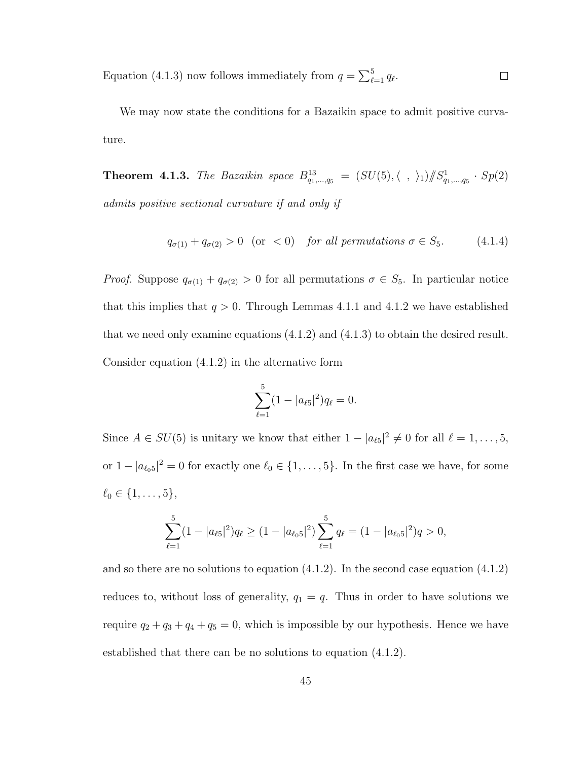Equation (4.1.3) now follows immediately from  $q = \sum_{\ell}^{5}$  $_{\ell=1}^{\circ} q_{\ell}.$  $\Box$ 

We may now state the conditions for a Bazaikin space to admit positive curvature.

**Theorem 4.1.3.** The Bazaikin space  $B_{q_1,...,q_5}^{13} = (SU(5), \langle , \rangle_1)/\!\!/ S_{q_1,...,q_5}^1 \cdot Sp(2)$ admits positive sectional curvature if and only if

$$
q_{\sigma(1)} + q_{\sigma(2)} > 0 \quad \text{(or} \quad < 0) \quad \text{for all permutations } \sigma \in S_5. \tag{4.1.4}
$$

*Proof.* Suppose  $q_{\sigma(1)} + q_{\sigma(2)} > 0$  for all permutations  $\sigma \in S_5$ . In particular notice that this implies that  $q > 0$ . Through Lemmas 4.1.1 and 4.1.2 we have established that we need only examine equations (4.1.2) and (4.1.3) to obtain the desired result. Consider equation (4.1.2) in the alternative form

$$
\sum_{\ell=1}^{5} (1 - |a_{\ell 5}|^2) q_{\ell} = 0.
$$

Since  $A \in SU(5)$  is unitary we know that either  $1 - |a_{\ell 5}|^2 \neq 0$  for all  $\ell = 1, \ldots, 5$ , or  $1 - |a_{\ell_0 5}|^2 = 0$  for exactly one  $\ell_0 \in \{1, \ldots, 5\}$ . In the first case we have, for some  $\ell_0 \in \{1, \ldots, 5\},\$ 

$$
\sum_{\ell=1}^{5} (1 - |a_{\ell 5}|^2) q_{\ell} \ge (1 - |a_{\ell_0 5}|^2) \sum_{\ell=1}^{5} q_{\ell} = (1 - |a_{\ell_0 5}|^2) q > 0,
$$

and so there are no solutions to equation  $(4.1.2)$ . In the second case equation  $(4.1.2)$ reduces to, without loss of generality,  $q_1 = q$ . Thus in order to have solutions we require  $q_2 + q_3 + q_4 + q_5 = 0$ , which is impossible by our hypothesis. Hence we have established that there can be no solutions to equation (4.1.2).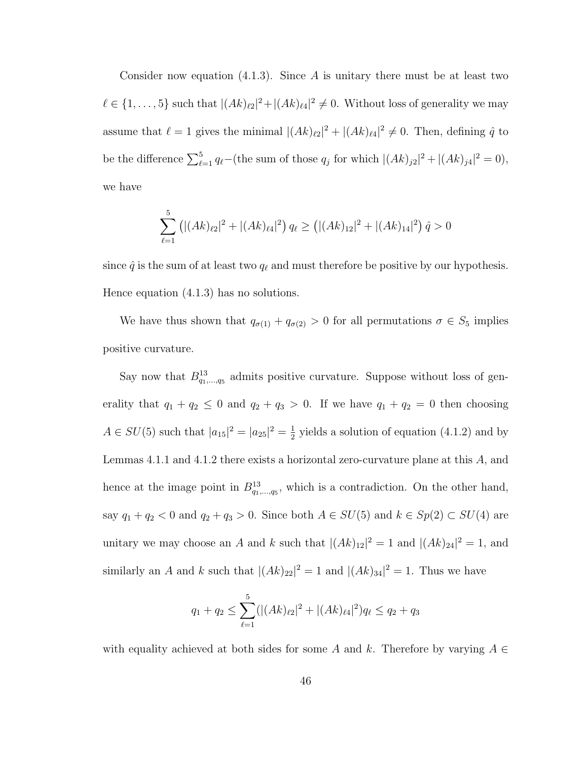Consider now equation  $(4.1.3)$ . Since A is unitary there must be at least two  $\ell \in \{1, \ldots, 5\}$  such that  $|(Ak)_{\ell 2}|^2 + |(Ak)_{\ell 4}|^2 \neq 0$ . Without loss of generality we may assume that  $\ell = 1$  gives the minimal  $|(Ak)_{\ell 2}|^2 + |(Ak)_{\ell 4}|^2 \neq 0$ . Then, defining  $\hat{q}$  to be the difference  $\sum_{\ell=1}^{5} q_{\ell}$  (the sum of those  $q_j$  for which  $|(Ak)_{j2}|^2 + |(Ak)_{j4}|^2 = 0$ ), we have

$$
\sum_{\ell=1}^{5} \left( |(Ak)_{\ell 2}|^2 + |(Ak)_{\ell 4}|^2 \right) q_{\ell} \ge \left( |(Ak)_{12}|^2 + |(Ak)_{14}|^2 \right) \hat{q} > 0
$$

since  $\hat{q}$  is the sum of at least two  $q_\ell$  and must therefore be positive by our hypothesis. Hence equation (4.1.3) has no solutions.

We have thus shown that  $q_{\sigma(1)} + q_{\sigma(2)} > 0$  for all permutations  $\sigma \in S_5$  implies positive curvature.

Say now that  $B_{q_1,\ldots,q_5}^{13}$  admits positive curvature. Suppose without loss of generality that  $q_1 + q_2 \leq 0$  and  $q_2 + q_3 > 0$ . If we have  $q_1 + q_2 = 0$  then choosing  $A \in SU(5)$  such that  $|a_{15}|^2 = |a_{25}|^2 = \frac{1}{2}$  $\frac{1}{2}$  yields a solution of equation (4.1.2) and by Lemmas 4.1.1 and 4.1.2 there exists a horizontal zero-curvature plane at this A, and hence at the image point in  $B_{q_1,\ldots,q_5}^{13}$ , which is a contradiction. On the other hand, say  $q_1 + q_2 < 0$  and  $q_2 + q_3 > 0$ . Since both  $A \in SU(5)$  and  $k \in Sp(2) \subset SU(4)$  are unitary we may choose an A and k such that  $|(Ak)_{12}|^2 = 1$  and  $|(Ak)_{24}|^2 = 1$ , and similarly an A and k such that  $|(Ak)_{22}|^2 = 1$  and  $|(Ak)_{34}|^2 = 1$ . Thus we have

$$
q_1 + q_2 \le \sum_{\ell=1}^5 (|(Ak)_{\ell 2}|^2 + |(Ak)_{\ell 4}|^2) q_\ell \le q_2 + q_3
$$

with equality achieved at both sides for some A and k. Therefore by varying  $A \in$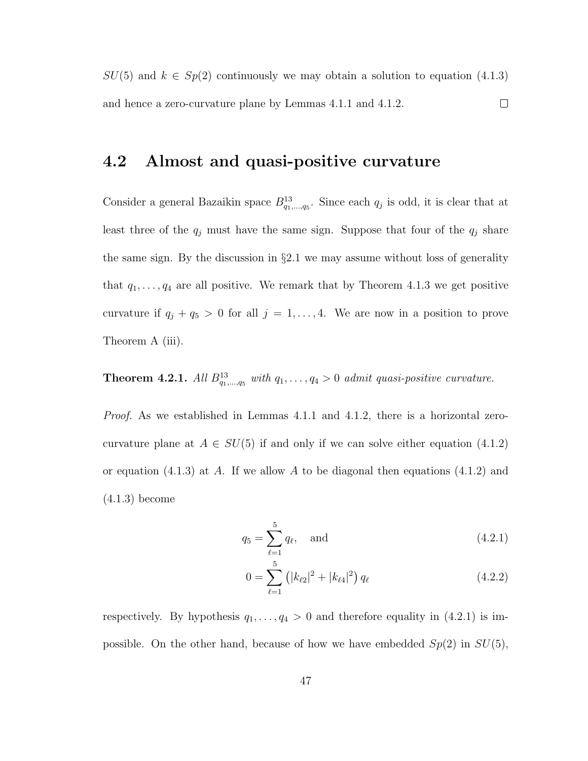$SU(5)$  and  $k \in Sp(2)$  continuously we may obtain a solution to equation (4.1.3) and hence a zero-curvature plane by Lemmas 4.1.1 and 4.1.2.  $\Box$ 

### 4.2 Almost and quasi-positive curvature

Consider a general Bazaikin space  $B_{q_1,...,q_5}^{13}$ . Since each  $q_j$  is odd, it is clear that at least three of the  $q_j$  must have the same sign. Suppose that four of the  $q_j$  share the same sign. By the discussion in §2.1 we may assume without loss of generality that  $q_1, \ldots, q_4$  are all positive. We remark that by Theorem 4.1.3 we get positive curvature if  $q_j + q_5 > 0$  for all  $j = 1, ..., 4$ . We are now in a position to prove Theorem A (iii).

**Theorem 4.2.1.** All  $B_{q_1,\ldots,q_5}^{13}$  with  $q_1,\ldots,q_4>0$  admit quasi-positive curvature.

*Proof.* As we established in Lemmas 4.1.1 and 4.1.2, there is a horizontal zerocurvature plane at  $A \in SU(5)$  if and only if we can solve either equation (4.1.2) or equation (4.1.3) at A. If we allow A to be diagonal then equations (4.1.2) and (4.1.3) become

$$
q_5 = \sum_{\ell=1}^5 q_\ell, \quad \text{and} \tag{4.2.1}
$$

$$
0 = \sum_{\ell=1}^{5} (|k_{\ell 2}|^2 + |k_{\ell 4}|^2) q_{\ell}
$$
 (4.2.2)

respectively. By hypothesis  $q_1, \ldots, q_4 > 0$  and therefore equality in (4.2.1) is impossible. On the other hand, because of how we have embedded  $Sp(2)$  in  $SU(5)$ ,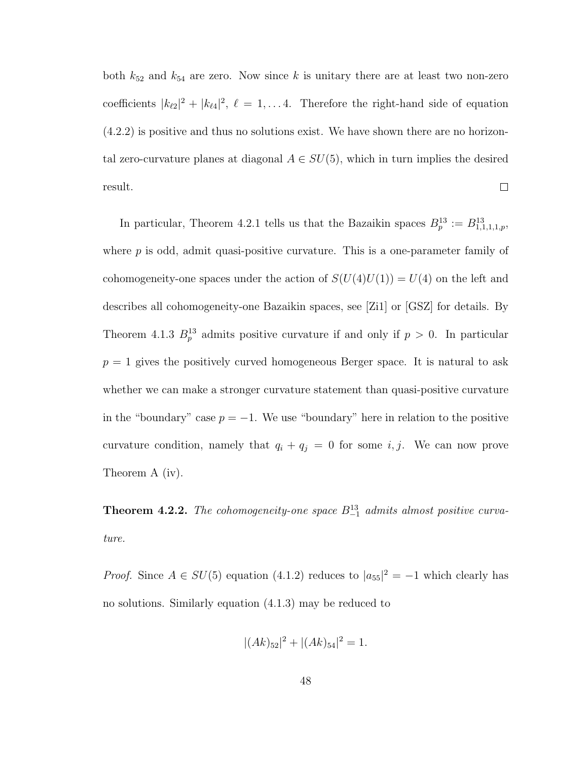both  $k_{52}$  and  $k_{54}$  are zero. Now since k is unitary there are at least two non-zero coefficients  $|k_{\ell 2}|^2 + |k_{\ell 4}|^2$ ,  $\ell = 1, \ldots 4$ . Therefore the right-hand side of equation (4.2.2) is positive and thus no solutions exist. We have shown there are no horizontal zero-curvature planes at diagonal  $A \in SU(5)$ , which in turn implies the desired  $\Box$ result.

In particular, Theorem 4.2.1 tells us that the Bazaikin spaces  $B_p^{13} := B_{1,1,1,1,p}^{13}$ , where  $p$  is odd, admit quasi-positive curvature. This is a one-parameter family of cohomogeneity-one spaces under the action of  $S(U(4)U(1)) = U(4)$  on the left and describes all cohomogeneity-one Bazaikin spaces, see [Zi1] or [GSZ] for details. By Theorem 4.1.3  $B_p^{13}$  admits positive curvature if and only if  $p > 0$ . In particular  $p = 1$  gives the positively curved homogeneous Berger space. It is natural to ask whether we can make a stronger curvature statement than quasi-positive curvature in the "boundary" case  $p = -1$ . We use "boundary" here in relation to the positive curvature condition, namely that  $q_i + q_j = 0$  for some i, j. We can now prove Theorem A (iv).

**Theorem 4.2.2.** The cohomogeneity-one space  $B_{-1}^{13}$  admits almost positive curvature.

*Proof.* Since  $A \in SU(5)$  equation (4.1.2) reduces to  $|a_{55}|^2 = -1$  which clearly has no solutions. Similarly equation (4.1.3) may be reduced to

$$
|(Ak)_{52}|^2 + |(Ak)_{54}|^2 = 1.
$$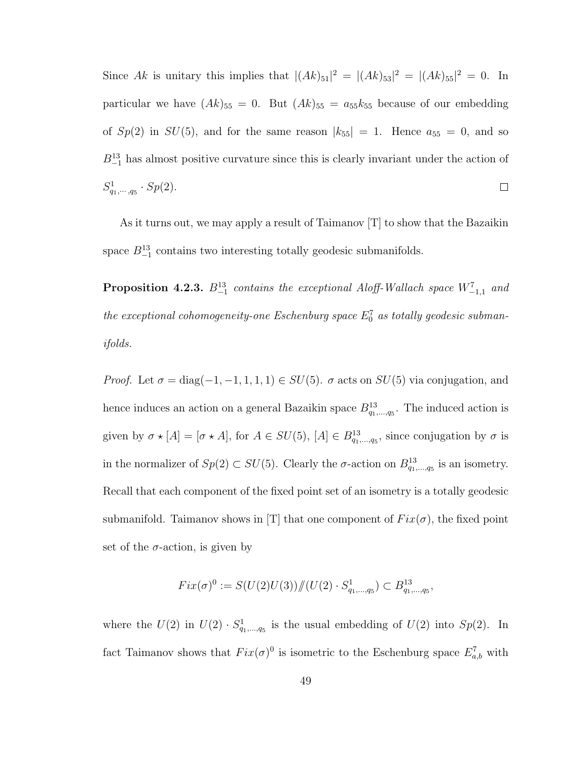Since Ak is unitary this implies that  $|(Ak)_{51}|^2 = |(Ak)_{53}|^2 = |(Ak)_{55}|^2 = 0$ . In particular we have  $(Ak)_{55} = 0$ . But  $(Ak)_{55} = a_{55}k_{55}$  because of our embedding of  $Sp(2)$  in  $SU(5)$ , and for the same reason  $|k_{55}| = 1$ . Hence  $a_{55} = 0$ , and so  $B_{-1}^{13}$  has almost positive curvature since this is clearly invariant under the action of  $S_{q_1,\dots,q_5}^1 \cdot Sp(2).$  $\Box$ 

As it turns out, we may apply a result of Taimanov [T] to show that the Bazaikin space  $B_{-1}^{13}$  contains two interesting totally geodesic submanifolds.

**Proposition 4.2.3.**  $B_{-1}^{13}$  contains the exceptional Aloff-Wallach space  $W_{-1,1}^7$  and the exceptional cohomogeneity-one Eschenburg space  $E_0^7$  as totally geodesic submanifolds.

*Proof.* Let  $\sigma = \text{diag}(-1, -1, 1, 1, 1) \in SU(5)$ .  $\sigma$  acts on  $SU(5)$  via conjugation, and hence induces an action on a general Bazaikin space  $B_{q_1,\dots,q_5}^{13}$ . The induced action is given by  $\sigma \star [A] = [\sigma \star A]$ , for  $A \in SU(5)$ ,  $[A] \in B_{q_1,...,q_5}^{13}$ , since conjugation by  $\sigma$  is in the normalizer of  $Sp(2) \subset SU(5)$ . Clearly the  $\sigma$ -action on  $B_{q_1,\dots,q_5}^{13}$  is an isometry. Recall that each component of the fixed point set of an isometry is a totally geodesic submanifold. Taimanov shows in [T] that one component of  $Fix(\sigma)$ , the fixed point set of the  $\sigma$ -action, is given by

$$
Fix(\sigma)^0 := S(U(2)U(3)) \mathcal{N}(U(2) \cdot S^1_{q_1,\dots,q_5}) \subset B^{13}_{q_1,\dots,q_5},
$$

where the  $U(2)$  in  $U(2) \cdot S^1_{q_1,\dots,q_5}$  is the usual embedding of  $U(2)$  into  $Sp(2)$ . In fact Taimanov shows that  $Fix(\sigma)^0$  is isometric to the Eschenburg space  $E_{a,b}^7$  with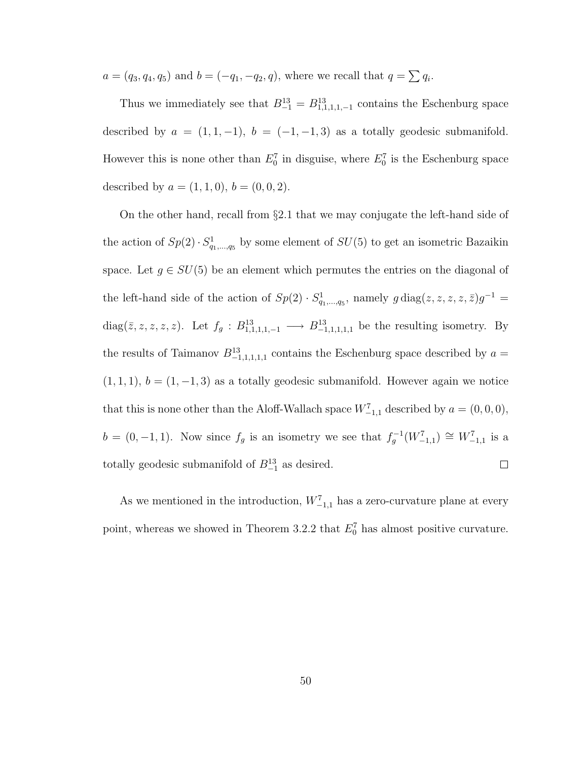$a = (q_3, q_4, q_5)$  and  $b = (-q_1, -q_2, q)$ , where we recall that  $q = \sum q_i$ .

Thus we immediately see that  $B_{-1}^{13} = B_{1,1,1,1,-1}^{13}$  contains the Eschenburg space described by  $a = (1, 1, -1)$ ,  $b = (-1, -1, 3)$  as a totally geodesic submanifold. However this is none other than  $E_0^7$  in disguise, where  $E_0^7$  is the Eschenburg space described by  $a = (1, 1, 0), b = (0, 0, 2)$ .

On the other hand, recall from §2.1 that we may conjugate the left-hand side of the action of  $Sp(2) \cdot S^1_{q_1,\dots,q_5}$  by some element of  $SU(5)$  to get an isometric Bazaikin space. Let  $g \in SU(5)$  be an element which permutes the entries on the diagonal of the left-hand side of the action of  $Sp(2) \cdot S^1_{q_1,\dots,q_5}$ , namely  $g \text{ diag}(z, z, z, z, \bar{z})g^{-1} =$ diag( $\overline{z}, z, z, z, z$ ). Let  $f_g: B^{13}_{1,1,1,1,-1} \longrightarrow B^{13}_{-1,1,1,1,1}$  be the resulting isometry. By the results of Taimanov  $B_{-1,1,1,1,1}^{13}$  contains the Eschenburg space described by  $a =$  $(1, 1, 1), b = (1, -1, 3)$  as a totally geodesic submanifold. However again we notice that this is none other than the Aloff-Wallach space  $W^7_{-1,1}$  described by  $a = (0,0,0)$ ,  $b = (0, -1, 1)$ . Now since  $f_g$  is an isometry we see that  $f_g^{-1}(W_{-1,1}^7) \cong W_{-1,1}^7$  is a totally geodesic submanifold of  $B_{-1}^{13}$  as desired.  $\Box$ 

As we mentioned in the introduction,  $W_{-1,1}^7$  has a zero-curvature plane at every point, whereas we showed in Theorem 3.2.2 that  $E_0^7$  has almost positive curvature.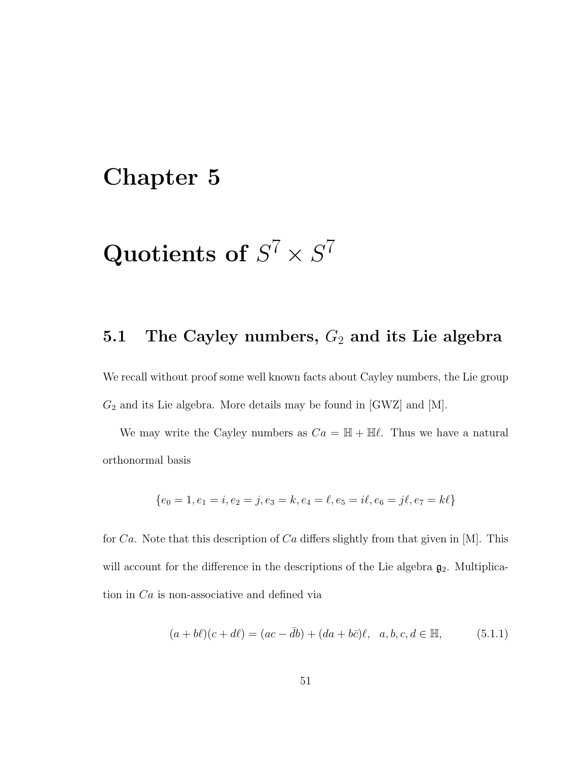# Chapter 5

# Quotients of  $S^7 \times S^7$

# 5.1 The Cayley numbers,  $G_2$  and its Lie algebra

We recall without proof some well known facts about Cayley numbers, the Lie group  $G_2$  and its Lie algebra. More details may be found in [GWZ] and [M].

We may write the Cayley numbers as  $Ca = \mathbb{H} + \mathbb{H}\ell$ . Thus we have a natural orthonormal basis

$$
\{e_0 = 1, e_1 = i, e_2 = j, e_3 = k, e_4 = \ell, e_5 = i\ell, e_6 = j\ell, e_7 = k\ell\}
$$

for Ca. Note that this description of Ca differs slightly from that given in [M]. This will account for the difference in the descriptions of the Lie algebra  $g_2$ . Multiplication in Ca is non-associative and defined via

$$
(a+b\ell)(c+d\ell) = (ac - \bar{d}b) + (da + b\bar{c})\ell, \ \ a, b, c, d \in \mathbb{H}, \tag{5.1.1}
$$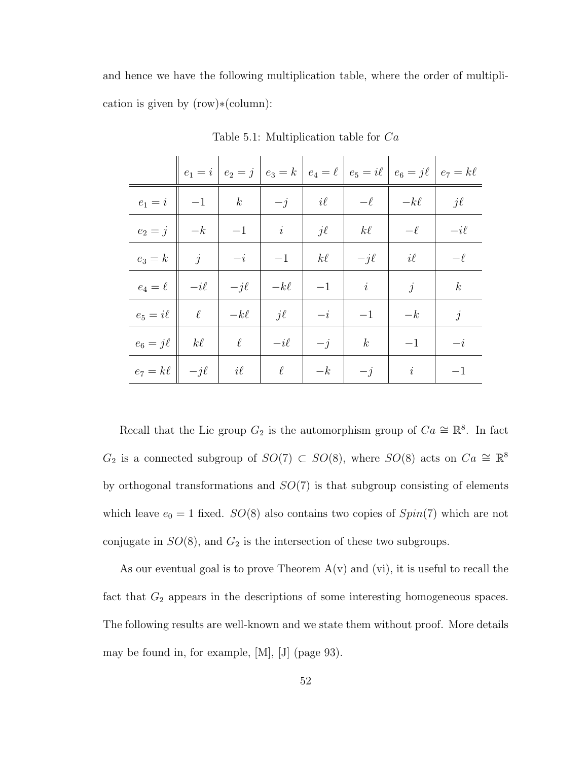and hence we have the following multiplication table, where the order of multiplication is given by (row)∗(column):

|                                                                                                  |  |                                                                                                                                                                                                                                         |                                                                                                                                            | $ e_1 = i   e_2 = j   e_3 = k   e_4 = \ell   e_5 = i\ell   e_6 = j\ell   e_7 = k\ell$                            |  |
|--------------------------------------------------------------------------------------------------|--|-----------------------------------------------------------------------------------------------------------------------------------------------------------------------------------------------------------------------------------------|--------------------------------------------------------------------------------------------------------------------------------------------|------------------------------------------------------------------------------------------------------------------|--|
|                                                                                                  |  |                                                                                                                                                                                                                                         |                                                                                                                                            | $e_1 = i \parallel -1 \parallel k \parallel -j \parallel i\ell \parallel -\ell \parallel -k\ell \parallel j\ell$ |  |
|                                                                                                  |  |                                                                                                                                                                                                                                         |                                                                                                                                            | $e_2 = j \parallel -k \parallel -1 \parallel i \parallel j\ell \parallel k\ell \parallel -\ell \parallel -i\ell$ |  |
|                                                                                                  |  |                                                                                                                                                                                                                                         |                                                                                                                                            | $e_3 = k \parallel j \parallel -i \parallel -1 \parallel k\ell \parallel -j\ell \parallel i\ell \parallel -\ell$ |  |
|                                                                                                  |  | $e_4 = \ell \hspace{.2cm} \Big\vert \hspace{.2cm} -i \ell \hspace{.2cm} \Big\vert \hspace{.2cm} -j \ell \hspace{.2cm} \Big\vert \hspace{.2cm} -k \ell \hspace{.2cm} \Big\vert \hspace{.2cm} -1 \hspace{.2cm} \Big\vert \hspace{.2cm} i$ |                                                                                                                                            | $\begin{array}{ c c c c c } \hline & j & k \end{array}$                                                          |  |
|                                                                                                  |  |                                                                                                                                                                                                                                         | $e_5 = i\ell \begin{vmatrix} \ell \end{vmatrix}$ $\ell \begin{vmatrix} -k\ell \end{vmatrix}$ $j\ell \begin{vmatrix} -i \end{vmatrix}$ $-1$ | $ -k$   j                                                                                                        |  |
| $e_6 = j\ell \parallel k\ell \parallel \ell \parallel -i\ell$                                    |  |                                                                                                                                                                                                                                         |                                                                                                                                            | $\begin{array}{ c c c c c c } \hline & -j & k & -1 & -1 & -i \ \hline \end{array}$                               |  |
| $e_7 = k\ell \begin{array}{c c c c c c c} & -jk & i\ell & k & -k & -k & -j & i & -1 \end{array}$ |  |                                                                                                                                                                                                                                         |                                                                                                                                            |                                                                                                                  |  |

Table 5.1: Multiplication table for Ca

Recall that the Lie group  $G_2$  is the automorphism group of  $Ca \cong \mathbb{R}^8$ . In fact  $G_2$  is a connected subgroup of  $SO(7) \subset SO(8)$ , where  $SO(8)$  acts on  $Ca \cong \mathbb{R}^8$ by orthogonal transformations and  $SO(7)$  is that subgroup consisting of elements which leave  $e_0 = 1$  fixed.  $SO(8)$  also contains two copies of  $Spin(7)$  which are not conjugate in  $SO(8)$ , and  $G_2$  is the intersection of these two subgroups.

As our eventual goal is to prove Theorem  $A(v)$  and  $(vi)$ , it is useful to recall the fact that  $G_2$  appears in the descriptions of some interesting homogeneous spaces. The following results are well-known and we state them without proof. More details may be found in, for example, [M], [J] (page 93).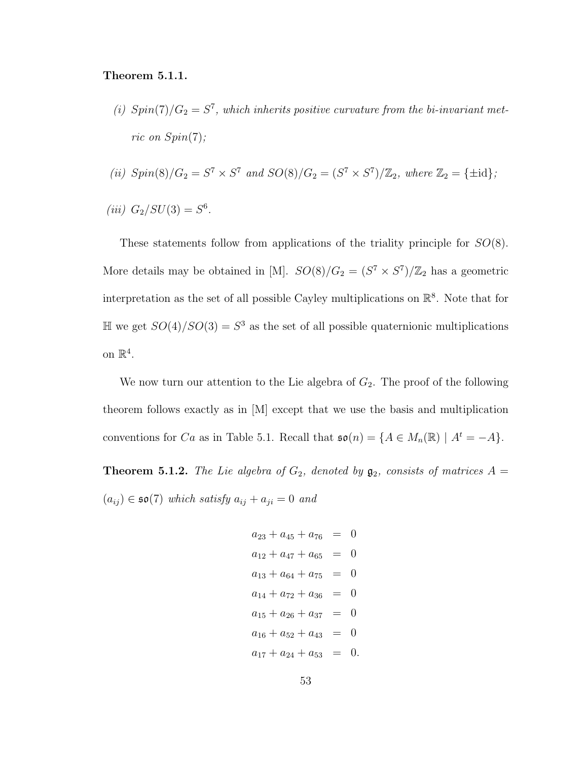#### Theorem 5.1.1.

- (i)  $Spin(7)/G_2 = S^7$ , which inherits positive curvature from the bi-invariant metric on  $Spin(7)$ ;
- (ii)  $Spin(8)/G_2 = S^7 \times S^7$  and  $SO(8)/G_2 = (S^7 \times S^7)/\mathbb{Z}_2$ , where  $\mathbb{Z}_2 = {\pm \text{id}}$ ;

(iii) 
$$
G_2/SU(3) = S^6
$$
.

These statements follow from applications of the triality principle for  $SO(8)$ . More details may be obtained in [M].  $SO(8)/G_2 = (S^7 \times S^7)/\mathbb{Z}_2$  has a geometric interpretation as the set of all possible Cayley multiplications on  $\mathbb{R}^8$ . Note that for  $\mathbb{H}$  we get  $SO(4)/SO(3) = S<sup>3</sup>$  as the set of all possible quaternionic multiplications on  $\mathbb{R}^4$ .

We now turn our attention to the Lie algebra of  $G_2$ . The proof of the following theorem follows exactly as in [M] except that we use the basis and multiplication conventions for Ca as in Table 5.1. Recall that  $\mathfrak{so}(n) = \{A \in M_n(\mathbb{R}) \mid A^t = -A\}.$ 

**Theorem 5.1.2.** The Lie algebra of  $G_2$ , denoted by  $\mathfrak{g}_2$ , consists of matrices  $A =$  $(a_{ij}) \in \mathfrak{so}(7)$  which satisfy  $a_{ij} + a_{ji} = 0$  and

$$
a_{23} + a_{45} + a_{76} = 0
$$
  
\n
$$
a_{12} + a_{47} + a_{65} = 0
$$
  
\n
$$
a_{13} + a_{64} + a_{75} = 0
$$
  
\n
$$
a_{14} + a_{72} + a_{36} = 0
$$
  
\n
$$
a_{15} + a_{26} + a_{37} = 0
$$
  
\n
$$
a_{16} + a_{52} + a_{43} = 0
$$
  
\n
$$
a_{17} + a_{24} + a_{53} = 0.
$$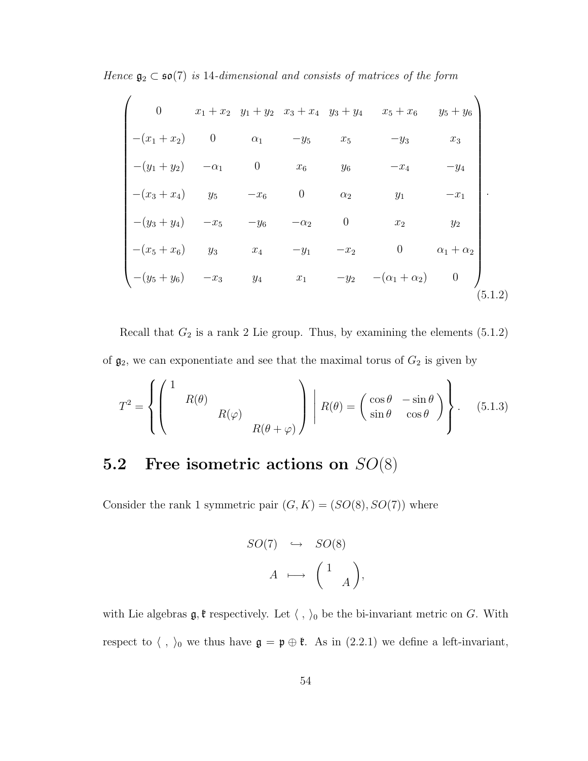Hence  $\mathfrak{g}_2 \subset \mathfrak{so}(7)$  is 14-dimensional and consists of matrices of the form

$$
\begin{pmatrix}\n0 & x_1 + x_2 & y_1 + y_2 & x_3 + x_4 & y_3 + y_4 & x_5 + x_6 & y_5 + y_6 \\
-(x_1 + x_2) & 0 & \alpha_1 & -y_5 & x_5 & -y_3 & x_3 \\
-(y_1 + y_2) & -\alpha_1 & 0 & x_6 & y_6 & -x_4 & -y_4 \\
-(x_3 + x_4) & y_5 & -x_6 & 0 & \alpha_2 & y_1 & -x_1 \\
-(y_3 + y_4) & -x_5 & -y_6 & -\alpha_2 & 0 & x_2 & y_2 \\
-(x_5 + x_6) & y_3 & x_4 & -y_1 & -x_2 & 0 & \alpha_1 + \alpha_2 \\
-(y_5 + y_6) & -x_3 & y_4 & x_1 & -y_2 & -(\alpha_1 + \alpha_2) & 0\n\end{pmatrix}
$$
\n(5.1.2)

Recall that  $G_2$  is a rank 2 Lie group. Thus, by examining the elements  $(5.1.2)$ of  $\mathfrak{g}_2$ , we can exponentiate and see that the maximal torus of  $G_2$  is given by

$$
T^{2} = \left\{ \begin{pmatrix} 1 & & & \\ & R(\theta) & & \\ & & R(\varphi) & \\ & & & R(\theta + \varphi) \end{pmatrix} \middle| R(\theta) = \begin{pmatrix} \cos \theta & -\sin \theta \\ \sin \theta & \cos \theta \end{pmatrix} \right\}.
$$
 (5.1.3)

# 5.2 Free isometric actions on  $SO(8)$

Consider the rank 1 symmetric pair  $(G, K) = (SO(8), SO(7))$  where

$$
SO(7) \quad \hookrightarrow \quad SO(8)
$$
\n
$$
A \quad \longmapsto \quad \begin{pmatrix} 1 \\ & A \end{pmatrix},
$$

with Lie algebras  $\mathfrak{g}, \mathfrak{k}$  respectively. Let  $\langle , \rangle_0$  be the bi-invariant metric on G. With respect to  $\langle , \rangle_0$  we thus have  $\mathfrak{g} = \mathfrak{p} \oplus \mathfrak{k}$ . As in (2.2.1) we define a left-invariant,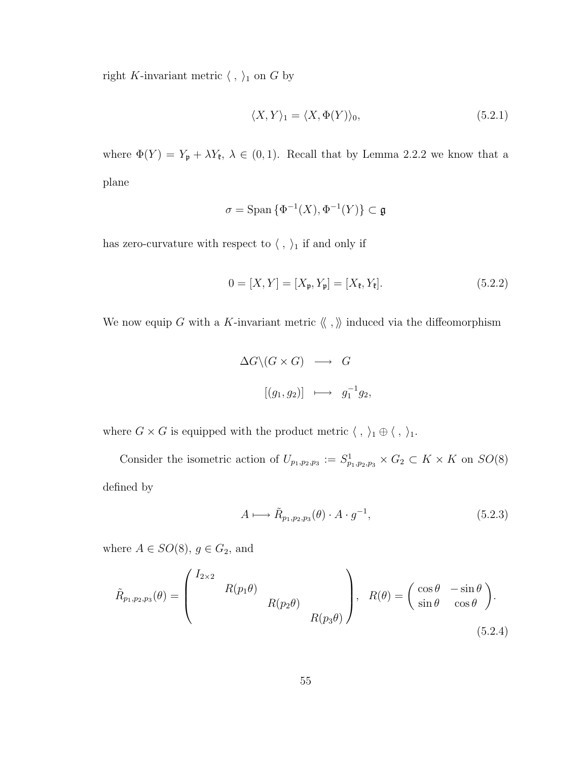right K-invariant metric  $\langle , \rangle_1$  on G by

$$
\langle X, Y \rangle_1 = \langle X, \Phi(Y) \rangle_0,\tag{5.2.1}
$$

where  $\Phi(Y) = Y_p + \lambda Y_{\ell}, \lambda \in (0,1)$ . Recall that by Lemma 2.2.2 we know that a plane

$$
\sigma = \text{Span}\left\{\Phi^{-1}(X), \Phi^{-1}(Y)\right\} \subset \mathfrak{g}
$$

has zero-curvature with respect to  $\langle$  ,  $\rangle_1$  if and only if

$$
0 = [X, Y] = [X_{\mathfrak{p}}, Y_{\mathfrak{p}}] = [X_{\mathfrak{k}}, Y_{\mathfrak{k}}].
$$
\n(5.2.2)

We now equip G with a K-invariant metric  $\langle\!\langle\ ,\ \rangle\!\rangle$  induced via the diffeomorphism

$$
\Delta G \setminus (G \times G) \longrightarrow G
$$
  

$$
[(g_1, g_2)] \longmapsto g_1^{-1} g_2,
$$

where  $G \times G$  is equipped with the product metric  $\langle , \rangle_1 \oplus \langle , \rangle_1$ .

Consider the isometric action of  $U_{p_1,p_2,p_3} := S^1_{p_1,p_2,p_3} \times G_2 \subset K \times K$  on  $SO(8)$ defined by

$$
A \longmapsto \tilde{R}_{p_1, p_2, p_3}(\theta) \cdot A \cdot g^{-1},\tag{5.2.3}
$$

where  $A \in SO(8)$ ,  $g \in G_2$ , and

$$
\tilde{R}_{p_1, p_2, p_3}(\theta) = \begin{pmatrix} I_{2 \times 2} & & \\ & R(p_1 \theta) & \\ & & R(p_2 \theta) \\ & & & R(p_3 \theta) \end{pmatrix}, \quad R(\theta) = \begin{pmatrix} \cos \theta & -\sin \theta \\ \sin \theta & \cos \theta \end{pmatrix}.
$$
\n(5.2.4)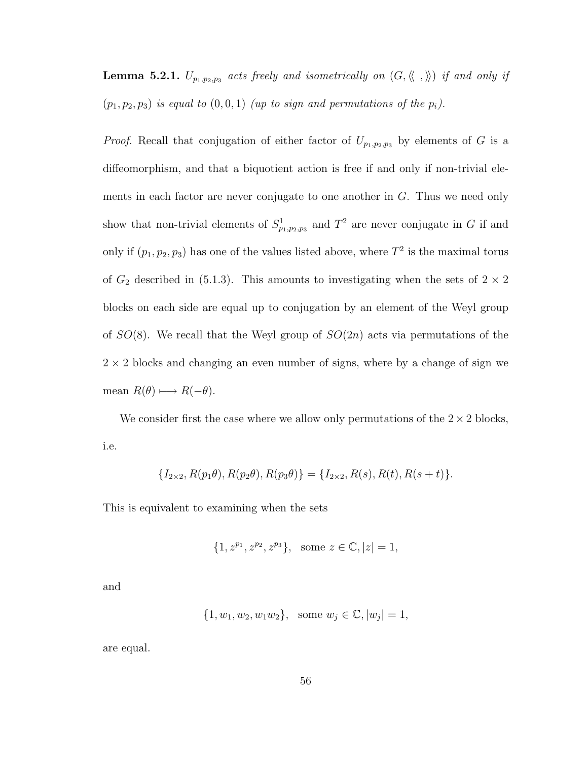**Lemma 5.2.1.**  $U_{p_1,p_2,p_3}$  acts freely and isometrically on  $(G, \langle\langle , \rangle\rangle)$  if and only if  $(p_1, p_2, p_3)$  is equal to  $(0, 0, 1)$  (up to sign and permutations of the  $p_i$ ).

*Proof.* Recall that conjugation of either factor of  $U_{p_1,p_2,p_3}$  by elements of G is a diffeomorphism, and that a biquotient action is free if and only if non-trivial elements in each factor are never conjugate to one another in G. Thus we need only show that non-trivial elements of  $S^1_{p_1,p_2,p_3}$  and  $T^2$  are never conjugate in G if and only if  $(p_1, p_2, p_3)$  has one of the values listed above, where  $T^2$  is the maximal torus of  $G_2$  described in (5.1.3). This amounts to investigating when the sets of  $2 \times 2$ blocks on each side are equal up to conjugation by an element of the Weyl group of  $SO(8)$ . We recall that the Weyl group of  $SO(2n)$  acts via permutations of the  $2 \times 2$  blocks and changing an even number of signs, where by a change of sign we mean  $R(\theta) \longmapsto R(-\theta)$ .

We consider first the case where we allow only permutations of the  $2 \times 2$  blocks, i.e.

$$
\{I_{2\times 2}, R(p_1\theta), R(p_2\theta), R(p_3\theta)\} = \{I_{2\times 2}, R(s), R(t), R(s+t)\}.
$$

This is equivalent to examining when the sets

$$
\{1, z^{p_1}, z^{p_2}, z^{p_3}\}, \text{ some } z \in \mathbb{C}, |z| = 1,
$$

and

$$
\{1, w_1, w_2, w_1w_2\}, \text{ some } w_j \in \mathbb{C}, |w_j| = 1,
$$

are equal.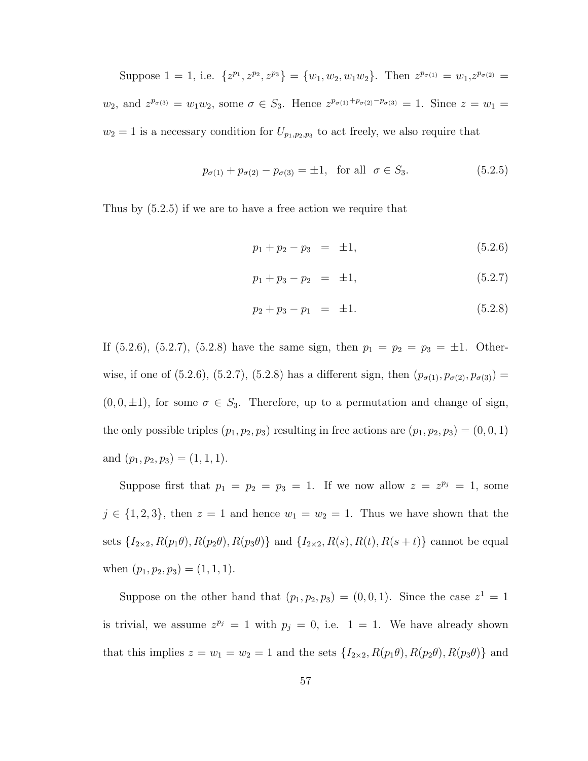Suppose 1 = 1, i.e.  $\{z^{p_1}, z^{p_2}, z^{p_3}\} = \{w_1, w_2, w_1w_2\}$ . Then  $z^{p_{\sigma(1)}} = w_1, z^{p_{\sigma(2)}} = w_2$  $w_2$ , and  $z^{p_{\sigma(3)}} = w_1w_2$ , some  $\sigma \in S_3$ . Hence  $z^{p_{\sigma(1)}+p_{\sigma(2)}-p_{\sigma(3)}} = 1$ . Since  $z = w_1 =$  $w_2 = 1$  is a necessary condition for  $U_{p_1, p_2, p_3}$  to act freely, we also require that

$$
p_{\sigma(1)} + p_{\sigma(2)} - p_{\sigma(3)} = \pm 1, \text{ for all } \sigma \in S_3.
$$
 (5.2.5)

Thus by (5.2.5) if we are to have a free action we require that

$$
p_1 + p_2 - p_3 = \pm 1, \tag{5.2.6}
$$

$$
p_1 + p_3 - p_2 = \pm 1,\tag{5.2.7}
$$

$$
p_2 + p_3 - p_1 = \pm 1. \tag{5.2.8}
$$

If (5.2.6), (5.2.7), (5.2.8) have the same sign, then  $p_1 = p_2 = p_3 = \pm 1$ . Otherwise, if one of (5.2.6), (5.2.7), (5.2.8) has a different sign, then  $(p_{\sigma(1)}, p_{\sigma(2)}, p_{\sigma(3)}) =$  $(0, 0, \pm 1)$ , for some  $\sigma \in S_3$ . Therefore, up to a permutation and change of sign, the only possible triples  $(p_1, p_2, p_3)$  resulting in free actions are  $(p_1, p_2, p_3) = (0, 0, 1)$ and  $(p_1, p_2, p_3) = (1, 1, 1).$ 

Suppose first that  $p_1 = p_2 = p_3 = 1$ . If we now allow  $z = z^{p_j} = 1$ , some  $j \in \{1, 2, 3\}$ , then  $z = 1$  and hence  $w_1 = w_2 = 1$ . Thus we have shown that the sets  $\{I_{2\times 2}, R(p_1\theta), R(p_2\theta), R(p_3\theta)\}$  and  $\{I_{2\times 2}, R(s), R(t), R(s+t)\}$  cannot be equal when  $(p_1, p_2, p_3) = (1, 1, 1).$ 

Suppose on the other hand that  $(p_1, p_2, p_3) = (0, 0, 1)$ . Since the case  $z^1 = 1$ is trivial, we assume  $z^{p_j} = 1$  with  $p_j = 0$ , i.e.  $1 = 1$ . We have already shown that this implies  $z = w_1 = w_2 = 1$  and the sets  $\{I_{2\times 2}, R(p_1\theta), R(p_2\theta), R(p_3\theta)\}\$  and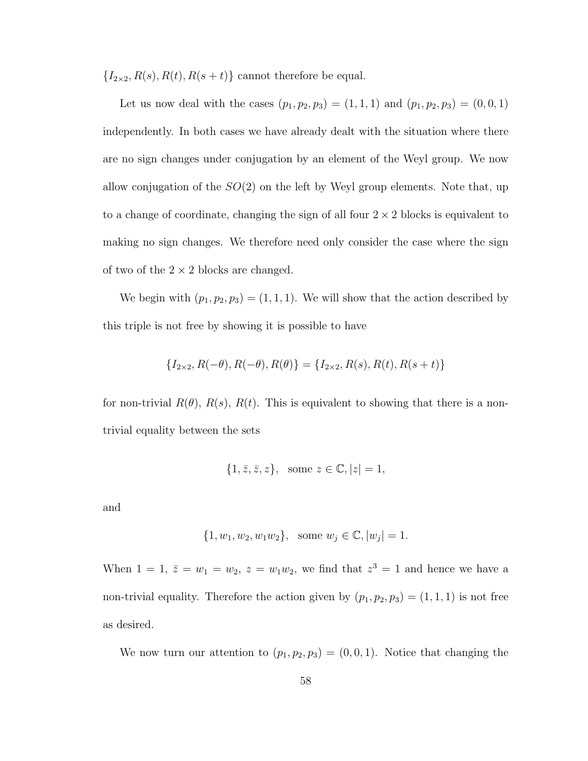$\{I_{2\times 2}, R(s), R(t), R(s+t)\}\)$  cannot therefore be equal.

Let us now deal with the cases  $(p_1, p_2, p_3) = (1, 1, 1)$  and  $(p_1, p_2, p_3) = (0, 0, 1)$ independently. In both cases we have already dealt with the situation where there are no sign changes under conjugation by an element of the Weyl group. We now allow conjugation of the  $SO(2)$  on the left by Weyl group elements. Note that, up to a change of coordinate, changing the sign of all four  $2 \times 2$  blocks is equivalent to making no sign changes. We therefore need only consider the case where the sign of two of the  $2 \times 2$  blocks are changed.

We begin with  $(p_1, p_2, p_3) = (1, 1, 1)$ . We will show that the action described by this triple is not free by showing it is possible to have

$$
\{I_{2\times 2}, R(-\theta), R(-\theta), R(\theta)\} = \{I_{2\times 2}, R(s), R(t), R(s+t)\}
$$

for non-trivial  $R(\theta)$ ,  $R(s)$ ,  $R(t)$ . This is equivalent to showing that there is a nontrivial equality between the sets

$$
\{1, \overline{z}, \overline{z}, z\}, \text{ some } z \in \mathbb{C}, |z| = 1,
$$

and

$$
\{1, w_1, w_2, w_1 w_2\}, \text{ some } w_j \in \mathbb{C}, |w_j| = 1.
$$

When  $1 = 1$ ,  $\overline{z} = w_1 = w_2$ ,  $z = w_1w_2$ , we find that  $z^3 = 1$  and hence we have a non-trivial equality. Therefore the action given by  $(p_1, p_2, p_3) = (1, 1, 1)$  is not free as desired.

We now turn our attention to  $(p_1, p_2, p_3) = (0, 0, 1)$ . Notice that changing the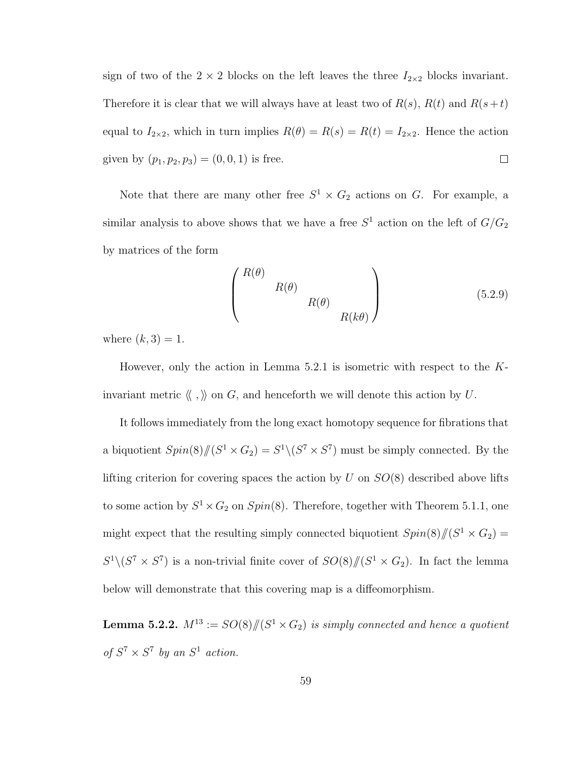sign of two of the  $2 \times 2$  blocks on the left leaves the three  $I_{2\times 2}$  blocks invariant. Therefore it is clear that we will always have at least two of  $R(s)$ ,  $R(t)$  and  $R(s+t)$ equal to  $I_{2\times 2}$ , which in turn implies  $R(\theta) = R(s) = R(t) = I_{2\times 2}$ . Hence the action given by  $(p_1, p_2, p_3) = (0, 0, 1)$  is free.  $\Box$ 

Note that there are many other free  $S^1 \times G_2$  actions on G. For example, a similar analysis to above shows that we have a free  $S^1$  action on the left of  $G/G_2$ by matrices of the form

$$
\begin{pmatrix}\nR(\theta) & & & \\
 & R(\theta) & & \\
 & & R(k\theta)\n\end{pmatrix}
$$
\n(5.2.9)

where  $(k, 3) = 1$ .

However, only the action in Lemma 5.2.1 is isometric with respect to the  $K$ invariant metric  $\langle\!\langle\ ,\rangle\!\rangle$  on  $G,$  and henceforth we will denote this action by  $U.$ 

It follows immediately from the long exact homotopy sequence for fibrations that a biquotient  $Spin(8)/\hspace{-3pt}/(S^1 \times G_2) = S^1 \setminus (S^7 \times S^7)$  must be simply connected. By the lifting criterion for covering spaces the action by U on  $SO(8)$  described above lifts to some action by  $S^1 \times G_2$  on  $Spin(8)$ . Therefore, together with Theorem 5.1.1, one might expect that the resulting simply connected biquotient  $Spin(8)/\hspace{-3pt}/(S^1 \times G_2)$  =  $S^1\backslash (S^7 \times S^7)$  is a non-trivial finite cover of  $SO(8)/\!\!/ (S^1 \times G_2)$ . In fact the lemma below will demonstrate that this covering map is a diffeomorphism.

**Lemma 5.2.2.**  $M^{13} := SO(8)/\hspace{-3pt}/(S^1 \times G_2)$  is simply connected and hence a quotient of  $S^7 \times S^7$  by an  $S^1$  action.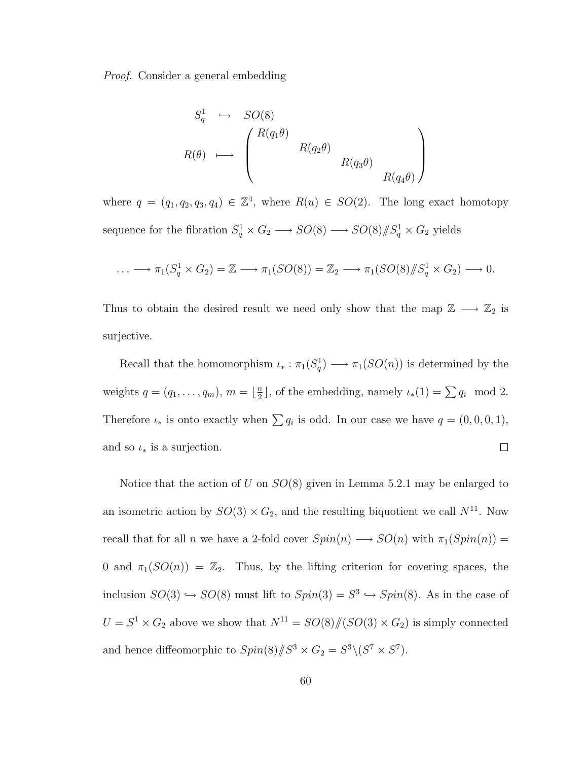Proof. Consider a general embedding

$$
S_q^1 \hookrightarrow SO(8)
$$
  

$$
R(\theta) \longmapsto \begin{pmatrix} R(q_1\theta) & & \\ & R(q_2\theta) & \\ & & R(q_3\theta) \\ & & & R(q_4\theta) \end{pmatrix}
$$

where  $q = (q_1, q_2, q_3, q_4) \in \mathbb{Z}^4$ , where  $R(u) \in SO(2)$ . The long exact homotopy sequence for the fibration  $S_q^1 \times G_2 \longrightarrow SO(8) \longrightarrow SO(8)/\!\!/ S_q^1 \times G_2$  yields

$$
\ldots \longrightarrow \pi_1(S_q^1 \times G_2) = \mathbb{Z} \longrightarrow \pi_1(SO(8)) = \mathbb{Z}_2 \longrightarrow \pi_1(SO(8)/\!\!/S_q^1 \times G_2) \longrightarrow 0.
$$

Thus to obtain the desired result we need only show that the map  $\mathbb{Z} \longrightarrow \mathbb{Z}_2$  is surjective.

Recall that the homomorphism  $\iota_* : \pi_1(S_q^1) \longrightarrow \pi_1(SO(n))$  is determined by the  $\frac{n}{2}$ , of the embedding, namely  $\iota_*(1) = \sum q_i \mod 2$ . weights  $q = (q_1, \ldots, q_m), m = \lfloor \frac{n}{2} \rfloor$ Therefore  $\iota_*$  is onto exactly when  $\sum q_i$  is odd. In our case we have  $q = (0, 0, 0, 1)$ , and so  $\iota_*$  is a surjection.  $\Box$ 

Notice that the action of U on  $SO(8)$  given in Lemma 5.2.1 may be enlarged to an isometric action by  $SO(3) \times G_2$ , and the resulting biquotient we call  $N^{11}$ . Now recall that for all n we have a 2-fold cover  $Spin(n) \longrightarrow SO(n)$  with  $\pi_1(Spin(n)) =$ 0 and  $\pi_1(SO(n)) = \mathbb{Z}_2$ . Thus, by the lifting criterion for covering spaces, the inclusion  $SO(3) \hookrightarrow SO(8)$  must lift to  $Spin(3) = S^3 \hookrightarrow Spin(8)$ . As in the case of  $U = S^1 \times G_2$  above we show that  $N^{11} = SO(8)/\!(SO(3) \times G_2)$  is simply connected and hence diffeomorphic to  $Spin(8)/\!\!/S^3 \times G_2 = S^3 \setminus (S^7 \times S^7)$ .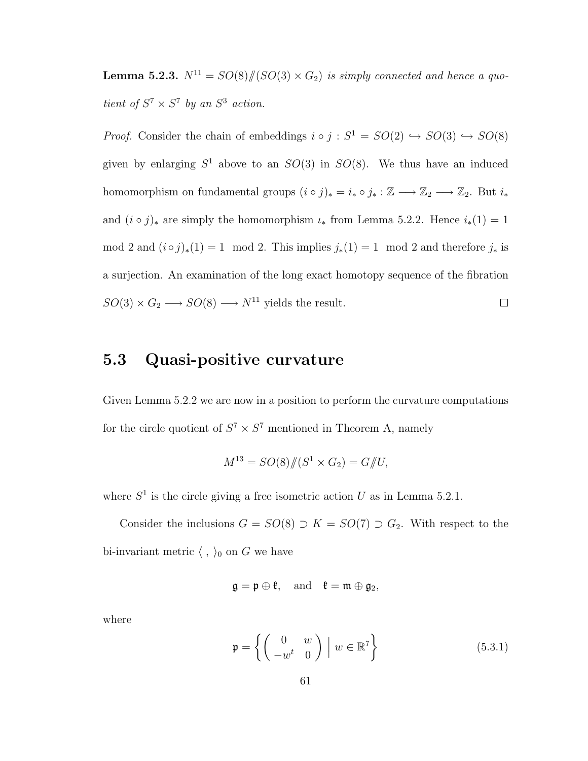**Lemma 5.2.3.**  $N^{11} = SO(8)/(SO(3) \times G_2)$  is simply connected and hence a quotient of  $S^7 \times S^7$  by an  $S^3$  action.

*Proof.* Consider the chain of embeddings  $i \circ j : S^1 = SO(2) \hookrightarrow SO(3) \hookrightarrow SO(8)$ given by enlarging  $S^1$  above to an  $SO(3)$  in  $SO(8)$ . We thus have an induced homomorphism on fundamental groups  $(i \circ j)_* = i_* \circ j_* : \mathbb{Z} \longrightarrow \mathbb{Z}_2 \longrightarrow \mathbb{Z}_2$ . But  $i_*$ and  $(i \circ j)_*$  are simply the homomorphism  $\iota_*$  from Lemma 5.2.2. Hence  $i_*(1) = 1$ mod 2 and  $(i \circ j)_*(1) = 1 \mod 2$ . This implies  $j_*(1) = 1 \mod 2$  and therefore  $j_*$  is a surjection. An examination of the long exact homotopy sequence of the fibration  $SO(3) \times G_2 \longrightarrow SO(8) \longrightarrow N^{11}$  yields the result.  $\Box$ 

## 5.3 Quasi-positive curvature

Given Lemma 5.2.2 we are now in a position to perform the curvature computations for the circle quotient of  $S^7 \times S^7$  mentioned in Theorem A, namely

$$
M^{13} = SO(8)/\!\!/ (S^1 \times G_2) = G/\!\!/ U,
$$

where  $S^1$  is the circle giving a free isometric action U as in Lemma 5.2.1.

Consider the inclusions  $G = SO(8) \supset K = SO(7) \supset G_2$ . With respect to the bi-invariant metric  $\langle , \rangle_0$  on G we have

$$
\mathfrak{g}=\mathfrak{p}\oplus \mathfrak{k}, \quad \text{and} \quad \mathfrak{k}=\mathfrak{m}\oplus \mathfrak{g}_2,
$$

where

$$
\mathbf{p} = \left\{ \begin{pmatrix} 0 & w \\ -w^t & 0 \end{pmatrix} \middle| w \in \mathbb{R}^7 \right\} \tag{5.3.1}
$$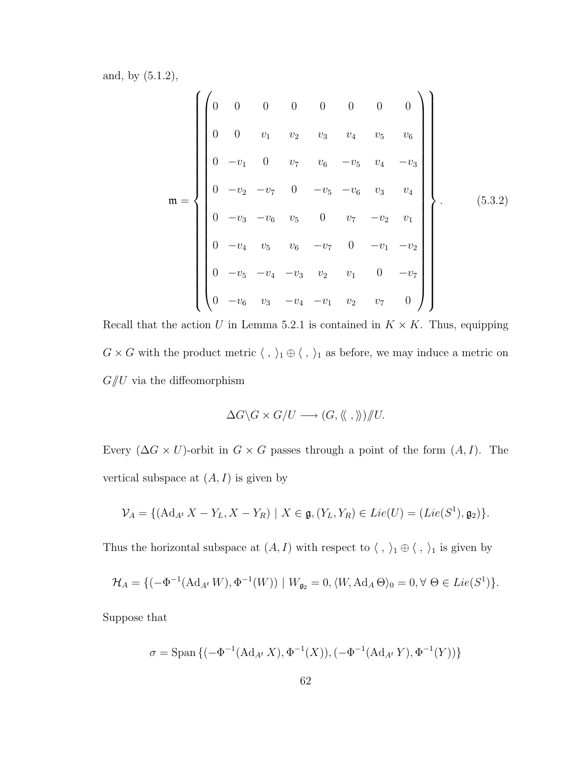and, by (5.1.2),

$$
\mathbf{m} = \left\{ \begin{pmatrix} 0 & 0 & 0 & 0 & 0 & 0 & 0 & 0 \\ 0 & 0 & v_1 & v_2 & v_3 & v_4 & v_5 & v_6 \\ 0 & -v_1 & 0 & v_7 & v_6 & -v_5 & v_4 & -v_3 \\ 0 & -v_2 & -v_7 & 0 & -v_5 & -v_6 & v_3 & v_4 \\ 0 & -v_3 & -v_6 & v_5 & 0 & v_7 & -v_2 & v_1 \\ 0 & -v_4 & v_5 & v_6 & -v_7 & 0 & -v_1 & -v_2 \\ 0 & -v_5 & -v_4 & -v_3 & v_2 & v_1 & 0 & -v_7 \\ 0 & -v_6 & v_3 & -v_4 & -v_1 & v_2 & v_7 & 0 \end{pmatrix} \right\}.
$$
(5.3.2)

Recall that the action U in Lemma 5.2.1 is contained in  $K \times K$ . Thus, equipping  $G\times G$  with the product metric  $\langle\;,\;\rangle_1\oplus\langle\;,\;\rangle_1$  as before, we may induce a metric on  $G /\!\!/ U$  via the diffeomorphism

$$
\Delta G \backslash G \times G/U \longrightarrow (G, \langle\langle , \rangle\rangle)/\!\!/ U.
$$

Every  $(\Delta G \times U)$ -orbit in  $G \times G$  passes through a point of the form  $(A, I)$ . The vertical subspace at  $(A, I)$  is given by

$$
\mathcal{V}_A = \{ (\mathrm{Ad}_{A^t} X - Y_L, X - Y_R) \mid X \in \mathfrak{g}, (Y_L, Y_R) \in Lie(U) = (Lie(S^1), \mathfrak{g}_2) \}.
$$

Thus the horizontal subspace at  $(A,I)$  with respect to  $\langle\;,\;\rangle_1\oplus\langle\;,\;\rangle_1$  is given by

$$
\mathcal{H}_A = \{(-\Phi^{-1}(\mathrm{Ad}_{A^t}W), \Phi^{-1}(W)) \mid W_{\mathfrak{g}_2} = 0, \langle W, \mathrm{Ad}_A \Theta \rangle_0 = 0, \forall \Theta \in Lie(S^1)\}.
$$

Suppose that

$$
\sigma = \text{Span} \left\{ (-\Phi^{-1}(\text{Ad}_{A^t} X), \Phi^{-1}(X)), (-\Phi^{-1}(\text{Ad}_{A^t} Y), \Phi^{-1}(Y)) \right\}
$$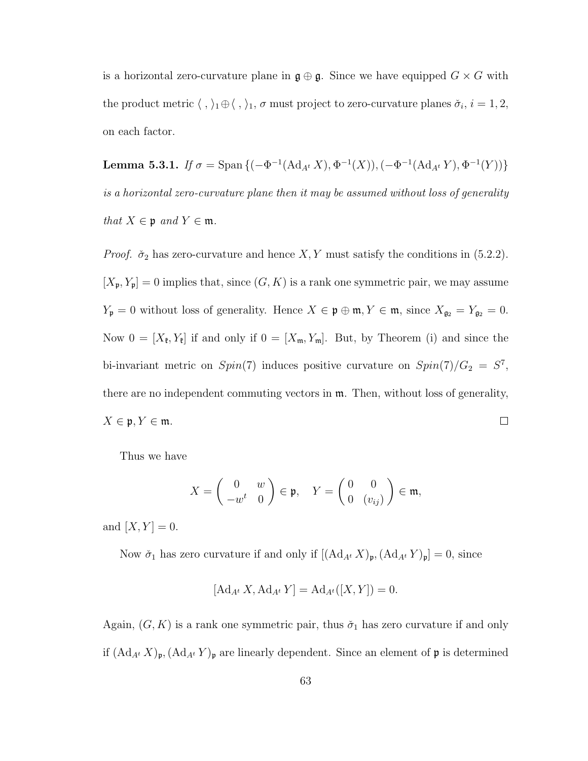is a horizontal zero-curvature plane in  $\mathfrak{g} \oplus \mathfrak{g}$ . Since we have equipped  $G \times G$  with the product metric  $\langle , \rangle_1 \oplus \langle , \rangle_1$ ,  $\sigma$  must project to zero-curvature planes  $\check{\sigma}_i$ ,  $i = 1, 2$ , on each factor.

Lemma 5.3.1. If  $\sigma = \text{Span} \left\{ (-\Phi^{-1}(\text{Ad}_{A^t} X), \Phi^{-1}(X)), (-\Phi^{-1}(\text{Ad}_{A^t} Y), \Phi^{-1}(Y)) \right\}$ is a horizontal zero-curvature plane then it may be assumed without loss of generality that  $X \in \mathfrak{p}$  and  $Y \in \mathfrak{m}$ .

*Proof.*  $\check{\sigma}_2$  has zero-curvature and hence  $X, Y$  must satisfy the conditions in (5.2.2).  $[X_{\mathfrak{p}}, Y_{\mathfrak{p}}] = 0$  implies that, since  $(G, K)$  is a rank one symmetric pair, we may assume  $Y_{\mathfrak{p}} = 0$  without loss of generality. Hence  $X \in \mathfrak{p} \oplus \mathfrak{m}$ ,  $Y \in \mathfrak{m}$ , since  $X_{\mathfrak{g}_2} = Y_{\mathfrak{g}_2} = 0$ . Now  $0 = [X_{\ell}, Y_{\ell}]$  if and only if  $0 = [X_{\mathfrak{m}}, Y_{\mathfrak{m}}]$ . But, by Theorem (i) and since the bi-invariant metric on  $Spin(7)$  induces positive curvature on  $Spin(7)/G_2 = S^7$ , there are no independent commuting vectors in  $m$ . Then, without loss of generality,  $X \in \mathfrak{p}, Y \in \mathfrak{m}.$  $\Box$ 

Thus we have

$$
X = \begin{pmatrix} 0 & w \\ -w^t & 0 \end{pmatrix} \in \mathfrak{p}, \quad Y = \begin{pmatrix} 0 & 0 \\ 0 & (v_{ij}) \end{pmatrix} \in \mathfrak{m},
$$

and  $[X, Y] = 0$ .

Now  $\check{\sigma}_1$  has zero curvature if and only if  $[(\mathrm{Ad}_{A^t} X)_{\mathfrak{p}},(\mathrm{Ad}_{A^t} Y)_{\mathfrak{p}}]=0$ , since

$$
[\mathrm{Ad}_{A^t} X, \mathrm{Ad}_{A^t} Y] = \mathrm{Ad}_{A^t} ([X, Y]) = 0.
$$

Again,  $(G, K)$  is a rank one symmetric pair, thus  $\check{\sigma}_1$  has zero curvature if and only if  $(\mathrm{Ad}_{A^t} X)_{\mathfrak{p}}, (\mathrm{Ad}_{A^t} Y)_{\mathfrak{p}}$  are linearly dependent. Since an element of  $\mathfrak{p}$  is determined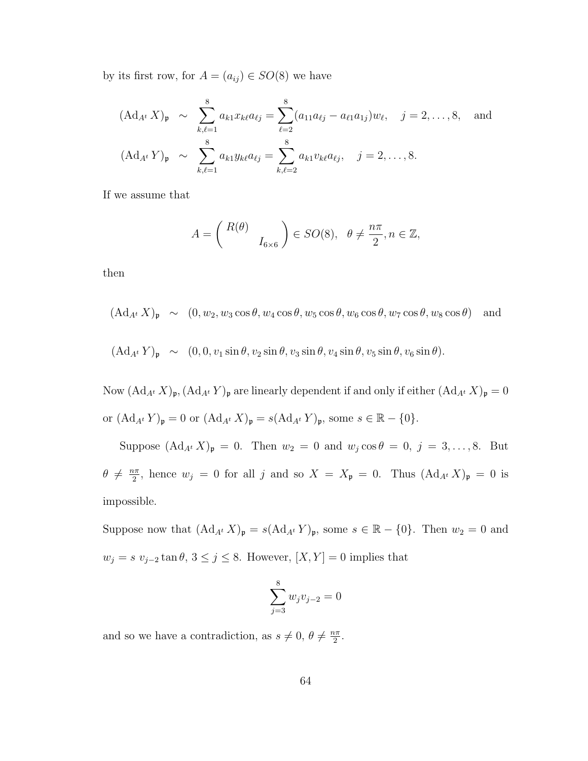by its first row, for  $A = (a_{ij}) \in SO(8)$  we have

$$
(\text{Ad}_{A^t} X)_{\mathfrak{p}} \sim \sum_{k,\ell=1}^8 a_{k1} x_{k\ell} a_{\ell j} = \sum_{\ell=2}^8 (a_{11} a_{\ell j} - a_{\ell 1} a_{1j}) w_{\ell}, \quad j = 2, \dots, 8, \text{ and}
$$

$$
(\text{Ad}_{A^t} Y)_{\mathfrak{p}} \sim \sum_{k,\ell=1}^8 a_{k1} y_{k\ell} a_{\ell j} = \sum_{k,\ell=2}^8 a_{k1} v_{k\ell} a_{\ell j}, \quad j = 2, \dots, 8.
$$

If we assume that

$$
A = \begin{pmatrix} R(\theta) \\ I_{6 \times 6} \end{pmatrix} \in SO(8), \ \ \theta \neq \frac{n\pi}{2}, n \in \mathbb{Z},
$$

then

- $(\mathrm{Ad}_{A^t} X)_{\mathfrak{p}} \sim (0, w_2, w_3 \cos \theta, w_4 \cos \theta, w_5 \cos \theta, w_6 \cos \theta, w_7 \cos \theta, w_8 \cos \theta)$  and
- $(\mathrm{Ad}_{A^t} Y)_{\mathfrak{p}} \sim (0, 0, v_1 \sin \theta, v_2 \sin \theta, v_3 \sin \theta, v_4 \sin \theta, v_5 \sin \theta, v_6 \sin \theta).$

Now  $(\mathrm{Ad}_{A^t} X)_{\mathfrak{p}}, (\mathrm{Ad}_{A^t} Y)_{\mathfrak{p}}$  are linearly dependent if and only if either  $(\mathrm{Ad}_{A^t} X)_{\mathfrak{p}} = 0$ or  $(\mathrm{Ad}_{A^t} Y)_{\mathfrak{p}} = 0$  or  $(\mathrm{Ad}_{A^t} X)_{\mathfrak{p}} = s(\mathrm{Ad}_{A^t} Y)_{\mathfrak{p}}$ , some  $s \in \mathbb{R} - \{0\}$ .

Suppose  $(\text{Ad}_{A^t} X)_{\mathfrak{p}} = 0$ . Then  $w_2 = 0$  and  $w_j \cos \theta = 0$ ,  $j = 3, ..., 8$ . But  $\theta \neq \frac{n\pi}{2}$  $\frac{2\pi}{2}$ , hence  $w_j = 0$  for all j and so  $X = X_{\mathfrak{p}} = 0$ . Thus  $(\text{Ad}_{A^t} X)_{\mathfrak{p}} = 0$  is impossible.

Suppose now that  $(\mathrm{Ad}_{A^t} X)_{\mathfrak{p}} = s(\mathrm{Ad}_{A^t} Y)_{\mathfrak{p}}$ , some  $s \in \mathbb{R} - \{0\}$ . Then  $w_2 = 0$  and  $w_j = s$   $v_{j-2} \tan \theta$ ,  $3 \le j \le 8$ . However,  $[X, Y] = 0$  implies that

$$
\sum_{j=3}^{8} w_j v_{j-2} = 0
$$

and so we have a contradiction, as  $s \neq 0, \theta \neq \frac{n\pi}{2}$  $\frac{i\pi}{2}$ .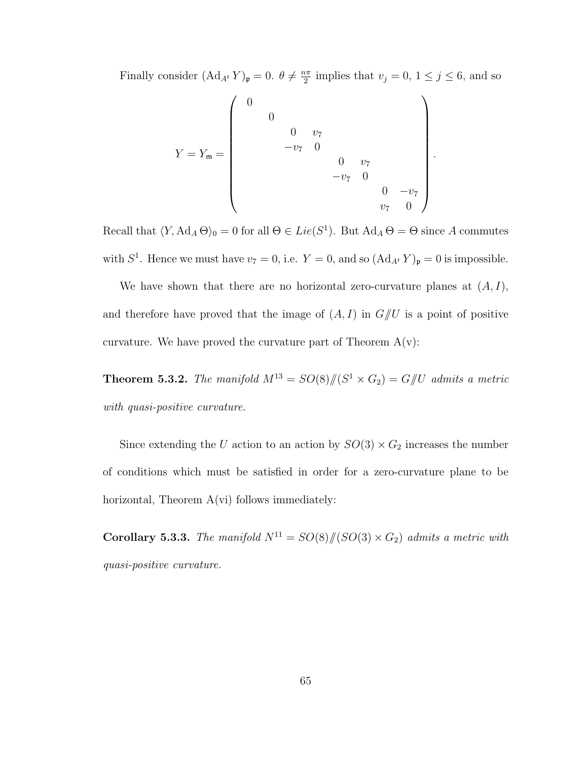Finally consider  $(\text{Ad}_{A^t} Y)_{\mathfrak{p}} = 0$ .  $\theta \neq \frac{n\pi}{2}$  $\frac{2\pi}{2}$  implies that  $v_j = 0, 1 \le j \le 6$ , and so

$$
Y = Y_{\mathfrak{m}} = \begin{pmatrix} 0 & & & & & \\ & 0 & & & & & \\ & & 0 & v_{7} & & & \\ & & -v_{7} & 0 & & \\ & & & & 0 & v_{7} & \\ & & & & -v_{7} & 0 & \\ & & & & & v_{7} & 0 \end{pmatrix}
$$

.

Recall that  $\langle Y, \operatorname{Ad}_A \Theta \rangle_0 = 0$  for all  $\Theta \in Lie(S^1)$ . But  $\operatorname{Ad}_A \Theta = \Theta$  since A commutes with  $S^1$ . Hence we must have  $v_7 = 0$ , i.e.  $Y = 0$ , and so  $(\text{Ad}_{A^t} Y)_{\mathfrak{p}} = 0$  is impossible.

We have shown that there are no horizontal zero-curvature planes at  $(A, I)$ , and therefore have proved that the image of  $(A, I)$  in  $G/\!\!/ U$  is a point of positive curvature. We have proved the curvature part of Theorem  $A(v)$ :

**Theorem 5.3.2.** The manifold  $M^{13} = SO(8)/\hspace{-3pt}/(S^1 \times G_2) = G/\hspace{-3pt}/ U$  admits a metric with quasi-positive curvature.

Since extending the U action to an action by  $SO(3) \times G_2$  increases the number of conditions which must be satisfied in order for a zero-curvature plane to be horizontal, Theorem  $A(vi)$  follows immediately:

Corollary 5.3.3. The manifold  $N^{11} = SO(8)/\!/(SO(3) \times G_2)$  admits a metric with quasi-positive curvature.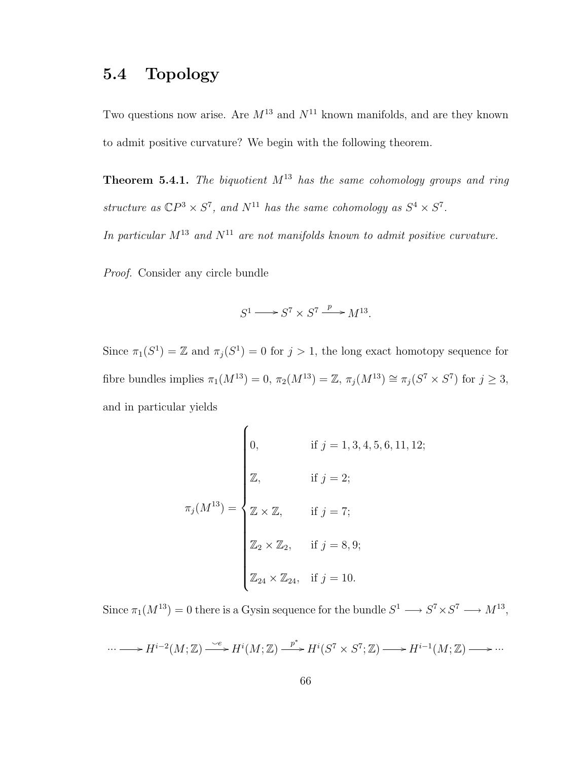## 5.4 Topology

Two questions now arise. Are  $M^{13}$  and  $N^{11}$  known manifolds, and are they known to admit positive curvature? We begin with the following theorem.

**Theorem 5.4.1.** The biquotient  $M^{13}$  has the same cohomology groups and ring structure as  $\mathbb{C}P^3 \times S^7$ , and  $N^{11}$  has the same cohomology as  $S^4 \times S^7$ .

In particular  $M^{13}$  and  $N^{11}$  are not manifolds known to admit positive curvature.

Proof. Consider any circle bundle

$$
S^1 \longrightarrow S^7 \times S^7 \xrightarrow{p} M^{13}.
$$

Since  $\pi_1(S^1) = \mathbb{Z}$  and  $\pi_j(S^1) = 0$  for  $j > 1$ , the long exact homotopy sequence for fibre bundles implies  $\pi_1(M^{13}) = 0$ ,  $\pi_2(M^{13}) = \mathbb{Z}$ ,  $\pi_j(M^{13}) \cong \pi_j(S^7 \times S^7)$  for  $j \geq 3$ , and in particular yields

$$
\pi_j(M^{13}) = \begin{cases}\n0, & \text{if } j = 1, 3, 4, 5, 6, 11, 12; \\
\mathbb{Z}, & \text{if } j = 2; \\
\mathbb{Z} \times \mathbb{Z}, & \text{if } j = 7; \\
\mathbb{Z}_2 \times \mathbb{Z}_2, & \text{if } j = 8, 9; \\
\mathbb{Z}_{24} \times \mathbb{Z}_{24}, & \text{if } j = 10.\n\end{cases}
$$

Since  $\pi_1(M^{13}) = 0$  there is a Gysin sequence for the bundle  $S^1 \longrightarrow S^7 \times S^7 \longrightarrow M^{13}$ ,

$$
\cdots \longrightarrow H^{i-2}(M;\mathbb{Z}) \xrightarrow{\smile e} H^i(M;\mathbb{Z}) \xrightarrow{\phantom{p^*}} H^i(S^7 \times S^7; \mathbb{Z}) \longrightarrow H^{i-1}(M;\mathbb{Z}) \longrightarrow \cdots
$$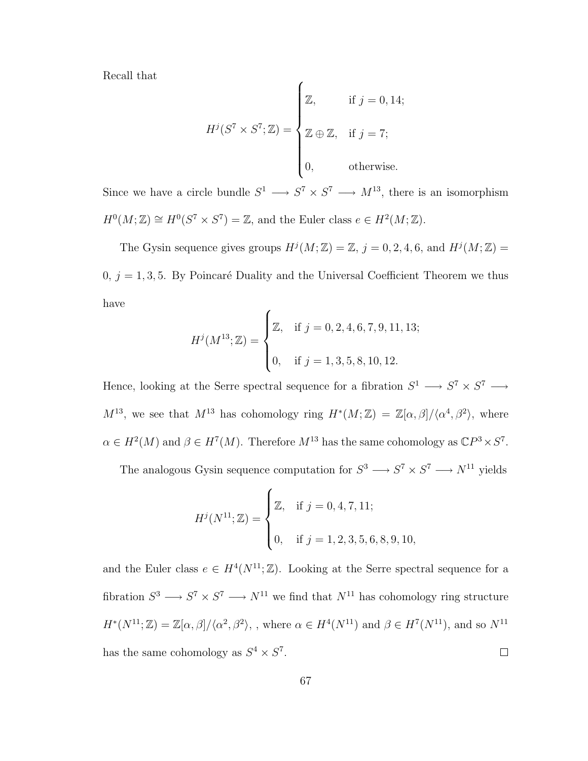Recall that

$$
H^{j}(S^{7} \times S^{7}; \mathbb{Z}) = \begin{cases} \mathbb{Z}, & \text{if } j = 0, 14; \\ \mathbb{Z} \oplus \mathbb{Z}, & \text{if } j = 7; \\ 0, & \text{otherwise.} \end{cases}
$$

Since we have a circle bundle  $S^1 \longrightarrow S^7 \times S^7 \longrightarrow M^{13}$ , there is an isomorphism  $H^0(M; \mathbb{Z}) \cong H^0(S^7 \times S^7) = \mathbb{Z}$ , and the Euler class  $e \in H^2(M; \mathbb{Z})$ .

The Gysin sequence gives groups  $H^j(M; \mathbb{Z}) = \mathbb{Z}, j = 0, 2, 4, 6, \text{ and } H^j(M; \mathbb{Z}) =$  $0, j = 1, 3, 5$ . By Poincaré Duality and the Universal Coefficient Theorem we thus have  $\overline{ }$ 

$$
H^{j}(M^{13};\mathbb{Z}) = \begin{cases} \mathbb{Z}, & \text{if } j = 0, 2, 4, 6, 7, 9, 11, 13; \\ 0, & \text{if } j = 1, 3, 5, 8, 10, 12. \end{cases}
$$

Hence, looking at the Serre spectral sequence for a fibration  $S^1 \longrightarrow S^7 \times S^7 \longrightarrow$  $M^{13}$ , we see that  $M^{13}$  has cohomology ring  $H^*(M;\mathbb{Z}) = \mathbb{Z}[\alpha,\beta]/\langle \alpha^4,\beta^2 \rangle$ , where  $\alpha \in H^2(M)$  and  $\beta \in H^7(M)$ . Therefore  $M^{13}$  has the same cohomology as  $\mathbb{C}P^3 \times S^7$ .

The analogous Gysin sequence computation for  $S^3 \longrightarrow S^7 \times S^7 \longrightarrow N^{11}$  yields

$$
H^{j}(N^{11};\mathbb{Z}) = \begin{cases} \mathbb{Z}, & \text{if } j = 0, 4, 7, 11; \\ 0, & \text{if } j = 1, 2, 3, 5, 6, 8, 9, 10, \end{cases}
$$

and the Euler class  $e \in H^4(N^{11}; \mathbb{Z})$ . Looking at the Serre spectral sequence for a fibration  $S^3 \longrightarrow S^7 \times S^7 \longrightarrow N^{11}$  we find that  $N^{11}$  has cohomology ring structure  $H^*(N^{11};\mathbb{Z})=\mathbb{Z}[\alpha,\beta]/\langle \alpha^2,\beta^2\rangle$ , where  $\alpha\in H^4(N^{11})$  and  $\beta\in H^7(N^{11})$ , and so  $N^{11}$ has the same cohomology as  $S^4 \times S^7$ .  $\Box$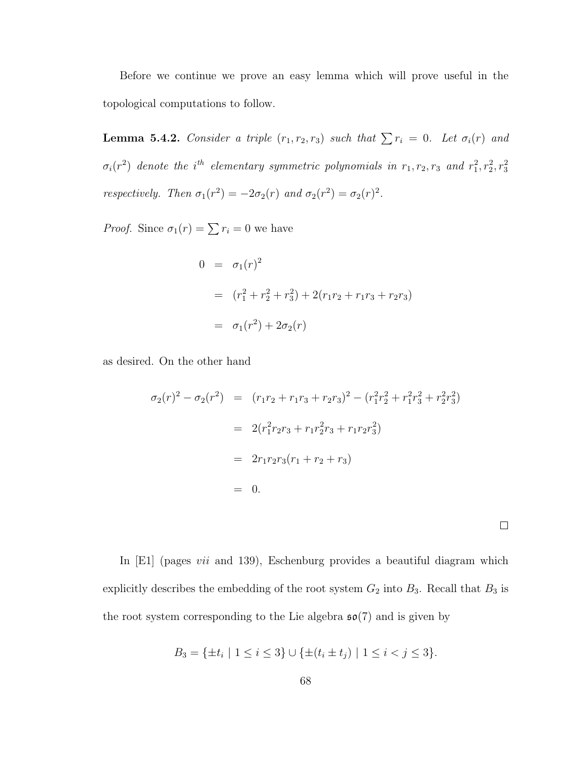Before we continue we prove an easy lemma which will prove useful in the topological computations to follow.

**Lemma 5.4.2.** Consider a triple  $(r_1, r_2, r_3)$  such that  $\sum r_i = 0$ . Let  $\sigma_i(r)$  and  $\sigma_i(r^2)$  denote the i<sup>th</sup> elementary symmetric polynomials in  $r_1, r_2, r_3$  and  $r_1^2, r_2^2, r_3^2$ respectively. Then  $\sigma_1(r^2) = -2\sigma_2(r)$  and  $\sigma_2(r^2) = \sigma_2(r)^2$ .

*Proof.* Since  $\sigma_1(r) = \sum r_i = 0$  we have

$$
0 = \sigma_1(r)^2
$$
  
=  $(r_1^2 + r_2^2 + r_3^2) + 2(r_1r_2 + r_1r_3 + r_2r_3)$   
=  $\sigma_1(r^2) + 2\sigma_2(r)$ 

as desired. On the other hand

$$
\sigma_2(r)^2 - \sigma_2(r^2) = (r_1r_2 + r_1r_3 + r_2r_3)^2 - (r_1^2r_2^2 + r_1^2r_3^2 + r_2^2r_3^2)
$$
  
=  $2(r_1^2r_2r_3 + r_1r_2^2r_3 + r_1r_2r_3^2)$   
=  $2r_1r_2r_3(r_1 + r_2 + r_3)$   
= 0.

In [E1] (pages *vii* and 139), Eschenburg provides a beautiful diagram which explicitly describes the embedding of the root system  $G_2$  into  $B_3$ . Recall that  $B_3$  is the root system corresponding to the Lie algebra  $\mathfrak{so}(7)$  and is given by

 $\Box$ 

$$
B_3 = \{ \pm t_i \mid 1 \le i \le 3 \} \cup \{ \pm (t_i \pm t_j) \mid 1 \le i < j \le 3 \}.
$$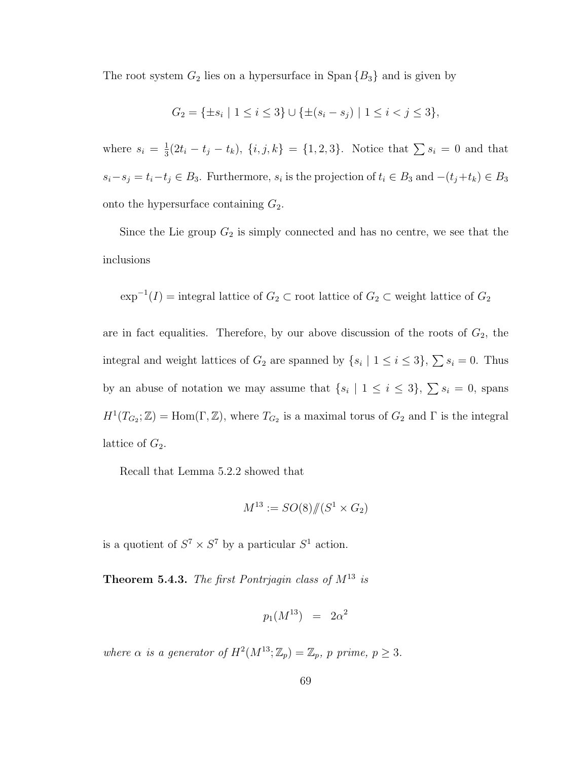The root system  $G_2$  lies on a hypersurface in Span  $\{B_3\}$  and is given by

$$
G_2 = \{ \pm s_i \mid 1 \le i \le 3 \} \cup \{ \pm (s_i - s_j) \mid 1 \le i < j \le 3 \},\
$$

where  $s_i = \frac{1}{3}$  $\frac{1}{3}(2t_i - t_j - t_k), \{i, j, k\} = \{1, 2, 3\}.$  Notice that  $\sum s_i = 0$  and that  $s_i-s_j = t_i-t_j \in B_3$ . Furthermore,  $s_i$  is the projection of  $t_i \in B_3$  and  $-(t_j+t_k) \in B_3$ onto the hypersurface containing  $G_2$ .

Since the Lie group  $G_2$  is simply connected and has no centre, we see that the inclusions

$$
\exp^{-1}(I)
$$
 = integral lattice of  $G_2 \subset$  root lattice of  $G_2 \subset$  weight lattice of  $G_2$ 

are in fact equalities. Therefore, by our above discussion of the roots of  $G_2$ , the integral and weight lattices of  $G_2$  are spanned by  $\{s_i \mid 1 \leq i \leq 3\}, \sum s_i = 0$ . Thus by an abuse of notation we may assume that  $\{s_i \mid 1 \leq i \leq 3\}, \sum s_i = 0$ , spans  $H^1(T_{G_2};\mathbb{Z}) = \text{Hom}(\Gamma,\mathbb{Z})$ , where  $T_{G_2}$  is a maximal torus of  $G_2$  and  $\Gamma$  is the integral lattice of  $G_2$ .

Recall that Lemma 5.2.2 showed that

$$
M^{13} := SO(8)/\!/(S^1 \times G_2)
$$

is a quotient of  $S^7 \times S^7$  by a particular  $S^1$  action.

**Theorem 5.4.3.** The first Pontrjagin class of  $M^{13}$  is

$$
p_1(M^{13}) = 2\alpha^2
$$

where  $\alpha$  is a generator of  $H^2(M^{13}; \mathbb{Z}_p) = \mathbb{Z}_p$ , p prime,  $p \geq 3$ .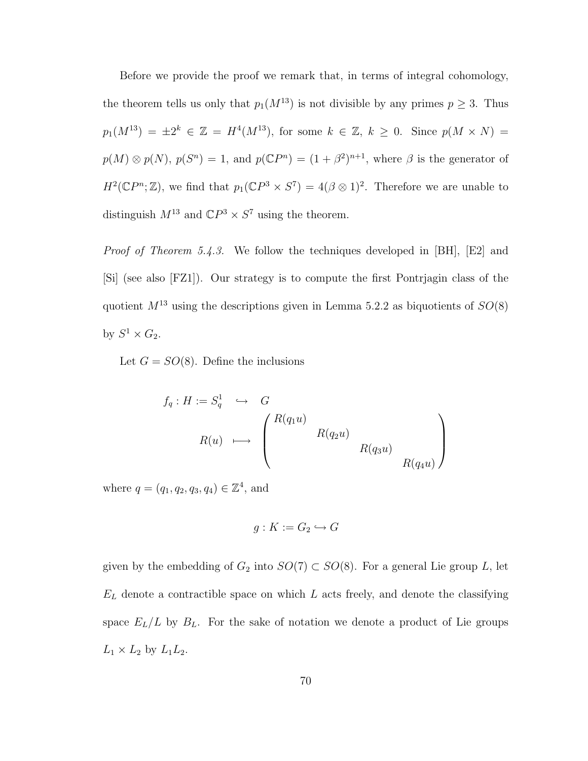Before we provide the proof we remark that, in terms of integral cohomology, the theorem tells us only that  $p_1(M^{13})$  is not divisible by any primes  $p \geq 3$ . Thus  $p_1(M^{13}) = \pm 2^k \in \mathbb{Z} = H^4(M^{13}),$  for some  $k \in \mathbb{Z}, k \geq 0$ . Since  $p(M \times N) =$  $p(M) \otimes p(N)$ ,  $p(S^n) = 1$ , and  $p(\mathbb{C}P^n) = (1 + \beta^2)^{n+1}$ , where  $\beta$  is the generator of  $H^2(\mathbb{C}P^n;\mathbb{Z})$ , we find that  $p_1(\mathbb{C}P^3 \times S^7) = 4(\beta \otimes 1)^2$ . Therefore we are unable to distinguish  $M^{13}$  and  $\mathbb{C}P^3 \times S^7$  using the theorem.

Proof of Theorem 5.4.3. We follow the techniques developed in [BH], [E2] and [Si] (see also [FZ1]). Our strategy is to compute the first Pontrjagin class of the quotient  $M^{13}$  using the descriptions given in Lemma 5.2.2 as biquotients of  $SO(8)$ by  $S^1 \times G_2$ .

Let  $G = SO(8)$ . Define the inclusions

$$
f_q: H := S_q^1 \quad \hookrightarrow \quad G
$$
  

$$
R(u) \quad \longmapsto \quad \begin{pmatrix} R(q_1u) & & & \\ & R(q_2u) & & \\ & & R(q_3u) & \\ & & & R(q_4u) \end{pmatrix}
$$

where  $q = (q_1, q_2, q_3, q_4) \in \mathbb{Z}^4$ , and

$$
g: K := G_2 \hookrightarrow G
$$

given by the embedding of  $G_2$  into  $SO(7) \subset SO(8)$ . For a general Lie group L, let  $E_L$  denote a contractible space on which  $L$  acts freely, and denote the classifying space  $E_L/L$  by  $B_L$ . For the sake of notation we denote a product of Lie groups  $L_1 \times L_2$  by  $L_1L_2$ .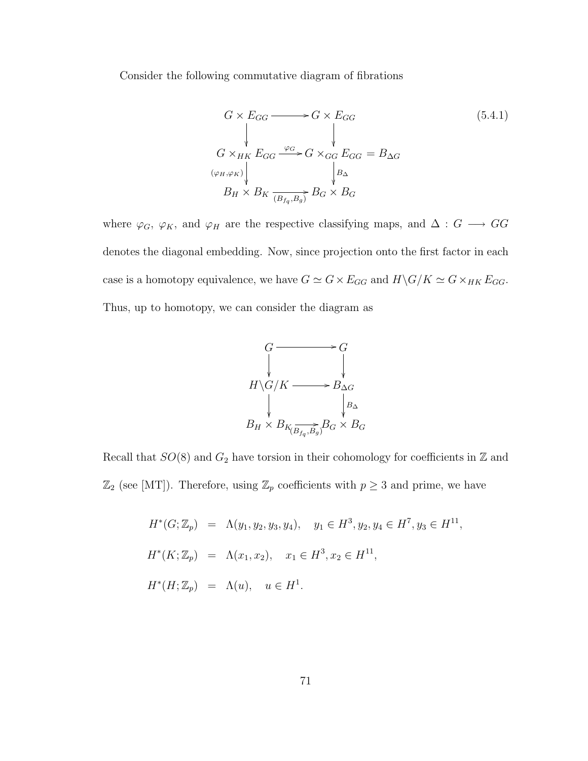Consider the following commutative diagram of fibrations

$$
G \times E_{GG} \longrightarrow G \times E_{GG}
$$
\n
$$
\downarrow \qquad (5.4.1)
$$
\n
$$
G \times_{HK} E_{GG} \xrightarrow{\varphi_G} G \times_{GG} E_{GG} = B_{\Delta G}
$$
\n
$$
\downarrow \qquad \qquad \downarrow \qquad \qquad \downarrow
$$
\n
$$
B_H \times B_K \xrightarrow{\varphi_G} B_G \times B_G
$$
\n
$$
(5.4.1)
$$

where  $\varphi_G$ ,  $\varphi_K$ , and  $\varphi_H$  are the respective classifying maps, and  $\Delta: G \longrightarrow GG$ denotes the diagonal embedding. Now, since projection onto the first factor in each case is a homotopy equivalence, we have  $G \simeq G \times E_{GG}$  and  $H \backslash G/K \simeq G \times_{HK} E_{GG}$ . Thus, up to homotopy, we can consider the diagram as



Recall that  $SO(8)$  and  $G_2$  have torsion in their cohomology for coefficients in  $\mathbb Z$  and  $\mathbb{Z}_2$  (see [MT]). Therefore, using  $\mathbb{Z}_p$  coefficients with  $p \geq 3$  and prime, we have

> $H^*(G; \mathbb{Z}_p) = \Lambda(y_1, y_2, y_3, y_4), \quad y_1 \in H^3, y_2, y_4 \in H^7, y_3 \in H^{11},$  $H^*(K; \mathbb{Z}_p) = \Lambda(x_1, x_2), \quad x_1 \in H^3, x_2 \in H^{11},$  $H^*(H; \mathbb{Z}_p) = \Lambda(u), \quad u \in H^1.$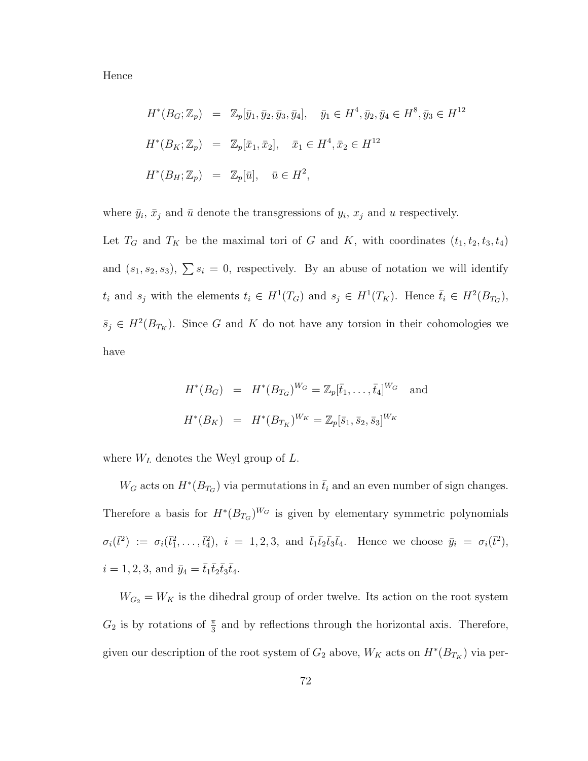Hence

$$
H^*(B_G; \mathbb{Z}_p) = \mathbb{Z}_p[\bar{y}_1, \bar{y}_2, \bar{y}_3, \bar{y}_4], \quad \bar{y}_1 \in H^4, \bar{y}_2, \bar{y}_4 \in H^8, \bar{y}_3 \in H^{12}
$$
  

$$
H^*(B_K; \mathbb{Z}_p) = \mathbb{Z}_p[\bar{x}_1, \bar{x}_2], \quad \bar{x}_1 \in H^4, \bar{x}_2 \in H^{12}
$$
  

$$
H^*(B_H; \mathbb{Z}_p) = \mathbb{Z}_p[\bar{u}], \quad \bar{u} \in H^2,
$$

where  $\bar{y}_i$ ,  $\bar{x}_j$  and  $\bar{u}$  denote the transgressions of  $y_i$ ,  $x_j$  and u respectively.

Let  $T_G$  and  $T_K$  be the maximal tori of G and K, with coordinates  $(t_1, t_2, t_3, t_4)$ and  $(s_1, s_2, s_3)$ ,  $\sum s_i = 0$ , respectively. By an abuse of notation we will identify  $t_i$  and  $s_j$  with the elements  $t_i \in H^1(T_G)$  and  $s_j \in H^1(T_K)$ . Hence  $\bar{t}_i \in H^2(B_{T_G})$ ,  $\bar{s}_j \in H^2(B_{T_K})$ . Since G and K do not have any torsion in their cohomologies we have

$$
H^*(B_G) = H^*(B_{T_G})^{W_G} = \mathbb{Z}_p[\bar{t}_1, \dots, \bar{t}_4]^{W_G} \text{ and}
$$
  

$$
H^*(B_K) = H^*(B_{T_K})^{W_K} = \mathbb{Z}_p[\bar{s}_1, \bar{s}_2, \bar{s}_3]^{W_K}
$$

where  $W_L$  denotes the Weyl group of  $L$ .

 $W_G$  acts on  $H^*(B_{T_G})$  via permutations in  $\bar{t}_i$  and an even number of sign changes. Therefore a basis for  $H^*(B_{T_G})^{W_G}$  is given by elementary symmetric polynomials  $\sigma_i(\vec{t}^2) := \sigma_i(\vec{t}_1^2,\ldots,\vec{t}_4^2), \; i = 1,2,3, \text{ and } \bar{t}_1\bar{t}_2\bar{t}_3\bar{t}_4. \text{ Hence we choose } \bar{y}_i = \sigma_i(\vec{t}^2),$  $i = 1, 2, 3, \text{ and } \bar{y}_4 = \bar{t}_1 \bar{t}_2 \bar{t}_3 \bar{t}_4.$ 

 $W_{G_2} = W_K$  is the dihedral group of order twelve. Its action on the root system  $G_2$  is by rotations of  $\frac{\pi}{3}$  and by reflections through the horizontal axis. Therefore, given our description of the root system of  $G_2$  above,  $W_K$  acts on  $H^*(B_{T_K})$  via per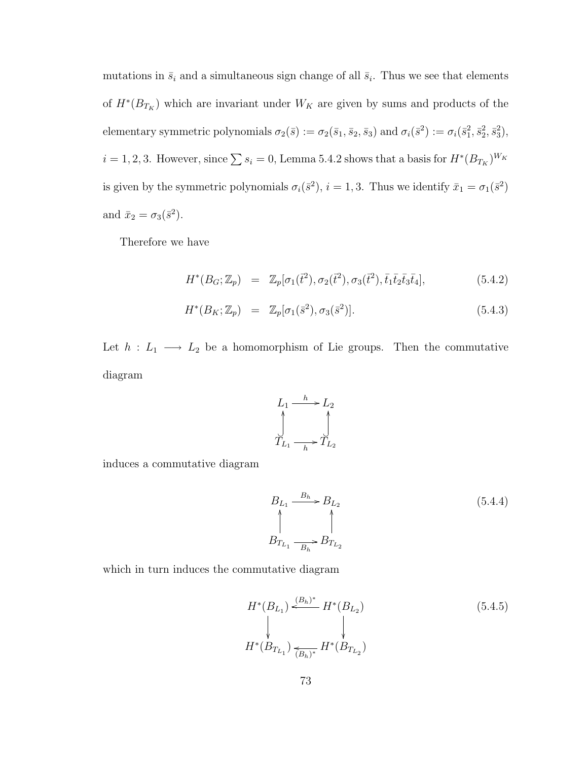mutations in  $\bar{s}_i$  and a simultaneous sign change of all  $\bar{s}_i$ . Thus we see that elements of  $H^*(B_{T_K})$  which are invariant under  $W_K$  are given by sums and products of the elementary symmetric polynomials  $\sigma_2(\bar{s}) := \sigma_2(\bar{s}_1, \bar{s}_2, \bar{s}_3)$  and  $\sigma_i(\bar{s}^2) := \sigma_i(\bar{s}_1^2, \bar{s}_2^2, \bar{s}_3^2)$ ,  $i = 1, 2, 3$ . However, since  $\sum s_i = 0$ , Lemma 5.4.2 shows that a basis for  $H^*(B_{T_K})^{W_K}$ is given by the symmetric polynomials  $\sigma_i(\bar{s}^2)$ ,  $i = 1, 3$ . Thus we identify  $\bar{x}_1 = \sigma_1(\bar{s}^2)$ and  $\bar{x}_2 = \sigma_3(\bar{s}^2)$ .

Therefore we have

$$
H^*(B_G; \mathbb{Z}_p) = \mathbb{Z}_p[\sigma_1(\bar{t}^2), \sigma_2(\bar{t}^2), \sigma_3(\bar{t}^2), \bar{t}_1 \bar{t}_2 \bar{t}_3 \bar{t}_4], \tag{5.4.2}
$$

$$
H^*(B_K; \mathbb{Z}_p) = \mathbb{Z}_p[\sigma_1(\bar{s}^2), \sigma_3(\bar{s}^2)]. \tag{5.4.3}
$$

Let  $h : L_1 \longrightarrow L_2$  be a homomorphism of Lie groups. Then the commutative diagram



induces a commutative diagram

$$
B_{L_1} \xrightarrow{B_h} B_{L_2}
$$
\n
$$
\uparrow
$$
\n
$$
B_{T_{L_1}} \xrightarrow{B_h} B_{T_{L_2}}
$$
\n
$$
(5.4.4)
$$

which in turn induces the commutative diagram

$$
H^*(B_{L_1}) \xleftarrow{\langle B_h \rangle^*} H^*(B_{L_2})
$$
\n
$$
\downarrow
$$
\n
$$
H^*(B_{T_{L_1}}) \xleftarrow{\langle B_h \rangle^*} H^*(B_{T_{L_2}})
$$
\n
$$
(5.4.5)
$$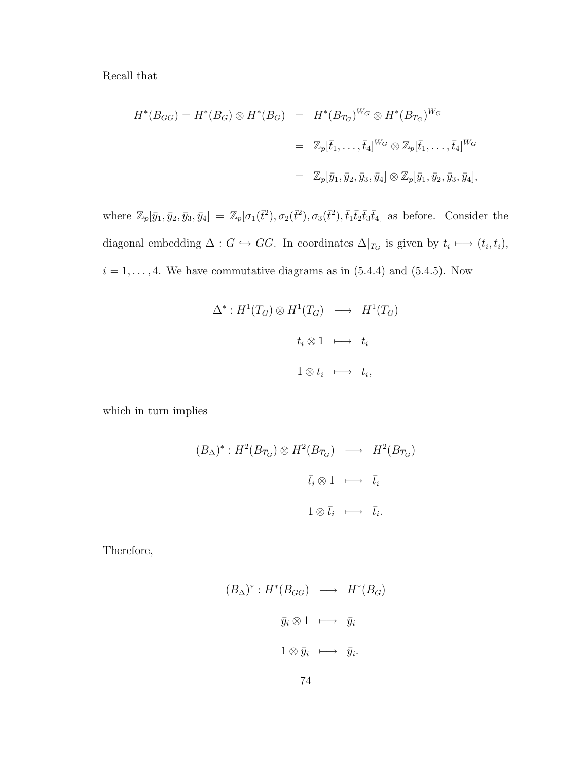Recall that

$$
H^*(B_{GG}) = H^*(B_G) \otimes H^*(B_G) = H^*(B_{T_G})^{W_G} \otimes H^*(B_{T_G})^{W_G}
$$
  
=  $\mathbb{Z}_p[\bar{t}_1, \dots, \bar{t}_4]^{W_G} \otimes \mathbb{Z}_p[\bar{t}_1, \dots, \bar{t}_4]^{W_G}$   
=  $\mathbb{Z}_p[\bar{y}_1, \bar{y}_2, \bar{y}_3, \bar{y}_4] \otimes \mathbb{Z}_p[\bar{y}_1, \bar{y}_2, \bar{y}_3, \bar{y}_4],$ 

where  $\mathbb{Z}_p[\bar{y}_1, \bar{y}_2, \bar{y}_3, \bar{y}_4] = \mathbb{Z}_p[\sigma_1(\bar{t}^2), \sigma_2(\bar{t}^2), \sigma_3(\bar{t}^2), \bar{t}_1\bar{t}_2\bar{t}_3\bar{t}_4]$  as before. Consider the diagonal embedding  $\Delta: G \hookrightarrow GG$ . In coordinates  $\Delta|_{T_G}$  is given by  $t_i \longmapsto (t_i, t_i)$ ,  $i = 1, \ldots, 4$ . We have commutative diagrams as in  $(5.4.4)$  and  $(5.4.5)$ . Now

$$
\Delta^*: H^1(T_G) \otimes H^1(T_G) \longrightarrow H^1(T_G)
$$
  

$$
t_i \otimes 1 \longmapsto t_i
$$
  

$$
1 \otimes t_i \longmapsto t_i,
$$

which in turn implies

$$
(B_{\Delta})^* : H^2(B_{T_G}) \otimes H^2(B_{T_G}) \longrightarrow H^2(B_{T_G})
$$
  

$$
\bar{t}_i \otimes 1 \longmapsto \bar{t}_i
$$
  

$$
1 \otimes \bar{t}_i \longmapsto \bar{t}_i.
$$

Therefore,

$$
(B_{\Delta})^* : H^*(B_{GG}) \longrightarrow H^*(B_G)
$$
  

$$
\bar{y}_i \otimes 1 \longmapsto \bar{y}_i
$$
  

$$
1 \otimes \bar{y}_i \longmapsto \bar{y}_i.
$$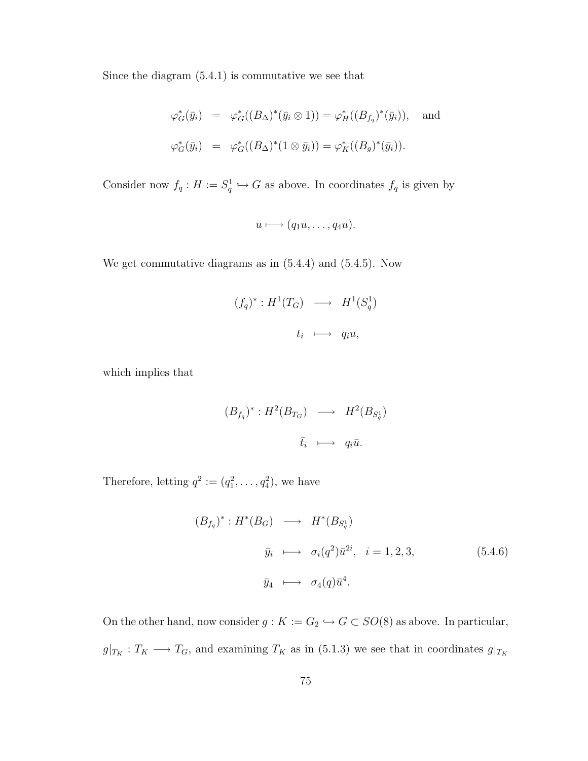Since the diagram (5.4.1) is commutative we see that

$$
\varphi_G^*(\bar{y}_i) = \varphi_G^*((B_\Delta)^*(\bar{y}_i \otimes 1)) = \varphi_H^*((B_{f_q})^*(\bar{y}_i)), \text{ and}
$$
  

$$
\varphi_G^*(\bar{y}_i) = \varphi_G^*((B_\Delta)^*(1 \otimes \bar{y}_i)) = \varphi_K^*((B_g)^*(\bar{y}_i)).
$$

Consider now  $f_q: H := S_q^1 \hookrightarrow G$  as above. In coordinates  $f_q$  is given by

$$
u \longmapsto (q_1u, \ldots, q_4u).
$$

We get commutative diagrams as in (5.4.4) and (5.4.5). Now

$$
(f_q)^* : H^1(T_G) \longrightarrow H^1(S_q^1)
$$
  

$$
t_i \longmapsto q_i u,
$$

which implies that

$$
(B_{f_q})^* : H^2(B_{T_G}) \longrightarrow H^2(B_{S_q^1})
$$
  

$$
\overline{t}_i \longmapsto q_i \overline{u}.
$$

Therefore, letting  $q^2 := (q_1^2, \ldots, q_4^2)$ , we have

$$
(B_{f_q})^* : H^*(B_G) \longrightarrow H^*(B_{S_q^1})
$$
  

$$
\bar{y}_i \longmapsto \sigma_i(q^2)\bar{u}^{2i}, \quad i = 1, 2, 3,
$$
 (5.4.6)  

$$
\bar{y}_4 \longmapsto \sigma_4(q)\bar{u}^4.
$$

On the other hand, now consider  $g: K := G_2 \hookrightarrow G \subset SO(8)$  as above. In particular,  $g|_{T_K}: T_K \longrightarrow T_G$ , and examining  $T_K$  as in (5.1.3) we see that in coordinates  $g|_{T_K}$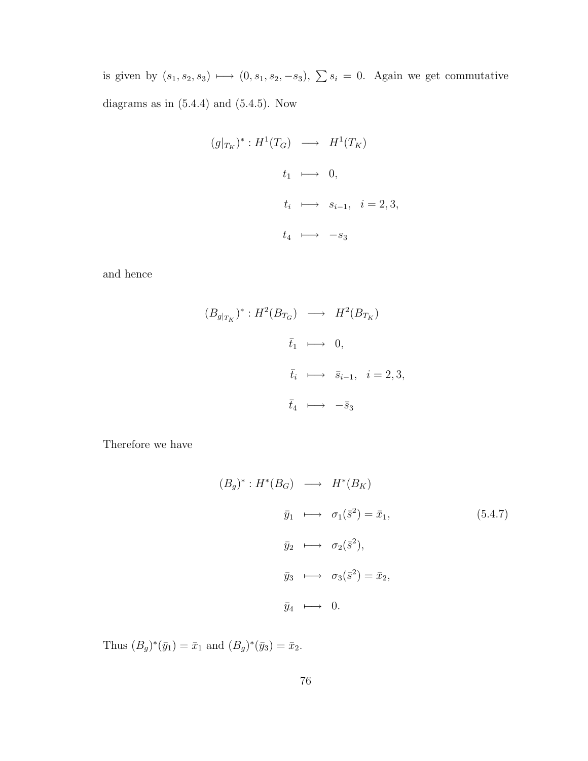is given by  $(s_1, s_2, s_3) \longmapsto (0, s_1, s_2, -s_3), \sum s_i = 0$ . Again we get commutative diagrams as in  $(5.4.4)$  and  $(5.4.5)$ . Now

$$
(g|_{T_K})^* : H^1(T_G) \longrightarrow H^1(T_K)
$$
  

$$
t_1 \longmapsto 0,
$$
  

$$
t_i \longmapsto s_{i-1}, \quad i = 2, 3,
$$
  

$$
t_4 \longmapsto -s_3
$$

and hence

$$
(B_{g|_{T_K}})^* : H^2(B_{T_G}) \longrightarrow H^2(B_{T_K})
$$
  

$$
\bar{t}_1 \longmapsto 0,
$$
  

$$
\bar{t}_i \longmapsto \bar{s}_{i-1}, \quad i = 2, 3,
$$
  

$$
\bar{t}_4 \longmapsto -\bar{s}_3
$$

Therefore we have

$$
(B_g)^* : H^*(B_G) \longrightarrow H^*(B_K)
$$
  
\n
$$
\bar{y}_1 \longrightarrow \sigma_1(\bar{s}^2) = \bar{x}_1,
$$
  
\n
$$
\bar{y}_2 \longrightarrow \sigma_2(\bar{s}^2),
$$
  
\n
$$
\bar{y}_3 \longrightarrow \sigma_3(\bar{s}^2) = \bar{x}_2,
$$
  
\n
$$
\bar{y}_4 \longrightarrow 0.
$$
  
\n(5.4.7)

Thus  $(B_g)^*(\bar{y}_1) = \bar{x}_1$  and  $(B_g)^*(\bar{y}_3) = \bar{x}_2$ .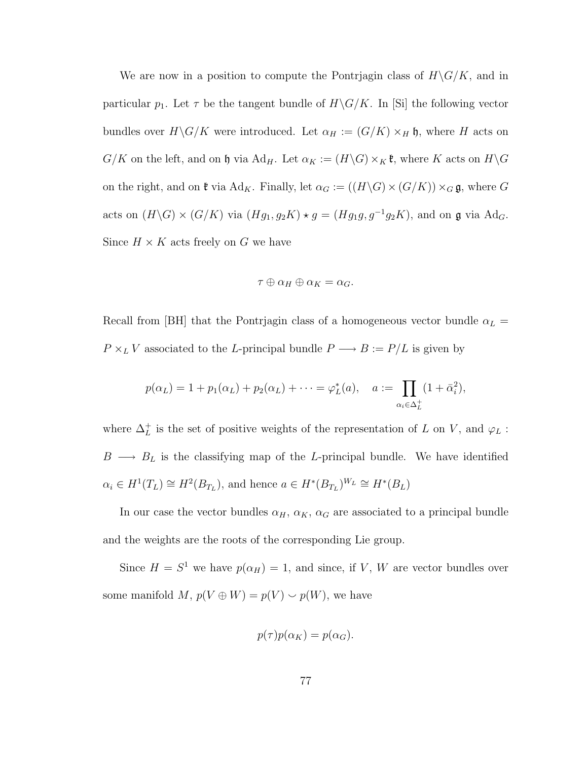We are now in a position to compute the Pontriagin class of  $H\backslash G/K$ , and in particular  $p_1$ . Let  $\tau$  be the tangent bundle of  $H\backslash G/K$ . In [Si] the following vector bundles over  $H\backslash G/K$  were introduced. Let  $\alpha_H := (G/K) \times_H \mathfrak{h}$ , where H acts on  $G/K$  on the left, and on h via Ad<sub>H</sub>. Let  $\alpha_K := (H \backslash G) \times_K \mathfrak{k}$ , where K acts on  $H \backslash G$ on the right, and on  $\mathfrak k$  via Ad<sub>K</sub>. Finally, let  $\alpha_G := ((H \backslash G) \times (G/K)) \times_G \mathfrak g$ , where G acts on  $(H\backslash G)\times (G/K)$  via  $(Hg_1, g_2K)\star g = (Hg_1g, g^{-1}g_2K)$ , and on g via Ad<sub>G</sub>. Since  $H \times K$  acts freely on G we have

$$
\tau\oplus\alpha_H\oplus\alpha_K=\alpha_G.
$$

Recall from [BH] that the Pontrjagin class of a homogeneous vector bundle  $\alpha_L$  =  $P\times_L V$  associated to the  $L\text{-principal bundle }P\longrightarrow B:=P/L$  is given by

$$
p(\alpha_L) = 1 + p_1(\alpha_L) + p_2(\alpha_L) + \cdots = \varphi_L^*(a), \quad a := \prod_{\alpha_i \in \Delta_L^+} (1 + \bar{\alpha}_i^2),
$$

where  $\Delta_L^+$  is the set of positive weights of the representation of L on V, and  $\varphi_L$ :  $B \longrightarrow B_L$  is the classifying map of the L-principal bundle. We have identified  $\alpha_i \in H^1(T_L) \cong H^2(B_{T_L}),$  and hence  $a \in H^*(B_{T_L})^{W_L} \cong H^*(B_L)$ 

In our case the vector bundles  $\alpha_H$ ,  $\alpha_K$ ,  $\alpha_G$  are associated to a principal bundle and the weights are the roots of the corresponding Lie group.

Since  $H = S^1$  we have  $p(\alpha_H) = 1$ , and since, if V, W are vector bundles over some manifold M,  $p(V \oplus W) = p(V) \smile p(W)$ , we have

$$
p(\tau)p(\alpha_K) = p(\alpha_G).
$$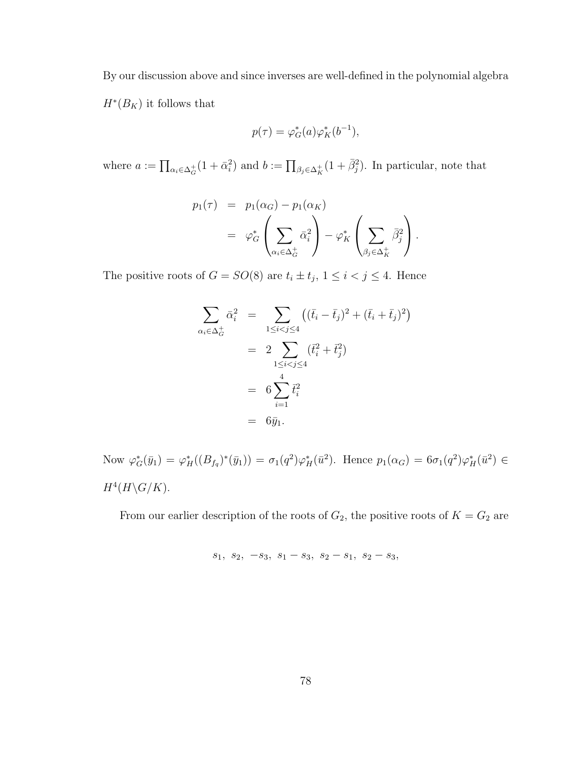By our discussion above and since inverses are well-defined in the polynomial algebra  $H^*(B_K)$  it follows that

$$
p(\tau) = \varphi_G^*(a)\varphi_K^*(b^{-1}),
$$

where  $a := \prod_{\alpha_i \in \Delta_G^+} (1 + \bar{\alpha}_i^2)$  and  $b := \prod_{\beta_j \in \Delta_K^+} (1 + \bar{\beta}_j^2)$ . In particular, note that

$$
p_1(\tau) = p_1(\alpha_G) - p_1(\alpha_K)
$$
  
=  $\varphi_G^* \left( \sum_{\alpha_i \in \Delta_G^+} \bar{\alpha}_i^2 \right) - \varphi_K^* \left( \sum_{\beta_j \in \Delta_K^+} \bar{\beta}_j^2 \right).$ 

The positive roots of  $G = SO(8)$  are  $t_i \pm t_j$ ,  $1 \leq i < j \leq 4$ . Hence

$$
\sum_{\alpha_i \in \Delta_G^+} \bar{\alpha}_i^2 = \sum_{1 \le i < j \le 4} \left( (\bar{t}_i - \bar{t}_j)^2 + (\bar{t}_i + \bar{t}_j)^2 \right)
$$
\n
$$
= 2 \sum_{1 \le i < j \le 4} (\bar{t}_i^2 + \bar{t}_j^2)
$$
\n
$$
= 6 \sum_{i=1}^4 \bar{t}_i^2
$$
\n
$$
= 6 \bar{y}_1.
$$

Now  $\varphi_G^*(\bar{y}_1) = \varphi_H^*((B_{f_q})^*(\bar{y}_1)) = \sigma_1(q^2)\varphi_H^*(\bar{u}^2)$ . Hence  $p_1(\alpha_G) = 6\sigma_1(q^2)\varphi_H^*(\bar{u}^2) \in$  $H^4(H\backslash G/K)$ .

From our earlier description of the roots of  $G_2$ , the positive roots of  $K = G_2$  are

$$
s_1, s_2, -s_3, s_1 - s_3, s_2 - s_1, s_2 - s_3,
$$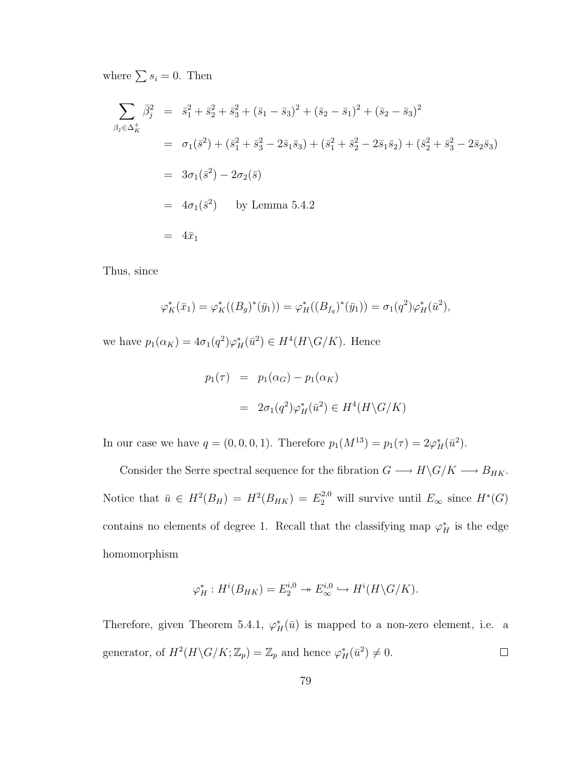where  $\sum s_i = 0$ . Then

$$
\sum_{\beta_j \in \Delta_K^+} \bar{\beta}_j^2 = \bar{s}_1^2 + \bar{s}_2^2 + \bar{s}_3^2 + (\bar{s}_1 - \bar{s}_3)^2 + (\bar{s}_2 - \bar{s}_1)^2 + (\bar{s}_2 - \bar{s}_3)^2
$$
  
\n
$$
= \sigma_1(\bar{s}^2) + (\bar{s}_1^2 + \bar{s}_3^2 - 2\bar{s}_1\bar{s}_3) + (\bar{s}_1^2 + \bar{s}_2^2 - 2\bar{s}_1\bar{s}_2) + (\bar{s}_2^2 + \bar{s}_3^2 - 2\bar{s}_2\bar{s}_3)
$$
  
\n
$$
= 3\sigma_1(\bar{s}^2) - 2\sigma_2(\bar{s})
$$
  
\n
$$
= 4\sigma_1(\bar{s}^2) \quad \text{by Lemma 5.4.2}
$$
  
\n
$$
= 4\bar{x}_1
$$

Thus, since

$$
\varphi_K^*(\bar{x}_1) = \varphi_K^*((B_g)^*(\bar{y}_1)) = \varphi_H^*((B_{f_q})^*(\bar{y}_1)) = \sigma_1(q^2)\varphi_H^*(\bar{u}^2),
$$

we have  $p_1(\alpha_K) = 4\sigma_1(q^2)\varphi_H^*(\bar{u}^2) \in H^4(H \backslash G/K)$ . Hence

$$
p_1(\tau) = p_1(\alpha_G) - p_1(\alpha_K)
$$
  
=  $2\sigma_1(q^2)\varphi_H^*(\bar{u}^2) \in H^4(H\backslash G/K)$ 

In our case we have  $q = (0, 0, 0, 1)$ . Therefore  $p_1(M^{13}) = p_1(\tau) = 2\varphi_H^*(\bar{u}^2)$ .

Consider the Serre spectral sequence for the fibration  $G \longrightarrow H\backslash G/K \longrightarrow B_{HK}.$ Notice that  $\bar{u} \in H^2(B_H) = H^2(B_{HK}) = E_2^{2,0}$  will survive until  $E_{\infty}$  since  $H^*(G)$ contains no elements of degree 1. Recall that the classifying map  $\varphi_H^*$  is the edge homomorphism

$$
\varphi_H^*: H^i(B_{HK}) = E_2^{i,0} \to E_\infty^{i,0} \hookrightarrow H^i(H \backslash G/K).
$$

Therefore, given Theorem 5.4.1,  $\varphi_H^*(\bar{u})$  is mapped to a non-zero element, i.e. a generator, of  $H^2(H \backslash G/K; \mathbb{Z}_p) = \mathbb{Z}_p$  and hence  $\varphi_H^*(\bar{u}^2) \neq 0$ .  $\Box$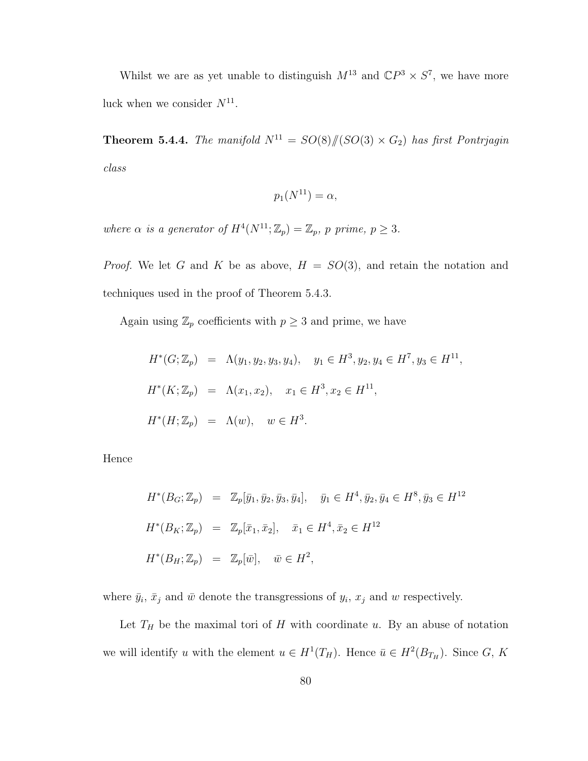Whilst we are as yet unable to distinguish  $M^{13}$  and  $\mathbb{C}P^3 \times S^7$ , we have more luck when we consider  $N^{11}$ .

**Theorem 5.4.4.** The manifold  $N^{11} = SO(8)/\mathbb{C}[SO(3) \times G_2]$  has first Pontrjagin class

$$
p_1(N^{11}) = \alpha,
$$

where  $\alpha$  is a generator of  $H^4(N^{11}; \mathbb{Z}_p) = \mathbb{Z}_p$ , p prime,  $p \geq 3$ .

*Proof.* We let G and K be as above,  $H = SO(3)$ , and retain the notation and techniques used in the proof of Theorem 5.4.3.

Again using  $\mathbb{Z}_p$  coefficients with  $p \geq 3$  and prime, we have

$$
H^*(G; \mathbb{Z}_p) = \Lambda(y_1, y_2, y_3, y_4), \quad y_1 \in H^3, y_2, y_4 \in H^7, y_3 \in H^{11},
$$
  

$$
H^*(K; \mathbb{Z}_p) = \Lambda(x_1, x_2), \quad x_1 \in H^3, x_2 \in H^{11},
$$
  

$$
H^*(H; \mathbb{Z}_p) = \Lambda(w), \quad w \in H^3.
$$

Hence

$$
H^*(B_G; \mathbb{Z}_p) = \mathbb{Z}_p[\bar{y}_1, \bar{y}_2, \bar{y}_3, \bar{y}_4], \quad \bar{y}_1 \in H^4, \bar{y}_2, \bar{y}_4 \in H^8, \bar{y}_3 \in H^{12}
$$
  

$$
H^*(B_K; \mathbb{Z}_p) = \mathbb{Z}_p[\bar{x}_1, \bar{x}_2], \quad \bar{x}_1 \in H^4, \bar{x}_2 \in H^{12}
$$
  

$$
H^*(B_H; \mathbb{Z}_p) = \mathbb{Z}_p[\bar{w}], \quad \bar{w} \in H^2,
$$

where  $\bar{y}_i$ ,  $\bar{x}_j$  and  $\bar{w}$  denote the transgressions of  $y_i$ ,  $x_j$  and  $w$  respectively.

Let  $T_H$  be the maximal tori of H with coordinate u. By an abuse of notation we will identify u with the element  $u \in H^1(T_H)$ . Hence  $\bar{u} \in H^2(B_{T_H})$ . Since G, K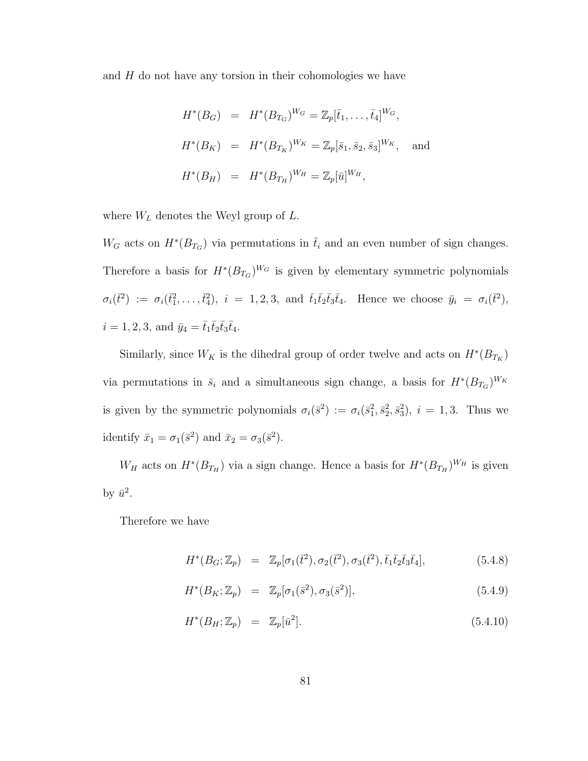and  $H$  do not have any torsion in their cohomologies we have

$$
H^*(B_G) = H^*(B_{T_G})^{W_G} = \mathbb{Z}_p[\bar{t}_1, \dots, \bar{t}_4]^{W_G},
$$
  

$$
H^*(B_K) = H^*(B_{T_K})^{W_K} = \mathbb{Z}_p[\bar{s}_1, \bar{s}_2, \bar{s}_3]^{W_K},
$$
 and  

$$
H^*(B_H) = H^*(B_{T_H})^{W_H} = \mathbb{Z}_p[\bar{u}]^{W_H},
$$

where  $W_L$  denotes the Weyl group of  $L$ .

 $W_G$  acts on  $H^*(B_{T_G})$  via permutations in  $\bar{t}_i$  and an even number of sign changes. Therefore a basis for  $H^*(B_{T_G})^{W_G}$  is given by elementary symmetric polynomials  $\sigma_i(\vec{t}^2) := \sigma_i(\vec{t}_1^2,\ldots,\vec{t}_4^2), \; i = 1,2,3, \text{ and } \bar{t}_1\bar{t}_2\bar{t}_3\bar{t}_4. \text{ Hence we choose } \bar{y}_i = \sigma_i(\vec{t}^2),$  $i = 1, 2, 3$ , and  $\bar{y}_4 = \bar{t}_1 \bar{t}_2 \bar{t}_3 \bar{t}_4$ .

Similarly, since  $W_K$  is the dihedral group of order twelve and acts on  $H^*(B_{T_K})$ via permutations in  $\bar{s}_i$  and a simultaneous sign change, a basis for  $H^*(B_{T_G})^{W_K}$ is given by the symmetric polynomials  $\sigma_i(\bar{s}^2) := \sigma_i(\bar{s}_1^2, \bar{s}_2^2, \bar{s}_3^2), i = 1, 3$ . Thus we identify  $\bar{x}_1 = \sigma_1(\bar{s}^2)$  and  $\bar{x}_2 = \sigma_3(\bar{s}^2)$ .

 $W_H$  acts on  $H^*(B_{T_H})$  via a sign change. Hence a basis for  $H^*(B_{T_H})^{W_H}$  is given by  $\bar{u}^2$ .

Therefore we have

$$
H^*(B_G; \mathbb{Z}_p) = \mathbb{Z}_p[\sigma_1(\bar{t}^2), \sigma_2(\bar{t}^2), \sigma_3(\bar{t}^2), \bar{t}_1\bar{t}_2\bar{t}_3\bar{t}_4], \tag{5.4.8}
$$

$$
H^*(B_K; \mathbb{Z}_p) = \mathbb{Z}_p[\sigma_1(\bar{s}^2), \sigma_3(\bar{s}^2)], \qquad (5.4.9)
$$

$$
H^*(B_H; \mathbb{Z}_p) = \mathbb{Z}_p[\bar{u}^2]. \tag{5.4.10}
$$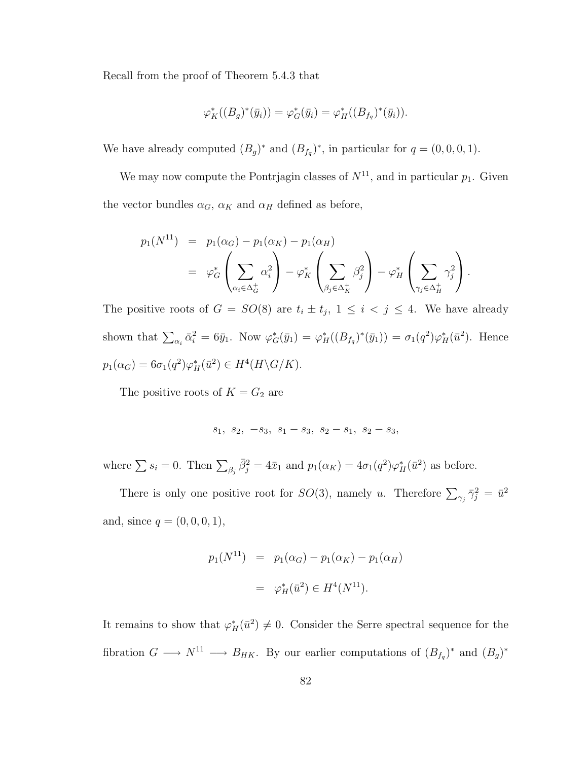Recall from the proof of Theorem 5.4.3 that

$$
\varphi_K^*((B_g)^*(\bar{y}_i)) = \varphi_G^*(\bar{y}_i) = \varphi_H^*((B_{f_q})^*(\bar{y}_i)).
$$

We have already computed  $(B_g)^*$  and  $(B_{f_q})^*$ , in particular for  $q = (0, 0, 0, 1)$ .

We may now compute the Pontrjagin classes of  $N^{11}$ , and in particular  $p_1$ . Given the vector bundles  $\alpha_G$ ,  $\alpha_K$  and  $\alpha_H$  defined as before,

$$
p_1(N^{11}) = p_1(\alpha_G) - p_1(\alpha_K) - p_1(\alpha_H)
$$
  
=  $\varphi_G^* \left( \sum_{\alpha_i \in \Delta_G^+} \alpha_i^2 \right) - \varphi_K^* \left( \sum_{\beta_j \in \Delta_K^+} \beta_j^2 \right) - \varphi_H^* \left( \sum_{\gamma_j \in \Delta_H^+} \gamma_j^2 \right).$ 

The positive roots of  $G = SO(8)$  are  $t_i \pm t_j$ ,  $1 \leq i \leq j \leq 4$ . We have already shown that  $\sum_{\alpha_i} \bar{\alpha}_i^2 = 6\bar{y}_1$ . Now  $\varphi_G^*(\bar{y}_1) = \varphi_H^*((B_{f_q})^*(\bar{y}_1)) = \sigma_1(q^2)\varphi_H^*(\bar{u}^2)$ . Hence  $p_1(\alpha_G) = 6\sigma_1(q^2)\varphi_H^*(\bar{u}^2) \in H^4(H \backslash G/K).$ 

The positive roots of  $K = G_2$  are

$$
s_1, s_2, -s_3, s_1 - s_3, s_2 - s_1, s_2 - s_3,
$$

where  $\sum s_i = 0$ . Then  $\sum_{\beta_j} \bar{\beta}_j^2 = 4\bar{x}_1$  and  $p_1(\alpha_K) = 4\sigma_1(q^2)\varphi_H^*(\bar{u}^2)$  as before.

There is only one positive root for  $SO(3)$ , namely u. Therefore  $\sum_{\gamma_j} \bar{\gamma}_j^2 = \bar{u}^2$ and, since  $q = (0, 0, 0, 1)$ ,

$$
p_1(N^{11}) = p_1(\alpha_G) - p_1(\alpha_K) - p_1(\alpha_H)
$$
  
=  $\varphi_H^*(\bar{u}^2) \in H^4(N^{11}).$ 

It remains to show that  $\varphi_H^*(\bar{u}^2) \neq 0$ . Consider the Serre spectral sequence for the fibration  $G \longrightarrow N^{11} \longrightarrow B_{HK}$ . By our earlier computations of  $(B_{f_q})^*$  and  $(B_g)^*$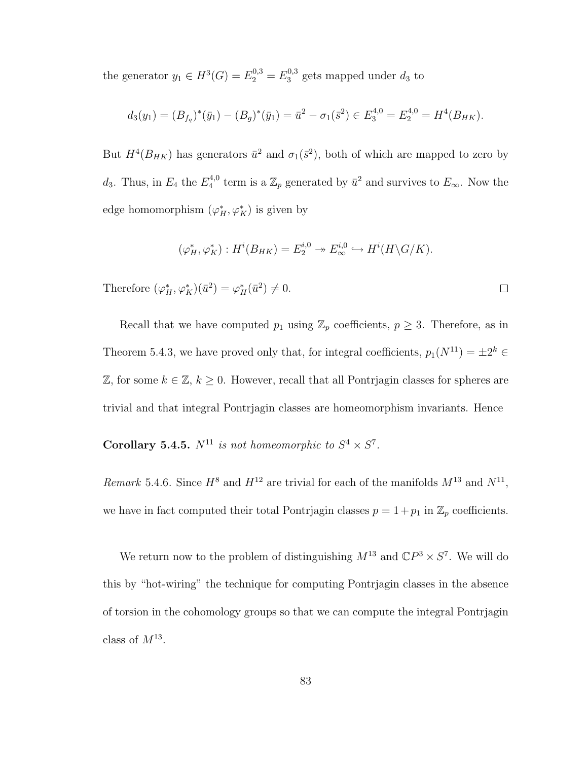the generator  $y_1 \in H^3(G) = E_2^{0,3} = E_3^{0,3}$  $3^{0,3}_{3}$  gets mapped under  $d_3$  to

$$
d_3(y_1) = (B_{f_q})^*(\bar{y}_1) - (B_g)^*(\bar{y}_1) = \bar{u}^2 - \sigma_1(\bar{s}^2) \in E_3^{4,0} = E_2^{4,0} = H^4(B_{HK}).
$$

But  $H^4(B_{HK})$  has generators  $\bar{u}^2$  and  $\sigma_1(\bar{s}^2)$ , both of which are mapped to zero by  $d_3$ . Thus, in  $E_4$  the  $E_4^{4,0}$ <sup>4,0</sup> term is a  $\mathbb{Z}_p$  generated by  $\bar{u}^2$  and survives to  $E_{\infty}$ . Now the edge homomorphism  $(\varphi_H^*, \varphi_K^*)$  is given by

$$
(\varphi_H^*, \varphi_K^*) : H^i(B_{HK}) = E_2^{i,0} \to E_\infty^{i,0} \hookrightarrow H^i(H \backslash G/K).
$$

 $\Box$ 

Therefore  $(\varphi_H^*, \varphi_K^*)(\bar{u}^2) = \varphi_H^*(\bar{u}^2) \neq 0.$ 

Recall that we have computed  $p_1$  using  $\mathbb{Z}_p$  coefficients,  $p \geq 3$ . Therefore, as in Theorem 5.4.3, we have proved only that, for integral coefficients,  $p_1(N^{11}) = \pm 2^k \in$  $\mathbb{Z}$ , for some  $k \in \mathbb{Z}$ ,  $k \geq 0$ . However, recall that all Pontrjagin classes for spheres are trivial and that integral Pontrjagin classes are homeomorphism invariants. Hence

**Corollary 5.4.5.**  $N^{11}$  is not homeomorphic to  $S^4 \times S^7$ .

Remark 5.4.6. Since  $H^8$  and  $H^{12}$  are trivial for each of the manifolds  $M^{13}$  and  $N^{11}$ , we have in fact computed their total Pontrjagin classes  $p = 1 + p_1$  in  $\mathbb{Z}_p$  coefficients.

We return now to the problem of distinguishing  $M^{13}$  and  $\mathbb{C}P^3 \times S^7$ . We will do this by "hot-wiring" the technique for computing Pontrjagin classes in the absence of torsion in the cohomology groups so that we can compute the integral Pontrjagin class of  $M^{13}$ .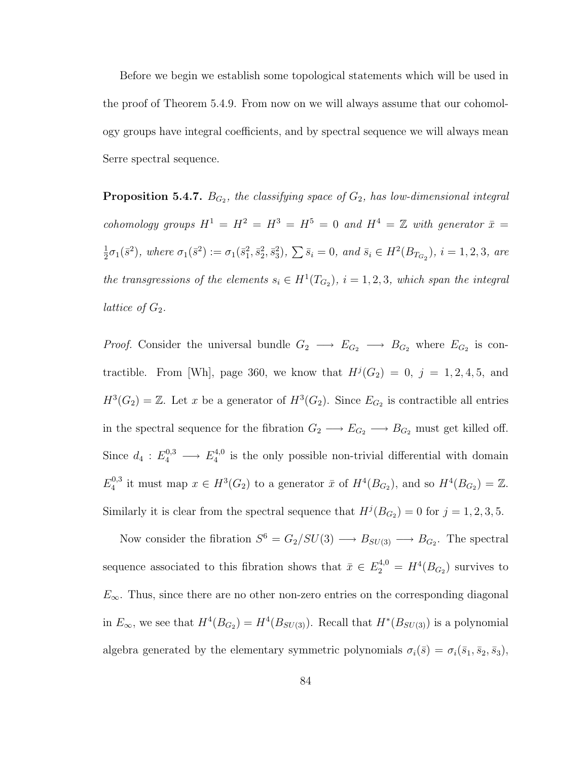Before we begin we establish some topological statements which will be used in the proof of Theorem 5.4.9. From now on we will always assume that our cohomology groups have integral coefficients, and by spectral sequence we will always mean Serre spectral sequence.

**Proposition 5.4.7.**  $B_{G_2}$ , the classifying space of  $G_2$ , has low-dimensional integral cohomology groups  $H^1 = H^2 = H^3 = H^5 = 0$  and  $H^4 = \mathbb{Z}$  with generator  $\bar{x} =$ 1  $\frac{1}{2}\sigma_1(\bar{s}^2)$ , where  $\sigma_1(\bar{s}^2) := \sigma_1(\bar{s}_1^2, \bar{s}_2^2, \bar{s}_3^2)$ ,  $\sum \bar{s}_i = 0$ , and  $\bar{s}_i \in H^2(B_{T_{G_2}})$ ,  $i = 1, 2, 3$ , are the transgressions of the elements  $s_i \in H^1(T_{G_2})$ ,  $i = 1, 2, 3$ , which span the integral lattice of  $G_2$ .

*Proof.* Consider the universal bundle  $G_2 \longrightarrow E_{G_2} \longrightarrow B_{G_2}$  where  $E_{G_2}$  is contractible. From [Wh], page 360, we know that  $H^j(G_2) = 0, j = 1, 2, 4, 5, \text{ and}$  $H^3(G_2) = \mathbb{Z}$ . Let x be a generator of  $H^3(G_2)$ . Since  $E_{G_2}$  is contractible all entries in the spectral sequence for the fibration  $G_2 \longrightarrow E_{G_2} \longrightarrow B_{G_2}$  must get killed off. Since  $d_4: E_4^{0,3} \longrightarrow E_4^{4,0}$  $\frac{4}{4}$  is the only possible non-trivial differential with domain  $E_4^{0,3}$ <sup>0,3</sup> it must map  $x \in H^3(G_2)$  to a generator  $\bar{x}$  of  $H^4(B_{G_2})$ , and so  $H^4(B_{G_2}) = \mathbb{Z}$ . Similarly it is clear from the spectral sequence that  $H^j(B_{G_2}) = 0$  for  $j = 1, 2, 3, 5$ .

Now consider the fibration  $S^6 = G_2/SU(3) \longrightarrow B_{SU(3)} \longrightarrow B_{G_2}$ . The spectral sequence associated to this fibration shows that  $\bar{x} \in E_2^{4,0} = H^4(B_{G_2})$  survives to  $E_{\infty}$ . Thus, since there are no other non-zero entries on the corresponding diagonal in  $E_{\infty}$ , we see that  $H^4(B_{G_2}) = H^4(B_{SU(3)})$ . Recall that  $H^*(B_{SU(3)})$  is a polynomial algebra generated by the elementary symmetric polynomials  $\sigma_i(\bar{s}) = \sigma_i(\bar{s}_1, \bar{s}_2, \bar{s}_3)$ ,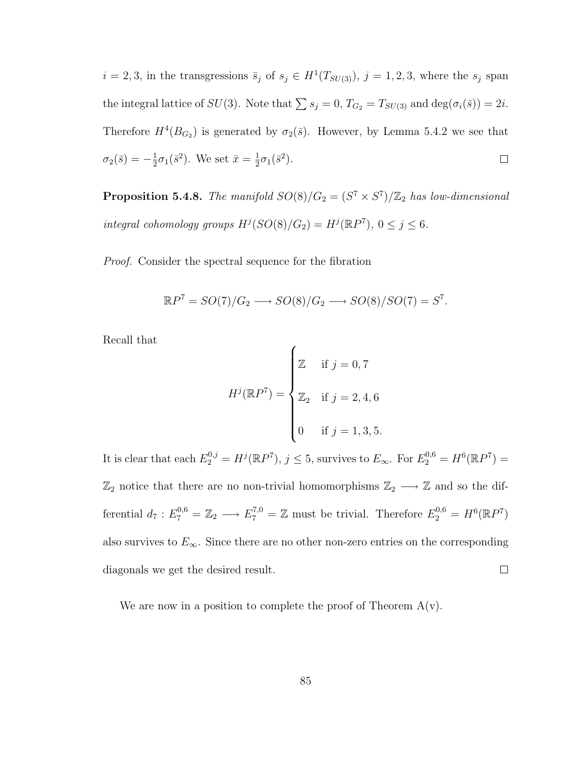$i = 2, 3$ , in the transgressions  $\bar{s}_j$  of  $s_j \in H^1(T_{SU(3)})$ ,  $j = 1, 2, 3$ , where the  $s_j$  span the integral lattice of  $SU(3)$ . Note that  $\sum s_j = 0$ ,  $T_{G_2} = T_{SU(3)}$  and  $\deg(\sigma_i(\bar{s})) = 2i$ . Therefore  $H^4(B_{G_2})$  is generated by  $\sigma_2(\bar{s})$ . However, by Lemma 5.4.2 we see that  $\sigma_2(\bar{s})=-\frac{1}{2}$  $\frac{1}{2}\sigma_1(\bar{s}^2)$ . We set  $\bar{x} = \frac{1}{2}$  $\frac{1}{2}\sigma_1(\bar{s}^2).$  $\Box$ 

**Proposition 5.4.8.** The manifold  $SO(8)/G_2 = (S^7 \times S^7)/\mathbb{Z}_2$  has low-dimensional integral cohomology groups  $H^j(SO(8)/G_2) = H^j(\mathbb{R}P^7)$ ,  $0 \le j \le 6$ .

Proof. Consider the spectral sequence for the fibration

$$
\mathbb{R}P^7 = SO(7)/G_2 \longrightarrow SO(8)/G_2 \longrightarrow SO(8)/SO(7) = S^7.
$$

 $\overline{a}$ 

Recall that

$$
H^{j}(\mathbb{R}P^{7}) = \begin{cases} \mathbb{Z} & \text{if } j = 0, 7 \\ \mathbb{Z}_{2} & \text{if } j = 2, 4, 6 \\ 0 & \text{if } j = 1, 3, 5. \end{cases}
$$

It is clear that each  $E_2^{0,j} = H^j(\mathbb{R}P^7), j \leq 5$ , survives to  $E_{\infty}$ . For  $E_2^{0,6} = H^6(\mathbb{R}P^7) =$  $\mathbb{Z}_2$  notice that there are no non-trivial homomorphisms  $\mathbb{Z}_2 \longrightarrow \mathbb{Z}$  and so the differential  $d_7: E_7^{0,6} = \mathbb{Z}_2 \longrightarrow E_7^{7,0} = \mathbb{Z}$  must be trivial. Therefore  $E_2^{0,6} = H^6(\mathbb{R}P^7)$ also survives to  $E_{\infty}$ . Since there are no other non-zero entries on the corresponding diagonals we get the desired result.  $\Box$ 

We are now in a position to complete the proof of Theorem  $A(v)$ .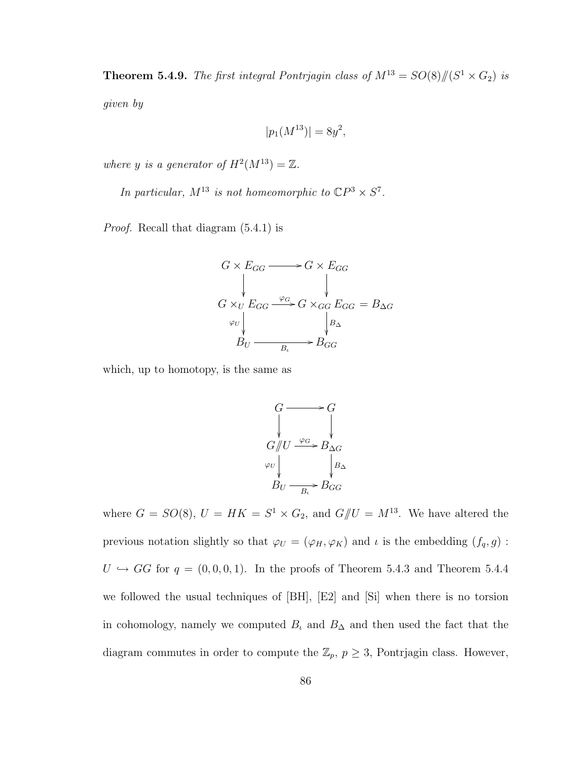**Theorem 5.4.9.** The first integral Pontrjagin class of  $M^{13} = SO(8)/\hspace{-3pt}/(S^1 \times G_2)$  is

given by

$$
|p_1(M^{13})| = 8y^2,
$$

where y is a generator of  $H^2(M^{13}) = \mathbb{Z}$ .

In particular,  $M^{13}$  is not homeomorphic to  $\mathbb{C}P^3 \times S^7$ .

Proof. Recall that diagram (5.4.1) is



which, up to homotopy, is the same as

$$
G \longrightarrow G
$$
  
\n
$$
G/\!\!/ U \xrightarrow{\varphi_G} B_{\Delta G}
$$
  
\n
$$
\varphi_U \qquad \qquad \downarrow B_\Delta
$$
  
\n
$$
B_U \xrightarrow{B_\iota} B_{GG}
$$

where  $G = SO(8)$ ,  $U = HK = S^1 \times G_2$ , and  $G/\!\!/ U = M^{13}$ . We have altered the previous notation slightly so that  $\varphi_U = (\varphi_H, \varphi_K)$  and  $\iota$  is the embedding  $(f_q, g)$ :  $U \hookrightarrow GG$  for  $q = (0, 0, 0, 1)$ . In the proofs of Theorem 5.4.3 and Theorem 5.4.4 we followed the usual techniques of [BH], [E2] and [Si] when there is no torsion in cohomology, namely we computed  $B_t$  and  $B_\Delta$  and then used the fact that the diagram commutes in order to compute the  $\mathbb{Z}_p$ ,  $p \geq 3$ , Pontrjagin class. However,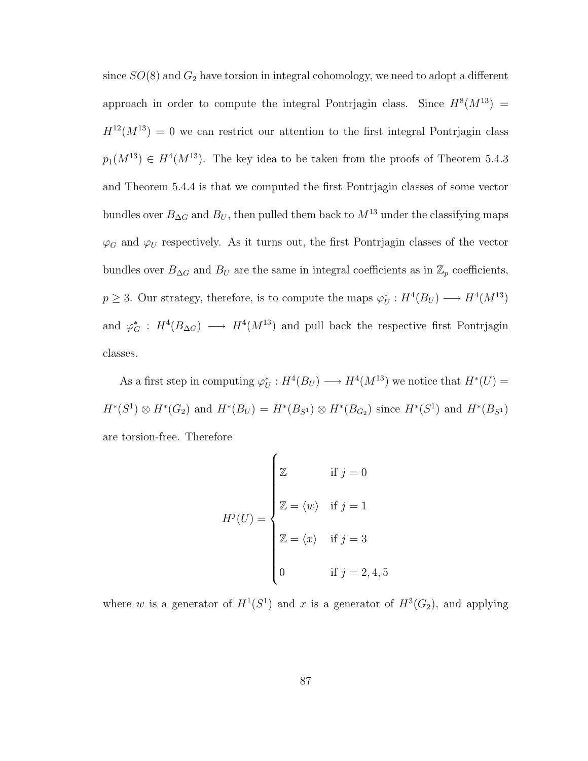since  $SO(8)$  and  $G_2$  have torsion in integral cohomology, we need to adopt a different approach in order to compute the integral Pontrjagin class. Since  $H^{8}(M^{13}) =$  $H^{12}(M^{13}) = 0$  we can restrict our attention to the first integral Pontrjagin class  $p_1(M^{13}) \in H^4(M^{13})$ . The key idea to be taken from the proofs of Theorem 5.4.3 and Theorem 5.4.4 is that we computed the first Pontrjagin classes of some vector bundles over  $B_{\Delta G}$  and  $B_U$ , then pulled them back to  $M^{13}$  under the classifying maps  $\varphi_G$  and  $\varphi_U$  respectively. As it turns out, the first Pontrjagin classes of the vector bundles over  $B_{\Delta G}$  and  $B_U$  are the same in integral coefficients as in  $\mathbb{Z}_p$  coefficients,  $p \geq 3$ . Our strategy, therefore, is to compute the maps  $\varphi_U^* : H^4(B_U) \longrightarrow H^4(M^{13})$ and  $\varphi_G^*$ :  $H^4(B_{\Delta G}) \longrightarrow H^4(M^{13})$  and pull back the respective first Pontrjagin classes.

As a first step in computing  $\varphi_U^*: H^4(B_U) \longrightarrow H^4(M^{13})$  we notice that  $H^*(U) =$  $H^*(S^1) \otimes H^*(G_2)$  and  $H^*(B_U) = H^*(B_{S^1}) \otimes H^*(B_{G_2})$  since  $H^*(S^1)$  and  $H^*(B_{S^1})$ are torsion-free. Therefore

$$
H^{j}(U) = \begin{cases} \mathbb{Z} & \text{if } j = 0 \\ \mathbb{Z} = \langle w \rangle & \text{if } j = 1 \\ \mathbb{Z} = \langle x \rangle & \text{if } j = 3 \\ 0 & \text{if } j = 2, 4, 5 \end{cases}
$$

where w is a generator of  $H^1(S^1)$  and x is a generator of  $H^3(G_2)$ , and applying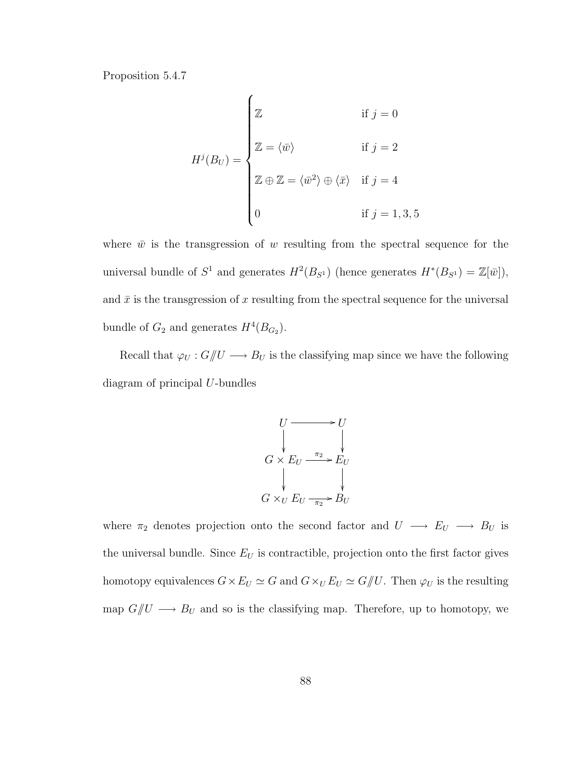Proposition 5.4.7

$$
H^{j}(B_{U}) = \begin{cases} \mathbb{Z} & \text{if } j = 0 \\ \mathbb{Z} = \langle \bar{w} \rangle & \text{if } j = 2 \\ \mathbb{Z} \oplus \mathbb{Z} = \langle \bar{w}^{2} \rangle \oplus \langle \bar{x} \rangle & \text{if } j = 4 \\ 0 & \text{if } j = 1, 3, 5 \end{cases}
$$

where  $\bar{w}$  is the transgression of w resulting from the spectral sequence for the universal bundle of  $S^1$  and generates  $H^2(B_{S^1})$  (hence generates  $H^*(B_{S^1}) = \mathbb{Z}[\bar{w}]$ ), and  $\bar{x}$  is the transgression of x resulting from the spectral sequence for the universal bundle of  $G_2$  and generates  $H^4(B_{G_2})$ .

Recall that  $\varphi_U: G/\!\!/ U \longrightarrow B_U$  is the classifying map since we have the following diagram of principal U-bundles



where  $\pi_2$  denotes projection onto the second factor and  $U \longrightarrow E_U \longrightarrow B_U$  is the universal bundle. Since  $E_U$  is contractible, projection onto the first factor gives homotopy equivalences  $G \times E_U \simeq G$  and  $G \times_U E_U \simeq G/\!\!/ U$ . Then  $\varphi_U$  is the resulting map  $G/U \longrightarrow B_U$  and so is the classifying map. Therefore, up to homotopy, we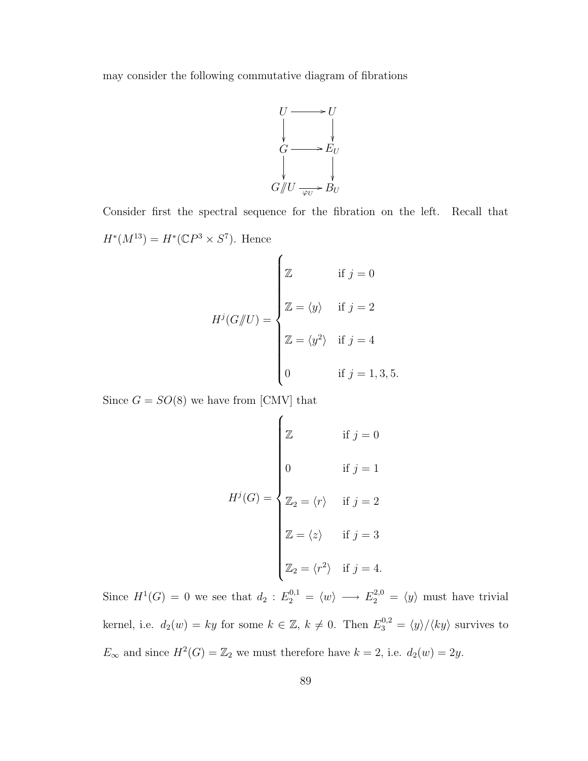may consider the following commutative diagram of fibrations



Consider first the spectral sequence for the fibration on the left. Recall that  $H^*(M^{13}) = H^*(\mathbb{C}P^3 \times S^7)$ . Hence

$$
H^{j}(G/\!\!/ U) = \begin{cases} \mathbb{Z} & \text{if } j = 0 \\ \mathbb{Z} = \langle y \rangle & \text{if } j = 2 \\ \mathbb{Z} = \langle y^2 \rangle & \text{if } j = 4 \\ 0 & \text{if } j = 1, 3, 5. \end{cases}
$$

Since  $G = SO(8)$  we have from [CMV] that

$$
H^{j}(G) = \begin{cases} \mathbb{Z} & \text{if } j = 0 \\ 0 & \text{if } j = 1 \\ \mathbb{Z}_{2} = \langle r \rangle & \text{if } j = 2 \\ \mathbb{Z} = \langle z \rangle & \text{if } j = 3 \\ \mathbb{Z}_{2} = \langle r^{2} \rangle & \text{if } j = 4. \end{cases}
$$

Since  $H^1(G) = 0$  we see that  $d_2 : E_2^{0,1} = \langle w \rangle \longrightarrow E_2^{2,0} = \langle y \rangle$  must have trivial kernel, i.e.  $d_2(w) = ky$  for some  $k \in \mathbb{Z}$ ,  $k \neq 0$ . Then  $E_3^{0,2} = \langle y \rangle / \langle ky \rangle$  survives to  $E_{\infty}$  and since  $H^2(G) = \mathbb{Z}_2$  we must therefore have  $k = 2$ , i.e.  $d_2(w) = 2y$ .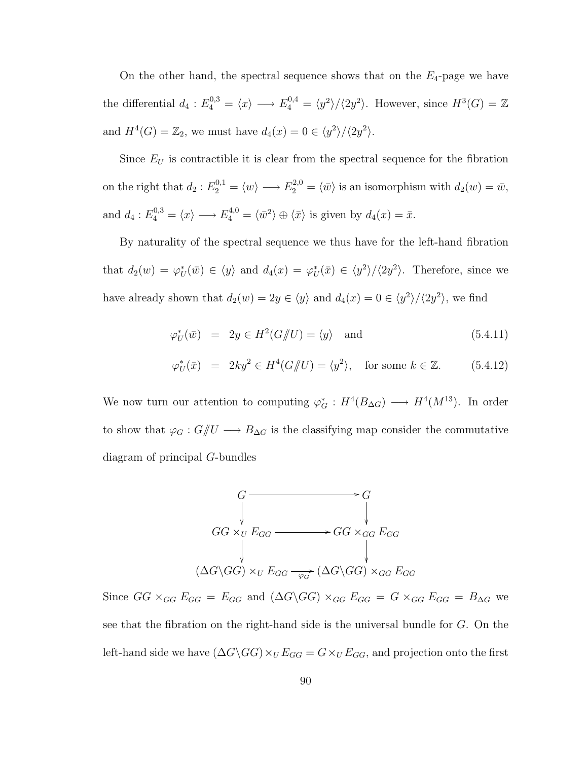On the other hand, the spectral sequence shows that on the  $E_4$ -page we have the differential  $d_4: E_4^{0,3} = \langle x \rangle \longrightarrow E_4^{0,4} = \langle y^2 \rangle / \langle 2y^2 \rangle$ . However, since  $H^3(G) = \mathbb{Z}$ and  $H^4(G) = \mathbb{Z}_2$ , we must have  $d_4(x) = 0 \in \langle y^2 \rangle / \langle 2y^2 \rangle$ .

Since  $E_U$  is contractible it is clear from the spectral sequence for the fibration on the right that  $d_2: E_2^{0,1} = \langle w \rangle \longrightarrow E_2^{2,0} = \langle \bar{w} \rangle$  is an isomorphism with  $d_2(w) = \bar{w}$ , and  $d_4: E_4^{0,3} = \langle x \rangle \longrightarrow E_4^{4,0} = \langle \bar{w}^2 \rangle \oplus \langle \bar{x} \rangle$  is given by  $d_4(x) = \bar{x}$ .

By naturality of the spectral sequence we thus have for the left-hand fibration that  $d_2(w) = \varphi_U^*(\bar{w}) \in \langle y \rangle$  and  $d_4(x) = \varphi_U^*(\bar{x}) \in \langle y^2 \rangle / \langle 2y^2 \rangle$ . Therefore, since we have already shown that  $d_2(w) = 2y \in \langle y \rangle$  and  $d_4(x) = 0 \in \langle y^2 \rangle / \langle 2y^2 \rangle$ , we find

$$
\varphi_U^*(\bar{w}) = 2y \in H^2(G/\!\!/ U) = \langle y \rangle \quad \text{and} \tag{5.4.11}
$$

$$
\varphi_U^*(\bar{x}) = 2ky^2 \in H^4(G/U) = \langle y^2 \rangle, \quad \text{for some } k \in \mathbb{Z}.
$$
 (5.4.12)

We now turn our attention to computing  $\varphi_G^*: H^4(B_{\Delta G}) \longrightarrow H^4(M^{13})$ . In order to show that  $\varphi_G: G/\!\!/ U \longrightarrow B_{\Delta G}$  is the classifying map consider the commutative diagram of principal G-bundles



Since  $GG \times_{GG} E_{GG} = E_{GG}$  and  $(\Delta G \backslash GG) \times_{GG} E_{GG} = G \times_{GG} E_{GG} = B_{\Delta G}$  we see that the fibration on the right-hand side is the universal bundle for G. On the left-hand side we have  $(\Delta G \backslash GG) \times_U E_{GG} = G \times_U E_{GG}$ , and projection onto the first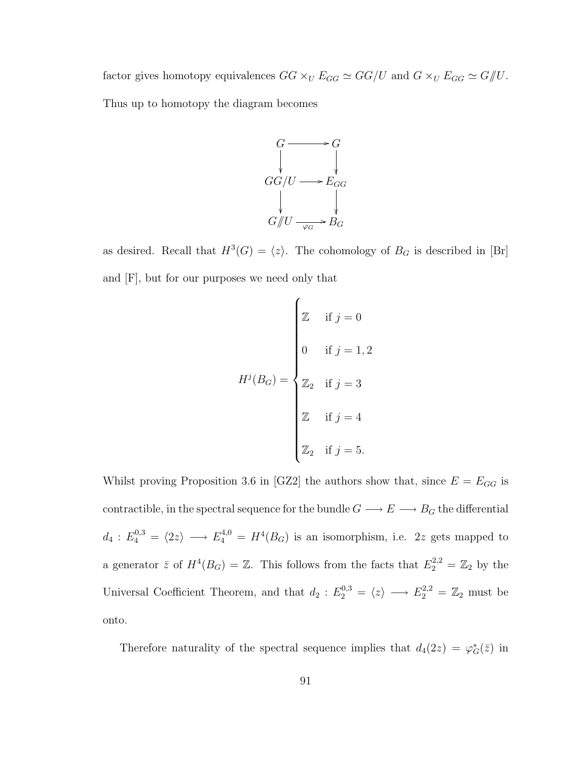factor gives homotopy equivalences  $GG \times_U E_{GG} \simeq GG/U$  and  $G \times_U E_{GG} \simeq G/\!\!/ U$ . Thus up to homotopy the diagram becomes

> $G \longrightarrow G$ ²² ²²  $GG/U \longrightarrow E_{GG}$ ²² ²²  $G/\!\!/ U \longrightarrow_{\varphi_G} B_G$

as desired. Recall that  $H^3(G) = \langle z \rangle$ . The cohomology of  $B_G$  is described in [Br] and [F], but for our purposes we need only that

$$
H^{j}(B_G) = \begin{cases} \mathbb{Z} & \text{if } j = 0 \\ 0 & \text{if } j = 1, 2 \\ \mathbb{Z}_2 & \text{if } j = 3 \\ \mathbb{Z} & \text{if } j = 4 \\ \mathbb{Z}_2 & \text{if } j = 5 \end{cases}
$$

Whilst proving Proposition 3.6 in [GZ2] the authors show that, since  $E = E_{GG}$  is contractible, in the spectral sequence for the bundle  $G\longrightarrow E\longrightarrow B_G$  the differential  $d_4: E_4^{0,3} = \langle 2z \rangle \longrightarrow E_4^{4,0} = H^4(B_G)$  is an isomorphism, i.e. 2z gets mapped to a generator  $\bar{z}$  of  $H^4(B_G) = \mathbb{Z}$ . This follows from the facts that  $E_2^{2,2} = \mathbb{Z}_2$  by the Universal Coefficient Theorem, and that  $d_2 : E_2^{0,3} = \langle z \rangle \longrightarrow E_2^{2,2} = \mathbb{Z}_2$  must be onto.

Therefore naturality of the spectral sequence implies that  $d_4(2z) = \varphi_G^*(\bar{z})$  in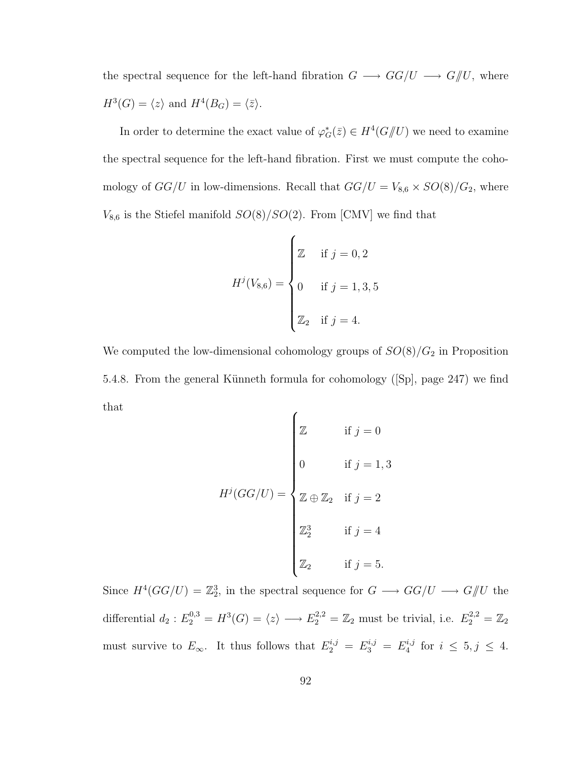the spectral sequence for the left-hand fibration  $G \longrightarrow GG/U \longrightarrow G/\!\!/ U,$  where  $H^3(G) = \langle z \rangle$  and  $H^4(B_G) = \langle \bar{z} \rangle$ .

In order to determine the exact value of  $\varphi_G^*(\bar{z}) \in H^4(G/\!\!/ U)$  we need to examine the spectral sequence for the left-hand fibration. First we must compute the cohomology of  $GG/U$  in low-dimensions. Recall that  $GG/U = V_{8,6} \times SO(8)/G_2$ , where  $V_{8,6}$  is the Stiefel manifold  $SO(8)/SO(2)$ . From [CMV] we find that

$$
H^{j}(V_{8,6}) = \begin{cases} \mathbb{Z} & \text{if } j = 0, 2 \\ 0 & \text{if } j = 1, 3, 5 \\ \mathbb{Z}_{2} & \text{if } j = 4. \end{cases}
$$

We computed the low-dimensional cohomology groups of  $SO(8)/G_2$  in Proposition 5.4.8. From the general Künneth formula for cohomology ([Sp], page 247) we find that  $\epsilon$ 

$$
H^{j}(GG/U) = \begin{cases} \mathbb{Z} & \text{if } j = 0 \\ 0 & \text{if } j = 1, 3 \\ \mathbb{Z} \oplus \mathbb{Z}_{2} & \text{if } j = 2 \\ \mathbb{Z}_{2}^{3} & \text{if } j = 4 \\ \mathbb{Z}_{2} & \text{if } j = 5. \end{cases}
$$

Since  $H^4(GG/U) = \mathbb{Z}_2^3$ , in the spectral sequence for  $G \longrightarrow GG/U \longrightarrow G/\!\!/ U$  the differential  $d_2: E_2^{0,3} = H^3(G) = \langle z \rangle \longrightarrow E_2^{2,2} = \mathbb{Z}_2$  must be trivial, i.e.  $E_2^{2,2} = \mathbb{Z}_2$ must survive to  $E_{\infty}$ . It thus follows that  $E_2^{i,j} = E_3^{i,j} = E_4^{i,j}$  $i^{i,j}$  for  $i \leq 5, j \leq 4$ .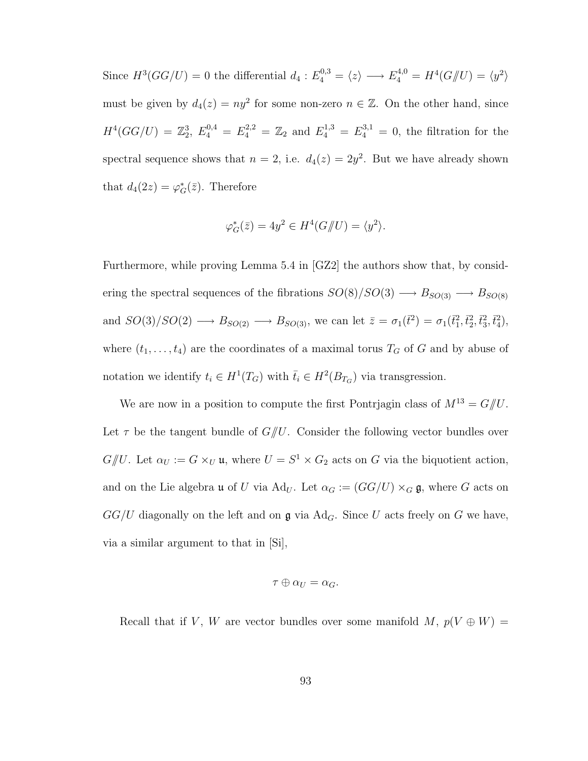Since  $H^3(GG/U) = 0$  the differential  $d_4 : E_4^{0,3} = \langle z \rangle \longrightarrow E_4^{4,0} = H^4(G/\!\!/ U) = \langle y^2 \rangle$ must be given by  $d_4(z) = ny^2$  for some non-zero  $n \in \mathbb{Z}$ . On the other hand, since  $H^4(GG/U) = \mathbb{Z}_2^3$ ,  $E_4^{0,4} = E_4^{2,2} = \mathbb{Z}_2$  and  $E_4^{1,3} = E_4^{3,1} = 0$ , the filtration for the spectral sequence shows that  $n = 2$ , i.e.  $d_4(z) = 2y^2$ . But we have already shown that  $d_4(2z) = \varphi_G^*(\bar{z})$ . Therefore

$$
\varphi_G^*(\bar{z}) = 4y^2 \in H^4(G \mathcal{U}) = \langle y^2 \rangle.
$$

Furthermore, while proving Lemma 5.4 in [GZ2] the authors show that, by considering the spectral sequences of the fibrations  $SO(8)/SO(3) \longrightarrow B_{SO(3)} \longrightarrow B_{SO(8)}$ and  $SO(3)/SO(2) \longrightarrow B_{SO(2)} \longrightarrow B_{SO(3)}$ , we can let  $\bar{z} = \sigma_1(\bar{t}^2) = \sigma_1(\bar{t}_1^2, \bar{t}_2^2, \bar{t}_3^2, \bar{t}_4^2)$ , where  $(t_1, \ldots, t_4)$  are the coordinates of a maximal torus  $T_G$  of G and by abuse of notation we identify  $t_i \in H^1(T_G)$  with  $\bar{t}_i \in H^2(B_{T_G})$  via transgression.

We are now in a position to compute the first Pontrjagin class of  $M^{13} = G/\!\!/ U$ . Let  $\tau$  be the tangent bundle of  $G/U$ . Consider the following vector bundles over  $G/\!\!/ U$ . Let  $\alpha_U := G \times_U \mathfrak{u}$ , where  $U = S^1 \times G_2$  acts on G via the biquotient action, and on the Lie algebra **u** of U via Ad<sub>U</sub>. Let  $\alpha_G := (GG/U) \times_G \mathfrak{g}$ , where G acts on  $GG/U$  diagonally on the left and on  $\mathfrak g$  via Ad<sub>G</sub>. Since U acts freely on G we have, via a similar argument to that in [Si],

$$
\tau\oplus\alpha_U=\alpha_G.
$$

Recall that if V, W are vector bundles over some manifold  $M, p(V \oplus W)$  =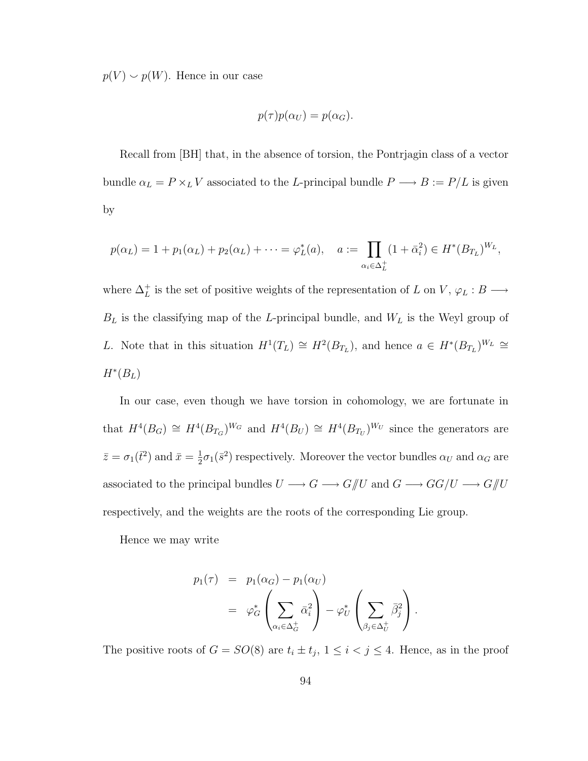$p(V) \smile p(W)$ . Hence in our case

$$
p(\tau)p(\alpha_U) = p(\alpha_G).
$$

Recall from [BH] that, in the absence of torsion, the Pontrjagin class of a vector bundle  $\alpha_L = P \times_L V$  associated to the L-principal bundle  $P \longrightarrow B := P/L$  is given by

$$
p(\alpha_L) = 1 + p_1(\alpha_L) + p_2(\alpha_L) + \dots = \varphi_L^*(a), \quad a := \prod_{\alpha_i \in \Delta_L^+} (1 + \bar{\alpha}_i^2) \in H^*(B_{T_L})^{W_L},
$$

where  $\Delta_L^+$  is the set of positive weights of the representation of L on V,  $\varphi_L : B \longrightarrow$  $B_L$  is the classifying map of the L-principal bundle, and  $W_L$  is the Weyl group of L. Note that in this situation  $H^1(T_L) \cong H^2(B_{T_L})$ , and hence  $a \in H^*(B_{T_L})^{W_L} \cong$  $H^*(B_L)$ 

In our case, even though we have torsion in cohomology, we are fortunate in that  $H^4(B_G) \cong H^4(B_{T_G})^{W_G}$  and  $H^4(B_U) \cong H^4(B_{T_U})^{W_U}$  since the generators are  $\bar{z} = \sigma_1(\bar{t}^2)$  and  $\bar{x} = \frac{1}{2}$  $\frac{1}{2}\sigma_1(\bar{s}^2)$  respectively. Moreover the vector bundles  $\alpha_U$  and  $\alpha_G$  are associated to the principal bundles  $U\longrightarrow G\longrightarrow G/\!\!/ U$  and  $G\longrightarrow GG/U\longrightarrow G/\!\!/ U$ respectively, and the weights are the roots of the corresponding Lie group.

Hence we may write

$$
p_1(\tau) = p_1(\alpha_G) - p_1(\alpha_U)
$$
  
=  $\varphi_G^* \left( \sum_{\alpha_i \in \Delta_G^+} \bar{\alpha}_i^2 \right) - \varphi_U^* \left( \sum_{\beta_j \in \Delta_U^+} \bar{\beta}_j^2 \right).$ 

The positive roots of  $G = SO(8)$  are  $t_i \pm t_j$ ,  $1 \leq i < j \leq 4$ . Hence, as in the proof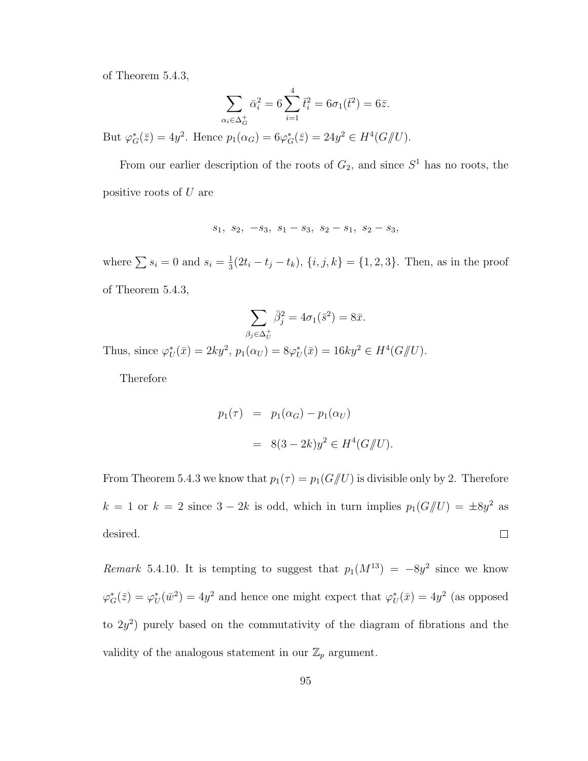of Theorem 5.4.3,

$$
\sum_{\alpha_i \in \Delta_G^+} \bar{\alpha}_i^2 = 6 \sum_{i=1}^4 \bar{t}_i^2 = 6\sigma_1(\bar{t}^2) = 6\bar{z}.
$$
  
But  $\varphi_G^*(\bar{z}) = 4y^2$ . Hence  $p_1(\alpha_G) = 6\varphi_G^*(\bar{z}) = 24y^2 \in H^4(G/\!\!/ U).$ 

From our earlier description of the roots of  $G_2$ , and since  $S<sup>1</sup>$  has no roots, the positive roots of U are

$$
s_1, s_2, -s_3, s_1 - s_3, s_2 - s_1, s_2 - s_3,
$$

where  $\sum s_i = 0$  and  $s_i = \frac{1}{3}$  $\frac{1}{3}(2t_i - t_j - t_k), \{i, j, k\} = \{1, 2, 3\}.$  Then, as in the proof of Theorem 5.4.3,

$$
\sum_{\beta_j \in \Delta_U^+} \bar{\beta}_j^2 = 4\sigma_1(\bar{s}^2) = 8\bar{x}.
$$

Thus, since  $\varphi_U^*(\bar{x}) = 2ky^2$ ,  $p_1(\alpha_U) = 8\varphi_U^*(\bar{x}) = 16ky^2 \in H^4(G/\!\!/ U)$ .

Therefore

$$
p_1(\tau) = p_1(\alpha_G) - p_1(\alpha_U)
$$
  
= 
$$
8(3 - 2k)y^2 \in H^4(G/\!\!/ U).
$$

From Theorem 5.4.3 we know that  $p_1(\tau) = p_1(G \mid U)$  is divisible only by 2. Therefore  $k = 1$  or  $k = 2$  since  $3 - 2k$  is odd, which in turn implies  $p_1(G \mid U) = \pm 8y^2$  as desired.  $\Box$ 

Remark 5.4.10. It is tempting to suggest that  $p_1(M^{13}) = -8y^2$  since we know  $\varphi_G^*(\bar{z}) = \varphi_U^*(\bar{w}^2) = 4y^2$  and hence one might expect that  $\varphi_U^*(\bar{x}) = 4y^2$  (as opposed to  $2y^2$ ) purely based on the commutativity of the diagram of fibrations and the validity of the analogous statement in our  $\mathbb{Z}_p$  argument.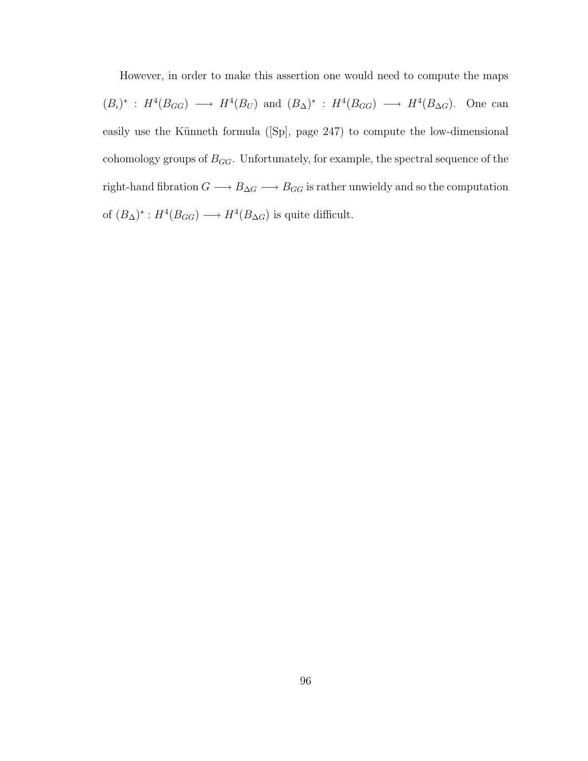However, in order to make this assertion one would need to compute the maps  $(B_{\iota})^* : H^4(B_{GG}) \longrightarrow H^4(B_{U})$  and  $(B_{\Delta})^* : H^4(B_{GG}) \longrightarrow H^4(B_{\Delta G})$ . One can easily use the Künneth formula ( $[Sp]$ , page 247) to compute the low-dimensional cohomology groups of  $B_{GG}$ . Unfortunately, for example, the spectral sequence of the right-hand fibration  $G\longrightarrow B_{\Delta G}\longrightarrow B_{GG}$  is rather unwieldy and so the computation of  $(B_{\Delta})^* : H^4(B_{GG}) \longrightarrow H^4(B_{\Delta G})$  is quite difficult.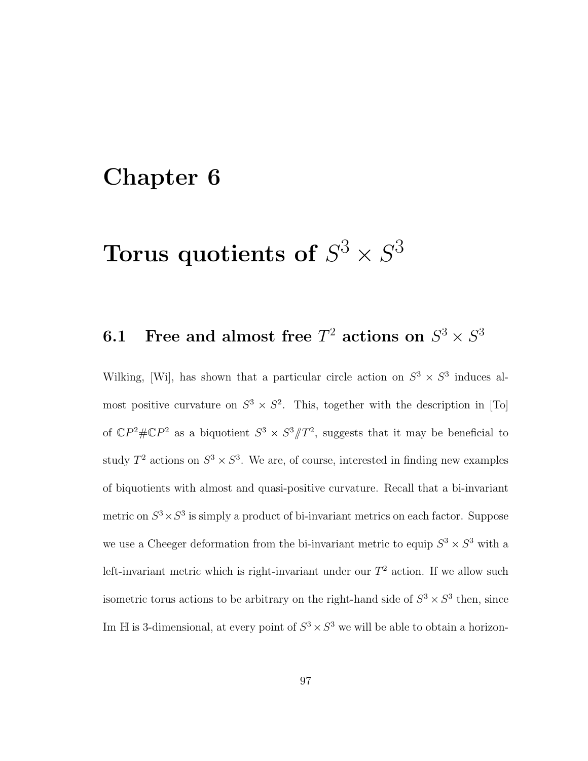## Chapter 6

## Torus quotients of  $S^3\times S^3$

## 6.1 Free and almost free  $T^2$  actions on  $S^3 \times S^3$

Wilking, [Wi], has shown that a particular circle action on  $S^3 \times S^3$  induces almost positive curvature on  $S^3 \times S^2$ . This, together with the description in [To] of  $\mathbb{C}P^2 \# \mathbb{C}P^2$  as a biquotient  $S^3 \times S^3/\!\!/ T^2$ , suggests that it may be beneficial to study  $T^2$  actions on  $S^3 \times S^3$ . We are, of course, interested in finding new examples of biquotients with almost and quasi-positive curvature. Recall that a bi-invariant metric on  $S^3 \times S^3$  is simply a product of bi-invariant metrics on each factor. Suppose we use a Cheeger deformation from the bi-invariant metric to equip  $S^3 \times S^3$  with a left-invariant metric which is right-invariant under our  $T^2$  action. If we allow such isometric torus actions to be arbitrary on the right-hand side of  $S^3 \times S^3$  then, since Im  $\mathbb H$  is 3-dimensional, at every point of  $S^3 \times S^3$  we will be able to obtain a horizon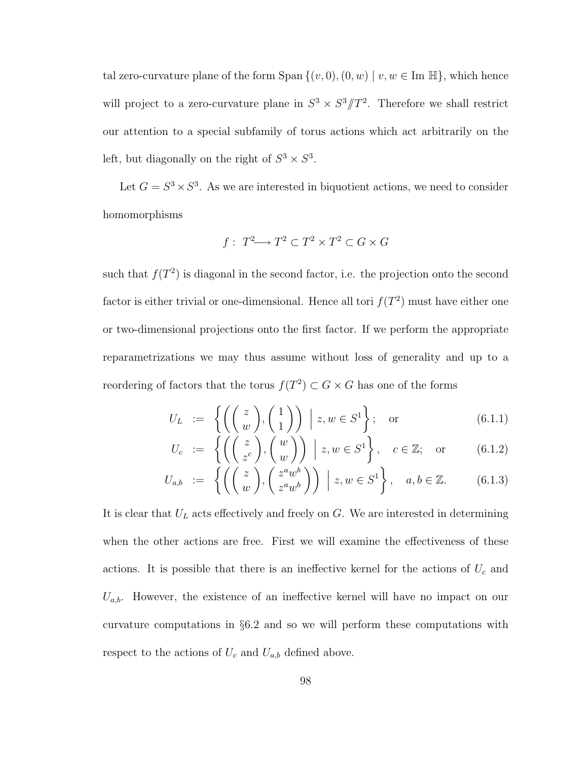tal zero-curvature plane of the form Span  $\{(v, 0), (0, w) \mid v, w \in \text{Im }\mathbb{H}\}\)$ , which hence will project to a zero-curvature plane in  $S^3 \times S^3/T^2$ . Therefore we shall restrict our attention to a special subfamily of torus actions which act arbitrarily on the left, but diagonally on the right of  $S^3 \times S^3$ .

Let  $G = S^3 \times S^3$ . As we are interested in biquotient actions, we need to consider homomorphisms

$$
f: T^2 \longrightarrow T^2 \subset T^2 \times T^2 \subset G \times G
$$

such that  $f(T^2)$  is diagonal in the second factor, i.e. the projection onto the second factor is either trivial or one-dimensional. Hence all tori  $f(T^2)$  must have either one or two-dimensional projections onto the first factor. If we perform the appropriate reparametrizations we may thus assume without loss of generality and up to a reordering of factors that the torus  $f(T^2) \subset G \times G$  has one of the forms

$$
U_L := \left\{ \left( \begin{pmatrix} z \\ w \end{pmatrix}, \begin{pmatrix} 1 \\ 1 \end{pmatrix} \right) \middle| z, w \in S^1 \right\}; \text{ or } (6.1.1)
$$

$$
U_c := \left\{ \left( \begin{pmatrix} z \\ z^c \end{pmatrix}, \begin{pmatrix} w \\ w \end{pmatrix} \right) \middle| z, w \in S^1 \right\}, \quad c \in \mathbb{Z}; \text{ or } (6.1.2)
$$

$$
U_{a,b} := \left\{ \left( \begin{pmatrix} z \\ w \end{pmatrix}, \begin{pmatrix} z^a w^b \\ z^a w^b \end{pmatrix} \right) \middle| z, w \in S^1 \right\}, \quad a, b \in \mathbb{Z}. \tag{6.1.3}
$$

It is clear that  $U_L$  acts effectively and freely on  $G$ . We are interested in determining when the other actions are free. First we will examine the effectiveness of these actions. It is possible that there is an ineffective kernel for the actions of  $U_c$  and  $U_{a,b}$ . However, the existence of an ineffective kernel will have no impact on our curvature computations in §6.2 and so we will perform these computations with respect to the actions of  $U_c$  and  $U_{a,b}$  defined above.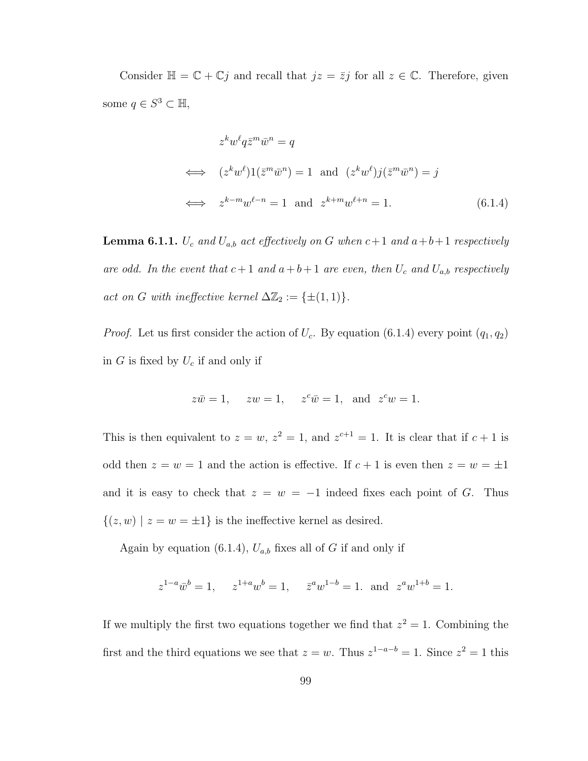Consider  $\mathbb{H} = \mathbb{C} + \mathbb{C}j$  and recall that  $jz = \overline{z}j$  for all  $z \in \mathbb{C}$ . Therefore, given some  $q \in S^3 \subset \mathbb{H}$ ,

$$
z^k w^\ell q \bar{z}^m \bar{w}^n = q
$$
  
\n
$$
z^k w^\ell 1(\bar{z}^m \bar{w}^n) = 1 \text{ and } (z^k w^\ell) j(\bar{z}^m \bar{w}^n) = j
$$
  
\n
$$
\iff z^{k-m} w^{\ell-n} = 1 \text{ and } z^{k+m} w^{\ell+n} = 1.
$$
 (6.1.4)

**Lemma 6.1.1.**  $U_c$  and  $U_{a,b}$  act effectively on G when  $c+1$  and  $a+b+1$  respectively are odd. In the event that  $c+1$  and  $a+b+1$  are even, then  $U_c$  and  $U_{a,b}$  respectively act on G with ineffective kernel  $\Delta \mathbb{Z}_2 := {\pm (1,1)}$ .

*Proof.* Let us first consider the action of  $U_c$ . By equation (6.1.4) every point  $(q_1, q_2)$ in  $G$  is fixed by  $U_c$  if and only if

$$
z\overline{w} = 1
$$
,  $zw = 1$ ,  $z^c\overline{w} = 1$ , and  $z^c w = 1$ .

This is then equivalent to  $z = w$ ,  $z^2 = 1$ , and  $z^{c+1} = 1$ . It is clear that if  $c+1$  is odd then  $z = w = 1$  and the action is effective. If  $c + 1$  is even then  $z = w = \pm 1$ and it is easy to check that  $z = w = -1$  indeed fixes each point of G. Thus  $\{(z, w) | z = w = \pm 1\}$  is the ineffective kernel as desired.

Again by equation (6.1.4),  $U_{a,b}$  fixes all of G if and only if

$$
z^{1-a}\overline{w}^b = 1
$$
,  $z^{1+a}w^b = 1$ ,  $\overline{z}^aw^{1-b} = 1$ . and  $z^aw^{1+b} = 1$ .

If we multiply the first two equations together we find that  $z^2 = 1$ . Combining the first and the third equations we see that  $z = w$ . Thus  $z^{1-a-b} = 1$ . Since  $z^2 = 1$  this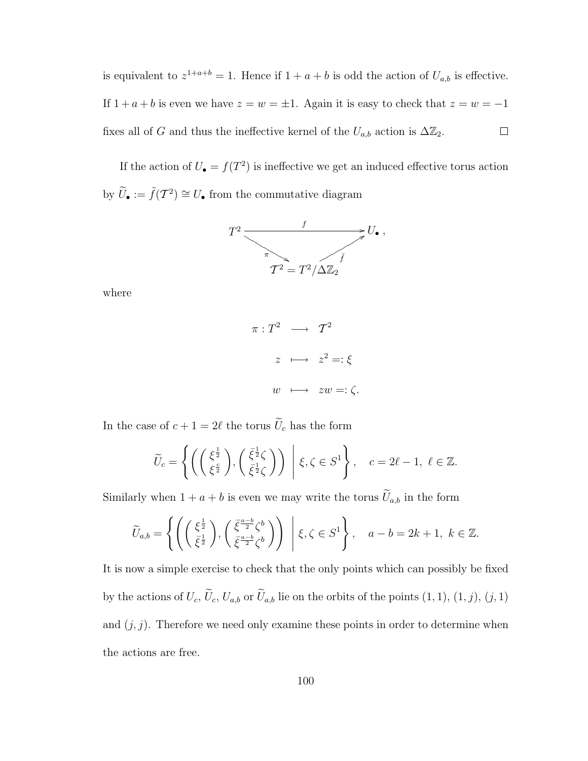is equivalent to  $z^{1+a+b} = 1$ . Hence if  $1+a+b$  is odd the action of  $U_{a,b}$  is effective. If  $1 + a + b$  is even we have  $z = w = \pm 1$ . Again it is easy to check that  $z = w = -1$ fixes all of G and thus the ineffective kernel of the  $U_{a,b}$  action is  $\Delta \mathbb{Z}_2$ .  $\Box$ 

If the action of  $U_{\bullet} = f(T^2)$  is ineffective we get an induced effective torus action by  $\widetilde{U}_{\bullet} := \widetilde{f}(\mathcal{T}^2) \cong U_{\bullet}$  from the commutative diagram



where

$$
\pi: T^2 \longrightarrow T^2
$$

$$
z \longmapsto z^2 =: \xi
$$

$$
w \longmapsto zw =: \zeta.
$$

In the case of  $c + 1 = 2\ell$  the torus  $\widetilde{U}_c$  has the form

$$
\widetilde{U}_c = \left\{ \left( \begin{pmatrix} \xi^{\frac{1}{2}} \\ \xi^{\frac{c}{2}} \end{pmatrix}, \begin{pmatrix} \bar{\xi}^{\frac{1}{2}} \zeta \\ \bar{\xi}^{\frac{1}{2}} \zeta \end{pmatrix} \right) \middle| \xi, \zeta \in S^1 \right\}, \quad c = 2\ell - 1, \ \ell \in \mathbb{Z}.
$$

Similarly when  $1 + a + b$  is even we may write the torus  $\widetilde{U}_{a,b}$  in the form

$$
\widetilde{U}_{a,b} = \left\{ \left( \left( \begin{array}{c} \xi^{\frac{1}{2}} \\ \bar{\xi}^{\frac{1}{2}} \end{array} \right), \left( \begin{array}{c} \bar{\xi}^{\frac{a-b}{2}} \zeta^{b} \\ \bar{\xi}^{\frac{a-b}{2}} \zeta^{b} \end{array} \right) \right) \middle| \xi, \zeta \in S^{1} \right\}, \quad a - b = 2k + 1, \ k \in \mathbb{Z}.
$$

It is now a simple exercise to check that the only points which can possibly be fixed by the actions of  $U_c$ ,  $\tilde{U}_c$ ,  $U_{a,b}$  or  $\tilde{U}_{a,b}$  lie on the orbits of the points  $(1, 1), (1, j), (j, 1)$ and  $(j, j)$ . Therefore we need only examine these points in order to determine when the actions are free.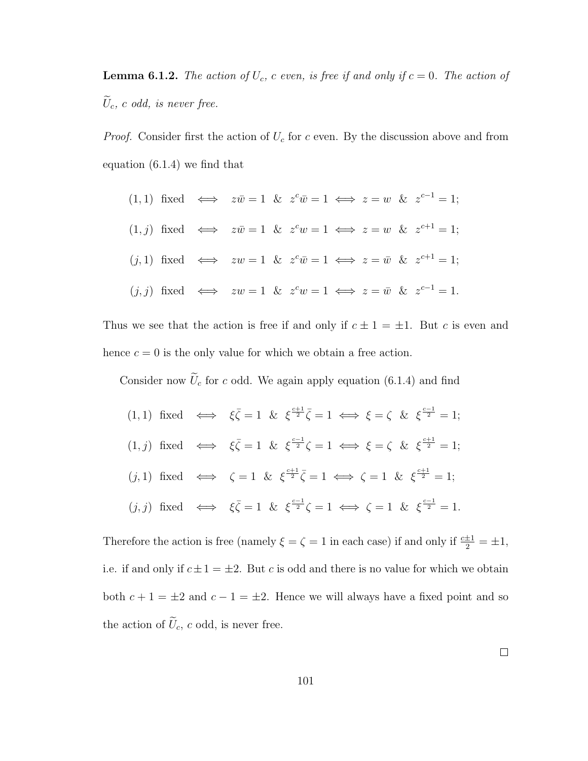**Lemma 6.1.2.** The action of  $U_c$ , c even, is free if and only if  $c = 0$ . The action of  $\tilde{U}_c$ , c odd, is never free.

*Proof.* Consider first the action of  $U_c$  for c even. By the discussion above and from equation (6.1.4) we find that

|  |  |  |  | $(1,1)$ fixed $\Leftrightarrow$ $z\overline{w} = 1$ & $z^c\overline{w} = 1 \Leftrightarrow z = w$ & $z^{c-1} = 1$ ;  |
|--|--|--|--|----------------------------------------------------------------------------------------------------------------------|
|  |  |  |  | $(1, j)$ fixed $\iff z\overline{w} = 1 \& z^c w = 1 \iff z = w \& z^{c+1} = 1;$                                      |
|  |  |  |  | $(j,1)$ fixed $\Leftrightarrow$ $zw = 1$ & $z^c \overline{w} = 1 \Leftrightarrow z = \overline{w}$ & $z^{c+1} = 1$ ; |
|  |  |  |  | $(j, j)$ fixed $\Leftrightarrow$ $zw = 1$ & $z^c w = 1 \Leftrightarrow z = \overline{w}$ & $z^{c-1} = 1$ .           |

Thus we see that the action is free if and only if  $c \pm 1 = \pm 1$ . But c is even and hence  $c = 0$  is the only value for which we obtain a free action.

Consider now  $U_c$  for c odd. We again apply equation (6.1.4) and find

(1, 1) fixed  $\iff \xi \overline{\zeta} = 1 \& \xi^{\frac{c+1}{2}} \overline{\zeta} = 1 \iff \xi = \zeta \& \xi^{\frac{c-1}{2}} = 1;$ (1, j) fixed  $\iff \xi \overline{\zeta} = 1 \& \xi \frac{c-1}{2} \zeta = 1 \iff \xi = \zeta \& \xi \frac{c+1}{2} = 1;$ (j, 1) fixed  $\iff$   $\zeta = 1$  &  $\xi^{\frac{c+1}{2}} \overline{\zeta} = 1 \iff \zeta = 1$  &  $\xi^{\frac{c+1}{2}} = 1$ ;  $(j, j)$  fixed  $\iff \xi \overline{\zeta} = 1 \& \xi^{\frac{c-1}{2}} \zeta = 1 \iff \zeta = 1 \& \xi^{\frac{c-1}{2}} = 1.$ 

Therefore the action is free (namely  $\xi = \zeta = 1$  in each case) if and only if  $\frac{c \pm 1}{2} = \pm 1$ , i.e. if and only if  $c \pm 1 = \pm 2$ . But c is odd and there is no value for which we obtain both  $c + 1 = \pm 2$  and  $c - 1 = \pm 2$ . Hence we will always have a fixed point and so the action of  $\tilde{U}_c$ , c odd, is never free.

 $\Box$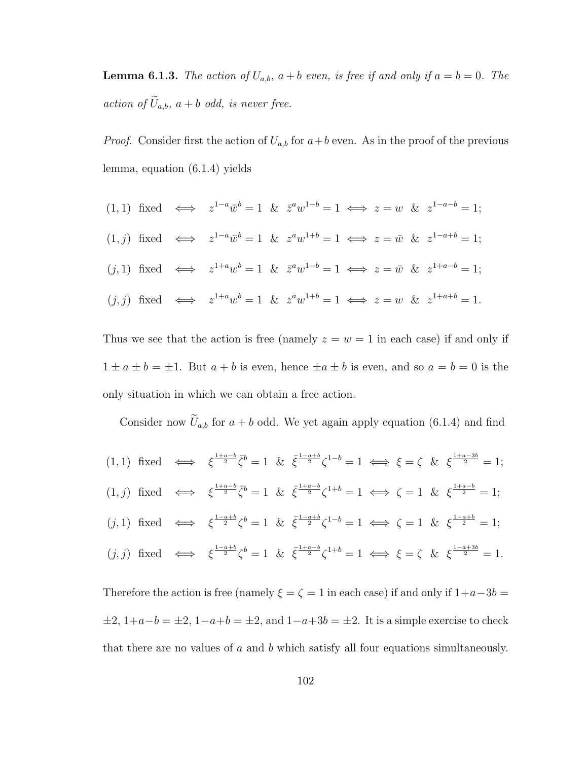**Lemma 6.1.3.** The action of  $U_{a,b}$ ,  $a + b$  even, is free if and only if  $a = b = 0$ . The action of  $\widetilde{U}_{a,b}$ ,  $a + b$  odd, is never free.

*Proof.* Consider first the action of  $U_{a,b}$  for  $a+b$  even. As in the proof of the previous lemma, equation (6.1.4) yields

$$
(1,1) \text{ fixed} \iff z^{1-a}\overline{w}^b = 1 \& \overline{z}^a w^{1-b} = 1 \iff z = w \& z^{1-a-b} = 1;
$$
  

$$
(1,j) \text{ fixed} \iff z^{1-a}\overline{w}^b = 1 \& z^a w^{1+b} = 1 \iff z = \overline{w} \& z^{1-a+b} = 1;
$$
  

$$
(j,1) \text{ fixed} \iff z^{1+a}w^b = 1 \& \overline{z}^a w^{1-b} = 1 \iff z = \overline{w} \& z^{1+a-b} = 1;
$$
  

$$
(j,j) \text{ fixed} \iff z^{1+a}w^b = 1 \& z^a w^{1+b} = 1 \iff z = w \& z^{1+a+b} = 1.
$$

Thus we see that the action is free (namely  $z = w = 1$  in each case) if and only if  $1 \pm a \pm b = \pm 1$ . But  $a + b$  is even, hence  $\pm a \pm b$  is even, and so  $a = b = 0$  is the only situation in which we can obtain a free action.

Consider now  $\widetilde{U}_{a,b}$  for  $a+b$  odd. We yet again apply equation (6.1.4) and find

$$
(1,1) \text{ fixed } \iff \xi^{\frac{1+a-b}{2}} \bar{\zeta}^b = 1 \& \bar{\xi}^{\frac{1-a+b}{2}} \zeta^{1-b} = 1 \iff \xi = \zeta \& \xi^{\frac{1+a-3b}{2}} = 1;
$$
\n
$$
(1,j) \text{ fixed } \iff \xi^{\frac{1+a-b}{2}} \bar{\zeta}^b = 1 \& \bar{\xi}^{\frac{1+a-b}{2}} \zeta^{1+b} = 1 \iff \zeta = 1 \& \xi^{\frac{1+a-b}{2}} = 1;
$$
\n
$$
(j,1) \text{ fixed } \iff \xi^{\frac{1-a+b}{2}} \zeta^b = 1 \& \bar{\xi}^{\frac{1-a+b}{2}} \zeta^{1-b} = 1 \iff \zeta = 1 \& \xi^{\frac{1-a+b}{2}} = 1;
$$
\n
$$
(j,j) \text{ fixed } \iff \xi^{\frac{1-a+b}{2}} \zeta^b = 1 \& \bar{\xi}^{\frac{1+a-b}{2}} \zeta^{1+b} = 1 \iff \xi = \zeta \& \xi^{\frac{1-a+3b}{2}} = 1.
$$

Therefore the action is free (namely  $\xi = \zeta = 1$  in each case) if and only if  $1+a-3b =$  $\pm 2$ ,  $1+a-b = \pm 2$ ,  $1-a+b = \pm 2$ , and  $1-a+3b = \pm 2$ . It is a simple exercise to check that there are no values of  $a$  and  $b$  which satisfy all four equations simultaneously.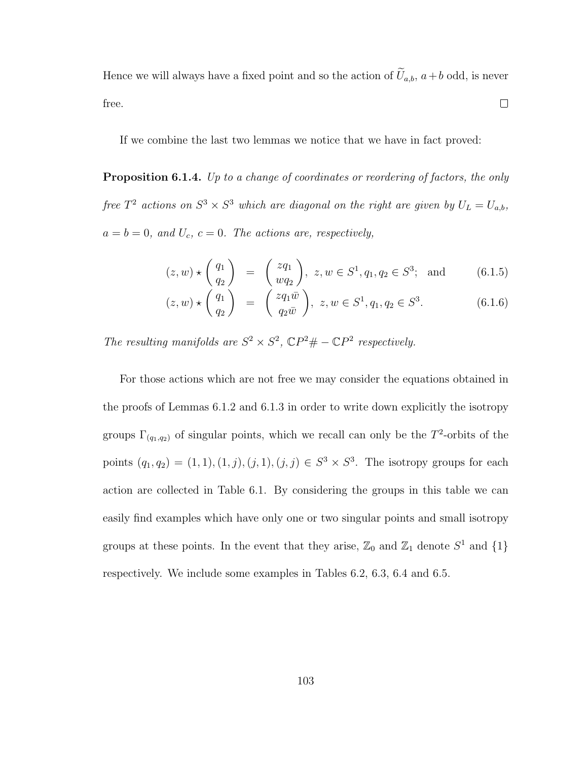Hence we will always have a fixed point and so the action of  $\tilde{U}_{a,b}$ ,  $a+b$  odd, is never free.  $\Box$ 

If we combine the last two lemmas we notice that we have in fact proved:

Proposition 6.1.4. Up to a change of coordinates or reordering of factors, the only free  $T^2$  actions on  $S^3 \times S^3$  which are diagonal on the right are given by  $U_L = U_{a,b}$ ,  $a = b = 0$ , and  $U_c$ ,  $c = 0$ . The actions are, respectively,

$$
(z, w) \star \begin{pmatrix} q_1 \\ q_2 \end{pmatrix} = \begin{pmatrix} zq_1 \\ wq_2 \end{pmatrix}, z, w \in S^1, q_1, q_2 \in S^3; \text{ and } (6.1.5)
$$

$$
(z, w) \star \begin{pmatrix} q_1 \\ q_2 \end{pmatrix} = \begin{pmatrix} zq_1\bar{w} \\ q_2\bar{w} \end{pmatrix}, z, w \in S^1, q_1, q_2 \in S^3.
$$
 (6.1.6)

The resulting manifolds are  $S^2 \times S^2$ ,  $\mathbb{C}P^2 \# - \mathbb{C}P^2$  respectively.

For those actions which are not free we may consider the equations obtained in the proofs of Lemmas 6.1.2 and 6.1.3 in order to write down explicitly the isotropy groups  $\Gamma_{(q_1,q_2)}$  of singular points, which we recall can only be the T<sup>2</sup>-orbits of the points  $(q_1, q_2) = (1, 1), (1, j), (j, 1), (j, j) \in S^3 \times S^3$ . The isotropy groups for each action are collected in Table 6.1. By considering the groups in this table we can easily find examples which have only one or two singular points and small isotropy groups at these points. In the event that they arise,  $\mathbb{Z}_0$  and  $\mathbb{Z}_1$  denote  $S^1$  and  $\{1\}$ respectively. We include some examples in Tables 6.2, 6.3, 6.4 and 6.5.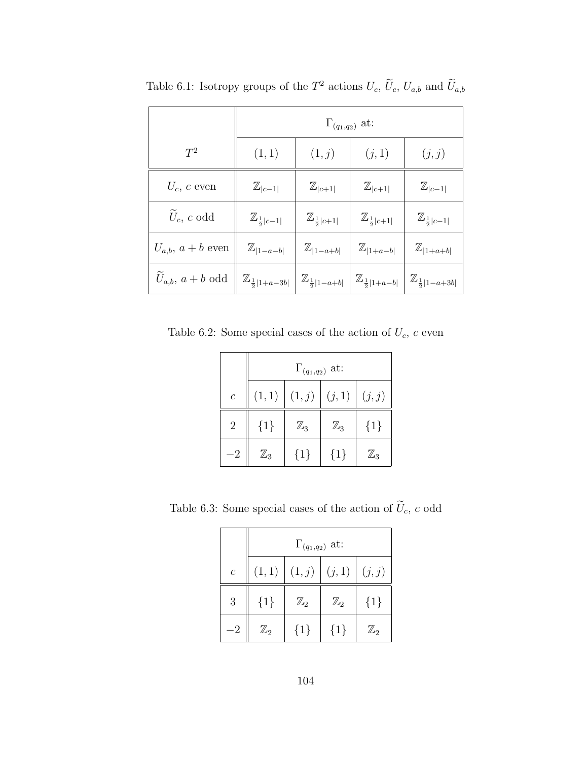|                                  |                                    |                                   | $\Gamma_{(q_1,q_2)}$ at:          |                                    |  |
|----------------------------------|------------------------------------|-----------------------------------|-----------------------------------|------------------------------------|--|
| $T^2$                            | (1, 1)                             | (1,j)                             | (j, 1)                            | (j, j)                             |  |
| $U_c$ , c even                   | $\mathbb{Z}_{ c-1 }$               | $\mathbb{Z}_{ c+1 }$              | $\mathbb{Z}_{ c+1 }$              | $\mathbb{Z}_{ c-1 }$               |  |
| $\tilde{U}_c$ , c odd            | $\mathbb{Z}_{\frac{1}{2} c-1 }$    | $\mathbb{Z}_{\frac{1}{2} c+1 }$   | $\mathbb{Z}_{\frac{1}{2} c+1 }$   | $\mathbb{Z}_{\frac{1}{2} c-1 }$    |  |
| $U_{a,b}, a+b$ even              | $\mathbb{Z}_{ 1-a-b }$             | $\mathbb{Z}_{ 1-a+b }$            | $\mathbb{Z}_{ 1+a-b }$            | $\mathbb{Z}_{ 1+a+b }$             |  |
| $\widetilde{U}_{a,b},\, a+b$ odd | $\mathbb{Z}_{\frac{1}{2} 1+a-3b }$ | $\mathbb{Z}_{\frac{1}{2} 1-a+b }$ | $\mathbb{Z}_{\frac{1}{2} 1+a-b }$ | $\mathbb{Z}_{\frac{1}{2} 1-a+3b }$ |  |

Table 6.1: Isotropy groups of the  $T^2$  actions  $U_c$ ,  $\widetilde{U}_c$ ,  $U_{a,b}$  and  $\widetilde{U}_{a,b}$ 

Table 6.2: Some special cases of the action of  $U_c$ ,  $c$  even

|                  | $\Gamma_{(q_1,q_2)}$ at: |                |                |                |  |  |
|------------------|--------------------------|----------------|----------------|----------------|--|--|
| $\boldsymbol{c}$ | (1, 1)                   | (1,j)   (j,1)  |                | (j, j)         |  |  |
| $\overline{2}$   | ${1}$                    | $\mathbb{Z}_3$ | $\mathbb{Z}_3$ | ${1}$          |  |  |
| -2               | $\mathbb{Z}_3$           | ${1}$          | $\{1\}$        | $\mathbb{Z}_3$ |  |  |

Table 6.3: Some special cases of the action of  $\widetilde{U}_c,$   $c$  odd

|                  | $\Gamma_{(q_1,q_2)}$ at: |                         |                |                |  |  |
|------------------|--------------------------|-------------------------|----------------|----------------|--|--|
| $\boldsymbol{c}$ | (1, 1)                   | $\mid (1,j) \mid (j,1)$ |                | (j, j)         |  |  |
| 3                | ${1}$                    | $\mathbb{Z}_2$          | $\mathbb{Z}_2$ | ${1}$          |  |  |
| $-2$             | $\mathbb{Z}_2$           | ${1}$                   | ${1}$          | $\mathbb{Z}_2$ |  |  |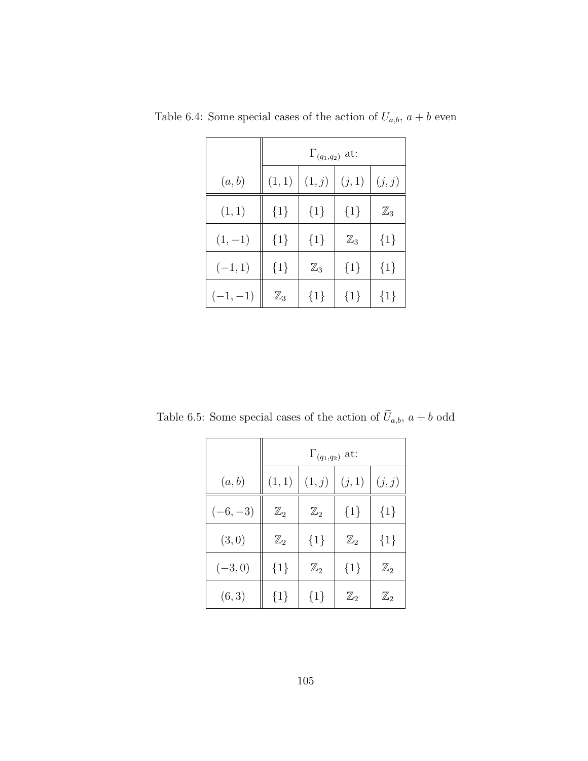|           | $\Gamma_{(q_1,q_2)}$ at: |                |                |                |  |
|-----------|--------------------------|----------------|----------------|----------------|--|
| (a,b)     | (1, 1)                   | (1,j)          | (j, 1)         | (j, j)         |  |
| (1, 1)    | ${1}$                    | ${1}$          | ${1}$          | $\mathbb{Z}_3$ |  |
| $(1,-1)$  | ${1}$                    | ${1}$          | $\mathbb{Z}_3$ | $\{1\}$        |  |
| $(-1,1)$  | ${1}$                    | $\mathbb{Z}_3$ | ${1}$          | $\{1\}$        |  |
| $(-1,-1)$ | $\mathbb{Z}_3$           | ${1}$          | ${1}$          | ${1}$          |  |

Table 6.4: Some special cases of the action of  $U_{a,b}$ ,  $a + b$  even

Table 6.5: Some special cases of the action of  $\widetilde{U}_{a,b}, a+b$  odd

|           | $\Gamma_{(q_1,q_2)}$ at: |                |                |                |  |  |
|-----------|--------------------------|----------------|----------------|----------------|--|--|
| (a,b)     | (1, 1)                   | (1,j)          | (j, 1)         | (j, j)         |  |  |
| $(-6,-3)$ | $\mathbb{Z}_2$           | $\mathbb{Z}_2$ | ${1}$          | ${1}$          |  |  |
| (3,0)     | $\mathbb{Z}_2$           | ${1}$          | $\mathbb{Z}_2$ | ${1}$          |  |  |
| $(-3,0)$  | ${1}$                    | $\mathbb{Z}_2$ | $\{1\}$        | $\mathbb{Z}_2$ |  |  |
| (6, 3)    | ${1}$                    | ${1}$          | $\mathbb{Z}_2$ | $\mathbb{Z}_2$ |  |  |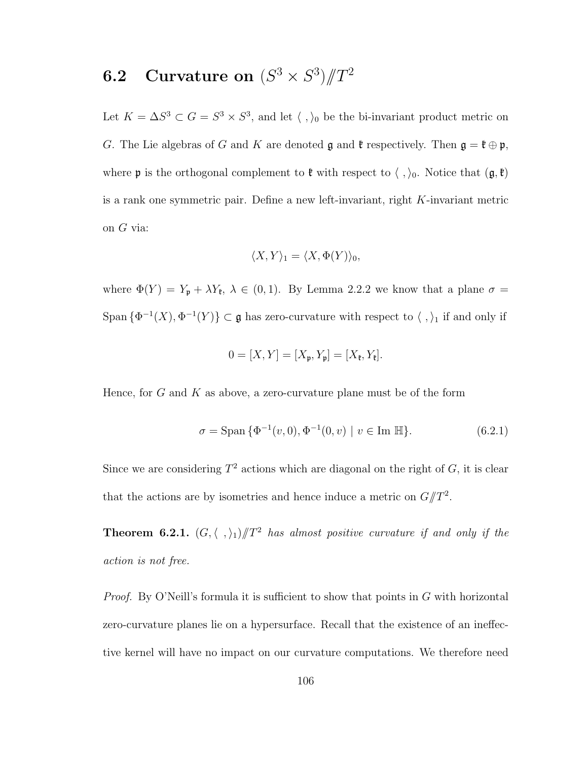## **6.2** Curvature on  $(S^3 \times S^3)/T^2$

Let  $K = \Delta S^3 \subset G = S^3 \times S^3$ , and let  $\langle , \rangle_0$  be the bi-invariant product metric on G. The Lie algebras of G and K are denoted  $\mathfrak g$  and  $\mathfrak k$  respectively. Then  $\mathfrak g = \mathfrak k \oplus \mathfrak p,$ where  $\mathfrak p$  is the orthogonal complement to  $\mathfrak k$  with respect to  $\langle , \rangle_0$ . Notice that  $(\mathfrak g, \mathfrak k)$ is a rank one symmetric pair. Define a new left-invariant, right K-invariant metric on G via:

$$
\langle X, Y \rangle_1 = \langle X, \Phi(Y) \rangle_0,
$$

where  $\Phi(Y) = Y_p + \lambda Y_{\ell}, \lambda \in (0,1)$ . By Lemma 2.2.2 we know that a plane  $\sigma =$ Span  $\{\Phi^{-1}(X), \Phi^{-1}(Y)\}\subset \mathfrak{g}$  has zero-curvature with respect to  $\langle , \rangle_1$  if and only if

$$
0=[X,Y]=[X_{\mathfrak{p}},Y_{\mathfrak{p}}]=[X_{\mathfrak{k}},Y_{\mathfrak{k}}].
$$

Hence, for  $G$  and  $K$  as above, a zero-curvature plane must be of the form

$$
\sigma = \text{Span}\{\Phi^{-1}(v,0), \Phi^{-1}(0,v) \mid v \in \text{Im }\mathbb{H}\}. \tag{6.2.1}
$$

Since we are considering  $T^2$  actions which are diagonal on the right of  $G$ , it is clear that the actions are by isometries and hence induce a metric on  $G/T^2$ .

**Theorem 6.2.1.**  $(G, \langle ,\rangle_1)/T^2$  has almost positive curvature if and only if the action is not free.

*Proof.* By O'Neill's formula it is sufficient to show that points in  $G$  with horizontal zero-curvature planes lie on a hypersurface. Recall that the existence of an ineffective kernel will have no impact on our curvature computations. We therefore need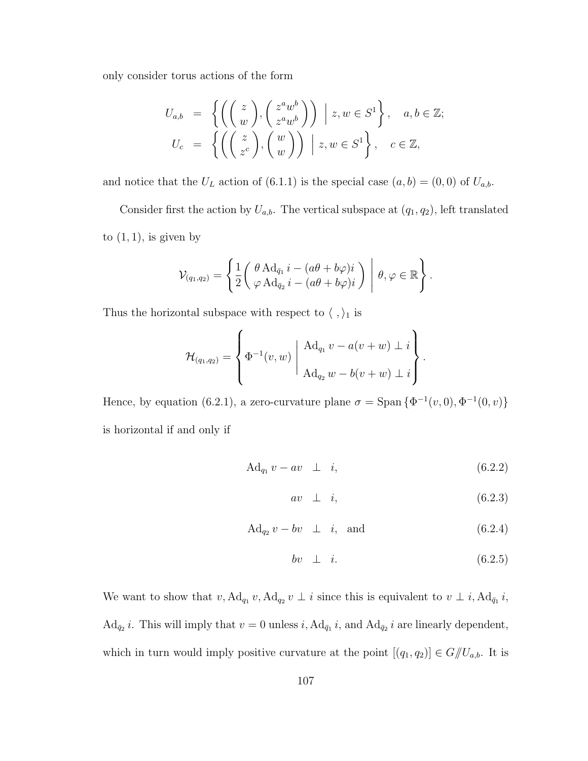only consider torus actions of the form

$$
U_{a,b} = \left\{ \left( \begin{pmatrix} z \\ w \end{pmatrix}, \begin{pmatrix} z^a w^b \\ z^a w^b \end{pmatrix} \right) \middle| z, w \in S^1 \right\}, \quad a, b \in \mathbb{Z};
$$
  

$$
U_c = \left\{ \left( \begin{pmatrix} z \\ z^c \end{pmatrix}, \begin{pmatrix} w \\ w \end{pmatrix} \right) \middle| z, w \in S^1 \right\}, \quad c \in \mathbb{Z},
$$

and notice that the  $U_L$  action of (6.1.1) is the special case  $(a, b) = (0, 0)$  of  $U_{a,b}$ .

Consider first the action by  $U_{a,b}$ . The vertical subspace at  $(q_1, q_2)$ , left translated to  $(1, 1)$ , is given by

$$
\mathcal{V}_{(q_1,q_2)} = \left\{ \frac{1}{2} \begin{pmatrix} \theta \,\mathrm{Ad}_{\bar{q}_1} \, i - (a\theta + b\varphi) i \\ \varphi \,\mathrm{Ad}_{\bar{q}_2} \, i - (a\theta + b\varphi) i \end{pmatrix} \middle| \, \theta, \varphi \in \mathbb{R} \right\}.
$$

Thus the horizontal subspace with respect to  $\langle , \rangle_1$  is

$$
\mathcal{H}_{(q_1,q_2)} = \left\{ \Phi^{-1}(v,w) \middle| \begin{array}{c} \mathrm{Ad}_{q_1} v - a(v+w) \perp i \\ \mathrm{Ad}_{q_2} w - b(v+w) \perp i \end{array} \right\}.
$$

Hence, by equation (6.2.1), a zero-curvature plane  $\sigma = \text{Span} \{ \Phi^{-1}(v,0), \Phi^{-1}(0,v) \}$ is horizontal if and only if

$$
\mathrm{Ad}_{q_1} v - av \perp i,
$$
\n
$$
(6.2.2)
$$

$$
av \perp i, \tag{6.2.3}
$$

$$
\text{Ad}_{q_2} v - bv \perp i, \text{ and } (6.2.4)
$$

$$
bv \perp i. \tag{6.2.5}
$$

We want to show that  $v, \operatorname{Ad}_{q_1} v, \operatorname{Ad}_{q_2} v \perp i$  since this is equivalent to  $v \perp i, \operatorname{Ad}_{q_1} i$ ,  $\text{Ad}_{\bar{q}_2} i$ . This will imply that  $v = 0$  unless i,  $\text{Ad}_{\bar{q}_1} i$ , and  $\text{Ad}_{\bar{q}_2} i$  are linearly dependent, which in turn would imply positive curvature at the point  $[(q_1, q_2)] \in G/\!\!/ U_{a,b}$ . It is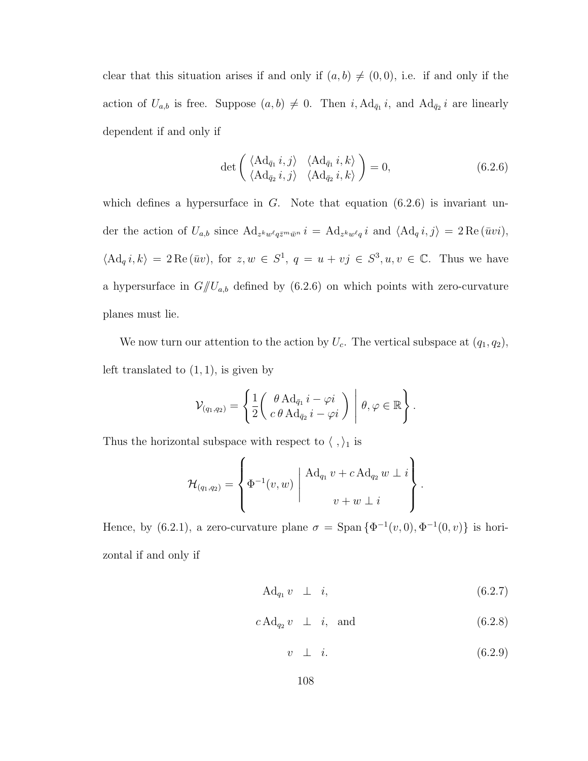clear that this situation arises if and only if  $(a, b) \neq (0, 0)$ , i.e. if and only if the action of  $U_{a,b}$  is free. Suppose  $(a,b) \neq 0$ . Then i,  $Ad_{\bar{q}_1} i$ , and  $Ad_{\bar{q}_2} i$  are linearly dependent if and only if

$$
\det \begin{pmatrix} \langle \mathrm{Ad}_{\bar{q}_1} i, j \rangle & \langle \mathrm{Ad}_{\bar{q}_1} i, k \rangle \\ \langle \mathrm{Ad}_{\bar{q}_2} i, j \rangle & \langle \mathrm{Ad}_{\bar{q}_2} i, k \rangle \end{pmatrix} = 0, \tag{6.2.6}
$$

which defines a hypersurface in  $G$ . Note that equation  $(6.2.6)$  is invariant under the action of  $U_{a,b}$  since  $\text{Ad}_{z^k w^\ell q \bar{z}^m \bar{w}^n} i = \text{Ad}_{z^k w^\ell q} i$  and  $\langle \text{Ad}_q i, j \rangle = 2 \text{Re} (\bar{w} i)$ ,  $\langle \mathrm{Ad}_q i, k \rangle = 2 \mathrm{Re} (\bar{u}v)$ , for  $z, w \in S^1$ ,  $q = u + vj \in S^3, u, v \in \mathbb{C}$ . Thus we have a hypersurface in  $G/U_{a,b}$  defined by (6.2.6) on which points with zero-curvature planes must lie.

We now turn our attention to the action by  $U_c$ . The vertical subspace at  $(q_1, q_2)$ , left translated to  $(1, 1)$ , is given by

$$
\mathcal{V}_{(q_1,q_2)} = \left\{ \frac{1}{2} \begin{pmatrix} \theta \,\mathrm{Ad}_{\bar{q}_1} \, i - \varphi i \\ c \,\theta \,\mathrm{Ad}_{\bar{q}_2} \, i - \varphi i \end{pmatrix} \, \middle| \, \theta, \varphi \in \mathbb{R} \right\}.
$$

Thus the horizontal subspace with respect to  $\langle , \rangle_1$  is

$$
\mathcal{H}_{(q_1,q_2)} = \left\{ \Phi^{-1}(v,w) \middle| \begin{array}{c} \mathrm{Ad}_{q_1} v + c \,\mathrm{Ad}_{q_2} w \perp i \\ v + w \perp i \end{array} \right\}.
$$

Hence, by (6.2.1), a zero-curvature plane  $\sigma = \text{Span} \{ \Phi^{-1}(v,0), \Phi^{-1}(0,v) \}$  is horizontal if and only if

$$
\mathrm{Ad}_{q_1} v \perp i, \tag{6.2.7}
$$

$$
c \operatorname{Ad}_{q_2} v \perp i, \quad \text{and} \tag{6.2.8}
$$

 $v \perp i.$  (6.2.9)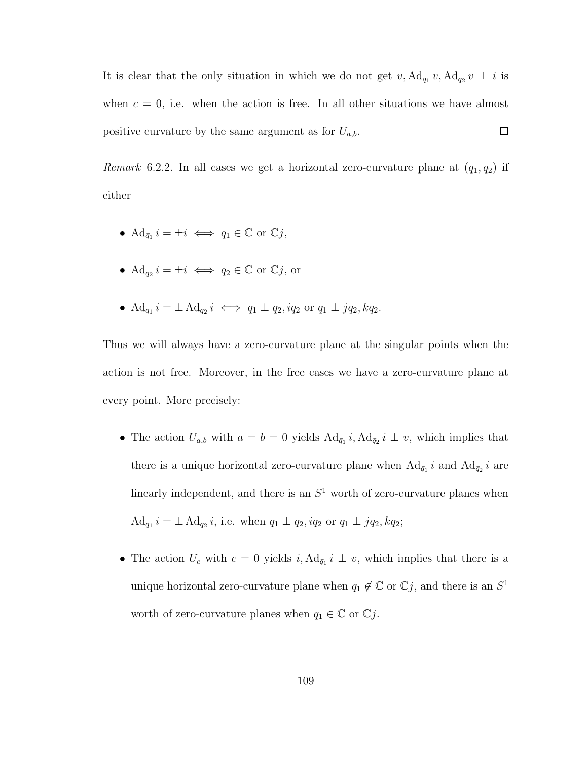It is clear that the only situation in which we do not get  $v, \operatorname{Ad}_{q_1} v, \operatorname{Ad}_{q_2} v \perp i$  is when  $c = 0$ , i.e. when the action is free. In all other situations we have almost  $\Box$ positive curvature by the same argument as for  $U_{a,b}$ .

Remark 6.2.2. In all cases we get a horizontal zero-curvature plane at  $(q_1, q_2)$  if either

- $\operatorname{Ad}_{\bar{q}_1} i = \pm i \iff q_1 \in \mathbb{C}$  or  $\mathbb{C}j$ ,
- $\mathrm{Ad}_{\bar{q}_2} i = \pm i \iff q_2 \in \mathbb{C} \text{ or } \mathbb{C}j, \text{ or }$
- $\operatorname{Ad}_{\bar{q}_1} i = \pm \operatorname{Ad}_{\bar{q}_2} i \iff q_1 \perp q_2, iq_2 \text{ or } q_1 \perp jq_2, kq_2.$

Thus we will always have a zero-curvature plane at the singular points when the action is not free. Moreover, in the free cases we have a zero-curvature plane at every point. More precisely:

- The action  $U_{a,b}$  with  $a = b = 0$  yields  $Ad_{\bar{q}_1} i, Ad_{\bar{q}_2} i \perp v$ , which implies that there is a unique horizontal zero-curvature plane when  $Ad_{\bar{q}_1} i$  and  $Ad_{\bar{q}_2} i$  are linearly independent, and there is an  $S<sup>1</sup>$  worth of zero-curvature planes when  $\mathrm{Ad}_{\bar{q}_1} i = \pm \mathrm{Ad}_{\bar{q}_2} i$ , i.e. when  $q_1 \perp q_2$ ,  $iq_2$  or  $q_1 \perp jq_2$ ,  $kq_2$ ;
- The action  $U_c$  with  $c = 0$  yields  $i, \operatorname{Ad}_{\bar{q}_1} i \perp v$ , which implies that there is a unique horizontal zero-curvature plane when  $q_1 \notin \mathbb{C}$  or  $\mathbb{C}j$ , and there is an  $S^1$ worth of zero-curvature planes when  $q_1 \in \mathbb{C}$  or  $\mathbb{C}j$ .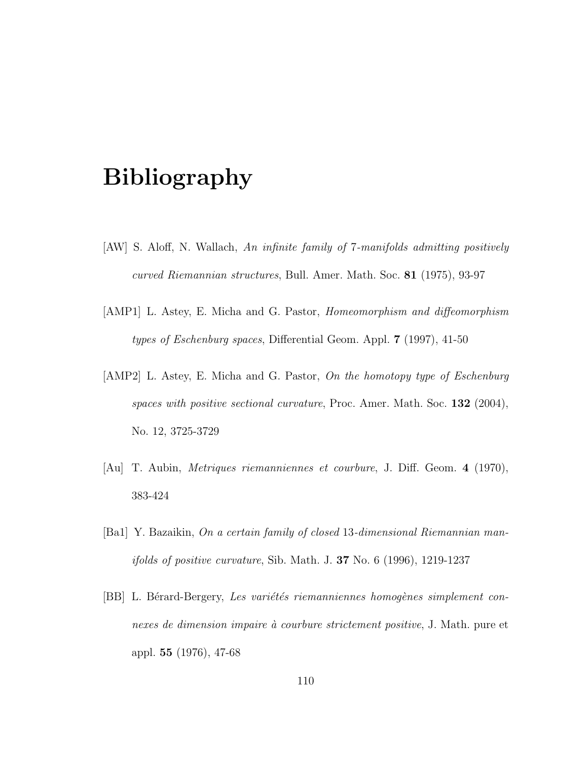## Bibliography

- [AW] S. Aloff, N. Wallach, An infinite family of 7-manifolds admitting positively curved Riemannian structures, Bull. Amer. Math. Soc. 81 (1975), 93-97
- [AMP1] L. Astey, E. Micha and G. Pastor, Homeomorphism and diffeomorphism types of Eschenburg spaces, Differential Geom. Appl. 7 (1997), 41-50
- [AMP2] L. Astey, E. Micha and G. Pastor, On the homotopy type of Eschenburg spaces with positive sectional curvature, Proc. Amer. Math. Soc.  $132$  (2004), No. 12, 3725-3729
- [Au] T. Aubin, Metriques riemanniennes et courbure, J. Diff. Geom. 4 (1970), 383-424
- [Ba1] Y. Bazaikin, On a certain family of closed 13-dimensional Riemannian man*ifolds of positive curvature*, Sib. Math. J. **37** No. 6 (1996), 1219-1237
- [BB] L. Bérard-Bergery, Les variétés riemanniennes homogènes simplement connexes de dimension impaire à courbure strictement positive, J. Math. pure et appl. 55 (1976), 47-68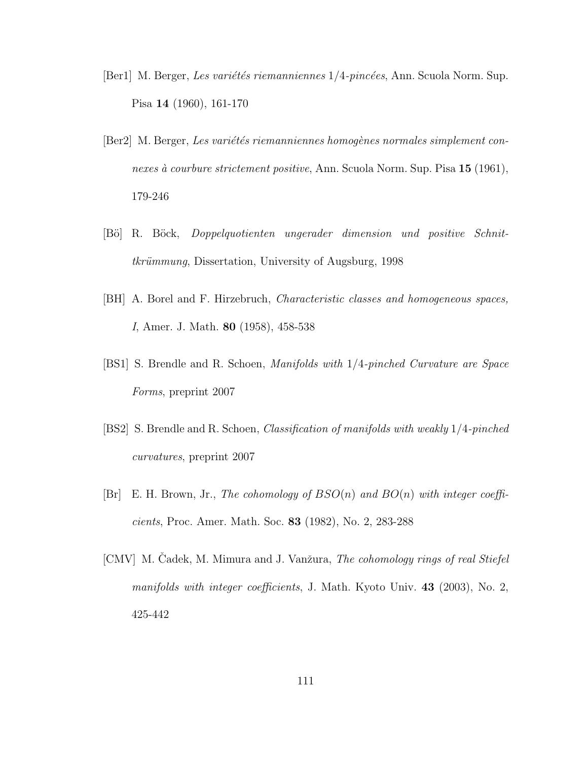- [Ber1] M. Berger, Les variétés riemanniennes  $1/4$ -pincées, Ann. Scuola Norm. Sup. Pisa 14 (1960), 161-170
- [Ber2] M. Berger, Les variétés riemanniennes homogènes normales simplement connexes à courbure strictement positive, Ann. Scuola Norm. Sup. Pisa 15 (1961), 179-246
- [B¨o] R. B¨ock, Doppelquotienten ungerader dimension und positive Schnittkrümmung, Dissertation, University of Augsburg, 1998
- [BH] A. Borel and F. Hirzebruch, Characteristic classes and homogeneous spaces, I, Amer. J. Math. 80 (1958), 458-538
- [BS1] S. Brendle and R. Schoen, Manifolds with 1/4-pinched Curvature are Space Forms, preprint 2007
- [BS2] S. Brendle and R. Schoen, Classification of manifolds with weakly 1/4-pinched curvatures, preprint 2007
- $[Br]$  E. H. Brown, Jr., The cohomology of  $BSO(n)$  and  $BO(n)$  with integer coefficients, Proc. Amer. Math. Soc. 83 (1982), No. 2, 283-288
- [CMV] M. Cadek, M. Mimura and J. Vanžura, *The cohomology rings of real Stiefel* manifolds with integer coefficients, J. Math. Kyoto Univ. 43 (2003), No. 2, 425-442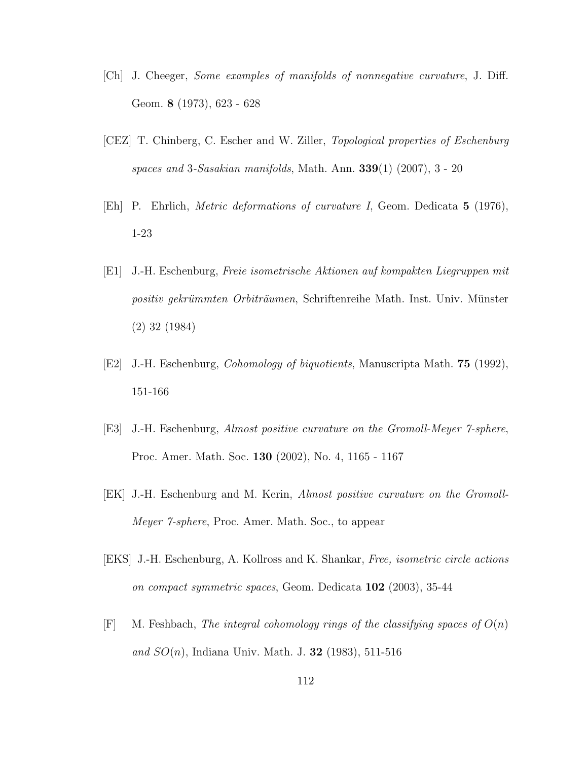- [Ch] J. Cheeger, Some examples of manifolds of nonnegative curvature, J. Diff. Geom. 8 (1973), 623 - 628
- [CEZ] T. Chinberg, C. Escher and W. Ziller, Topological properties of Eschenburg spaces and 3-Sasakian manifolds, Math. Ann. 339(1) (2007), 3 - 20
- [Eh] P. Ehrlich, Metric deformations of curvature I, Geom. Dedicata 5 (1976), 1-23
- [E1] J.-H. Eschenburg, Freie isometrische Aktionen auf kompakten Liegruppen mit positiv gekrümmten Orbiträumen, Schriftenreihe Math. Inst. Univ. Münster (2) 32 (1984)
- [E2] J.-H. Eschenburg, Cohomology of biquotients, Manuscripta Math. 75 (1992), 151-166
- [E3] J.-H. Eschenburg, Almost positive curvature on the Gromoll-Meyer 7-sphere, Proc. Amer. Math. Soc. 130 (2002), No. 4, 1165 - 1167
- [EK] J.-H. Eschenburg and M. Kerin, Almost positive curvature on the Gromoll-Meyer 7-sphere, Proc. Amer. Math. Soc., to appear
- [EKS] J.-H. Eschenburg, A. Kollross and K. Shankar, Free, isometric circle actions on compact symmetric spaces, Geom. Dedicata 102 (2003), 35-44
- $[F]$  M. Feshbach, The integral cohomology rings of the classifying spaces of  $O(n)$ and  $SO(n)$ , Indiana Univ. Math. J. 32 (1983), 511-516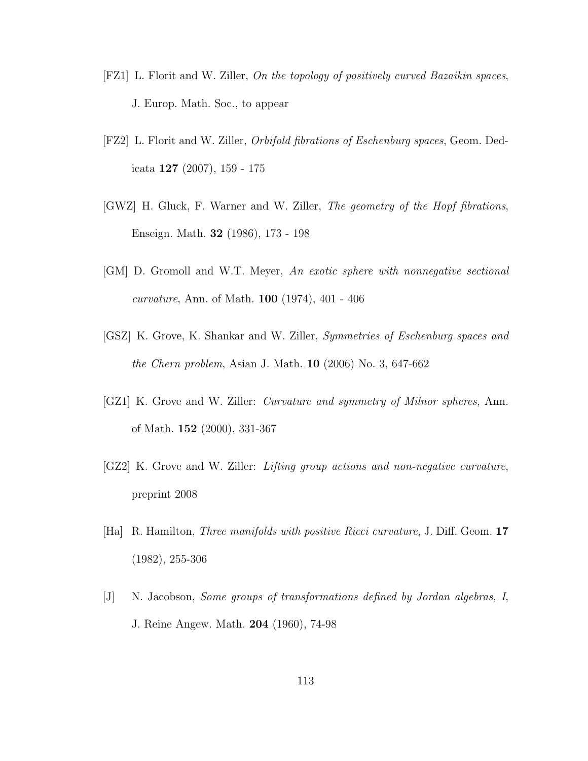- [FZ1] L. Florit and W. Ziller, On the topology of positively curved Bazaikin spaces, J. Europ. Math. Soc., to appear
- [FZ2] L. Florit and W. Ziller, Orbifold fibrations of Eschenburg spaces, Geom. Dedicata 127 (2007), 159 - 175
- [GWZ] H. Gluck, F. Warner and W. Ziller, The geometry of the Hopf fibrations, Enseign. Math. 32 (1986), 173 - 198
- [GM] D. Gromoll and W.T. Meyer, An exotic sphere with nonnegative sectional curvature, Ann. of Math. 100 (1974), 401 - 406
- [GSZ] K. Grove, K. Shankar and W. Ziller, Symmetries of Eschenburg spaces and the Chern problem, Asian J. Math. 10 (2006) No. 3, 647-662
- [GZ1] K. Grove and W. Ziller: Curvature and symmetry of Milnor spheres, Ann. of Math. 152 (2000), 331-367
- [GZ2] K. Grove and W. Ziller: Lifting group actions and non-negative curvature, preprint 2008
- [Ha] R. Hamilton, Three manifolds with positive Ricci curvature, J. Diff. Geom. 17 (1982), 255-306
- [J] N. Jacobson, Some groups of transformations defined by Jordan algebras, I, J. Reine Angew. Math. 204 (1960), 74-98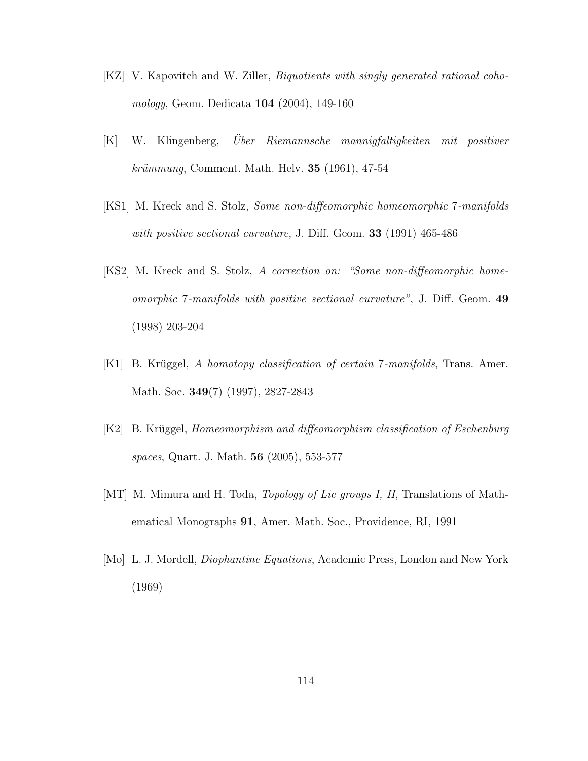- [KZ] V. Kapovitch and W. Ziller, Biquotients with singly generated rational cohomology, Geom. Dedicata 104 (2004), 149-160
- [K] W. Klingenberg, Uber Riemannsche mannigfaltigkeiten mit positiver  $kriimmung$ , Comment. Math. Helv. 35 (1961), 47-54
- [KS1] M. Kreck and S. Stolz, Some non-diffeomorphic homeomorphic 7-manifolds with positive sectional curvature, J. Diff. Geom. 33 (1991) 465-486
- [KS2] M. Kreck and S. Stolz, A correction on: "Some non-diffeomorphic homeomorphic 7-manifolds with positive sectional curvature", J. Diff. Geom. 49 (1998) 203-204
- [K1] B. Krüggel, A homotopy classification of certain 7-manifolds, Trans. Amer. Math. Soc. **349**(7) (1997), 2827-2843
- [K2] B. Krüggel, *Homeomorphism and diffeomorphism classification of Eschenburg* spaces, Quart. J. Math. 56 (2005), 553-577
- [MT] M. Mimura and H. Toda, *Topology of Lie groups I, II*, Translations of Mathematical Monographs 91, Amer. Math. Soc., Providence, RI, 1991
- [Mo] L. J. Mordell, Diophantine Equations, Academic Press, London and New York (1969)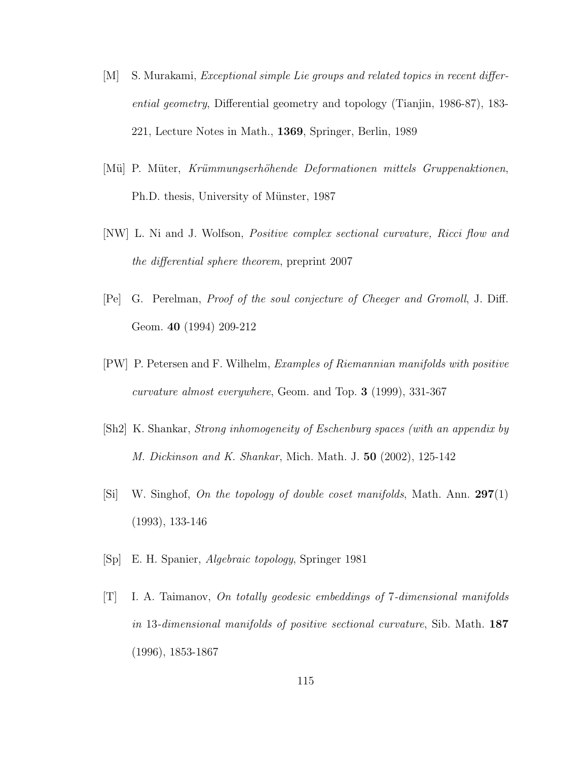- [M] S. Murakami, Exceptional simple Lie groups and related topics in recent differential geometry, Differential geometry and topology (Tianjin, 1986-87), 183- 221, Lecture Notes in Math., 1369, Springer, Berlin, 1989
- [Mü] P. Müter, Krümmungserhöhende Deformationen mittels Gruppenaktionen, Ph.D. thesis, University of Münster, 1987
- [NW] L. Ni and J. Wolfson, Positive complex sectional curvature, Ricci flow and the differential sphere theorem, preprint 2007
- [Pe] G. Perelman, Proof of the soul conjecture of Cheeger and Gromoll, J. Diff. Geom. 40 (1994) 209-212
- [PW] P. Petersen and F. Wilhelm, Examples of Riemannian manifolds with positive curvature almost everywhere, Geom. and Top. 3 (1999), 331-367
- [Sh2] K. Shankar, Strong inhomogeneity of Eschenburg spaces (with an appendix by M. Dickinson and K. Shankar, Mich. Math. J. 50 (2002), 125-142
- [Si] W. Singhof, On the topology of double coset manifolds, Math. Ann.  $297(1)$ (1993), 133-146
- [Sp] E. H. Spanier, Algebraic topology, Springer 1981
- [T] I. A. Taimanov, On totally geodesic embeddings of 7-dimensional manifolds in 13-dimensional manifolds of positive sectional curvature, Sib. Math. 187 (1996), 1853-1867